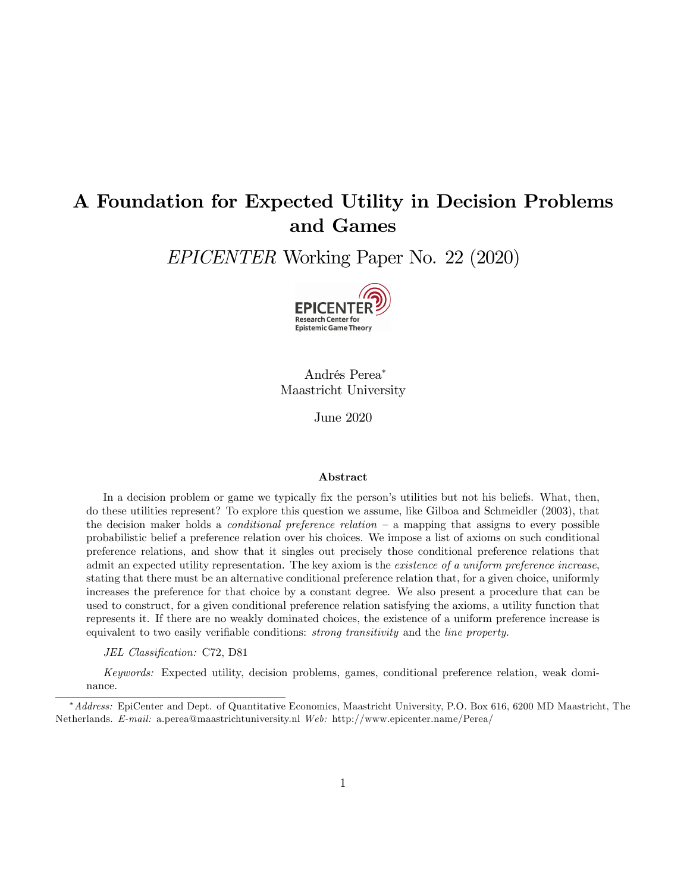# A Foundation for Expected Utility in Decision Problems and Games

EPICENTER Working Paper No. 22 (2020)



Andrés Perea\* Maastricht University

June 2020

#### Abstract

In a decision problem or game we typically fix the person's utilities but not his beliefs. What, then, do these utilities represent? To explore this question we assume, like Gilboa and Schmeidler (2003), that the decision maker holds a *conditional preference relation*  $-$  a mapping that assigns to every possible probabilistic belief a preference relation over his choices. We impose a list of axioms on such conditional preference relations, and show that it singles out precisely those conditional preference relations that admit an expected utility representation. The key axiom is the *existence of a uniform preference increase*, stating that there must be an alternative conditional preference relation that, for a given choice, uniformly increases the preference for that choice by a constant degree. We also present a procedure that can be used to construct, for a given conditional preference relation satisfying the axioms, a utility function that represents it. If there are no weakly dominated choices, the existence of a uniform preference increase is equivalent to two easily verifiable conditions: *strong transitivity* and the *line property*.

JEL Classification: C72, D81

Keywords: Expected utility, decision problems, games, conditional preference relation, weak dominance.

<sup>\*</sup> Address: EpiCenter and Dept. of Quantitative Economics, Maastricht University, P.O. Box 616, 6200 MD Maastricht, The Netherlands. E-mail: a.perea@maastrichtuniversity.nl Web: http://www.epicenter.name/Perea/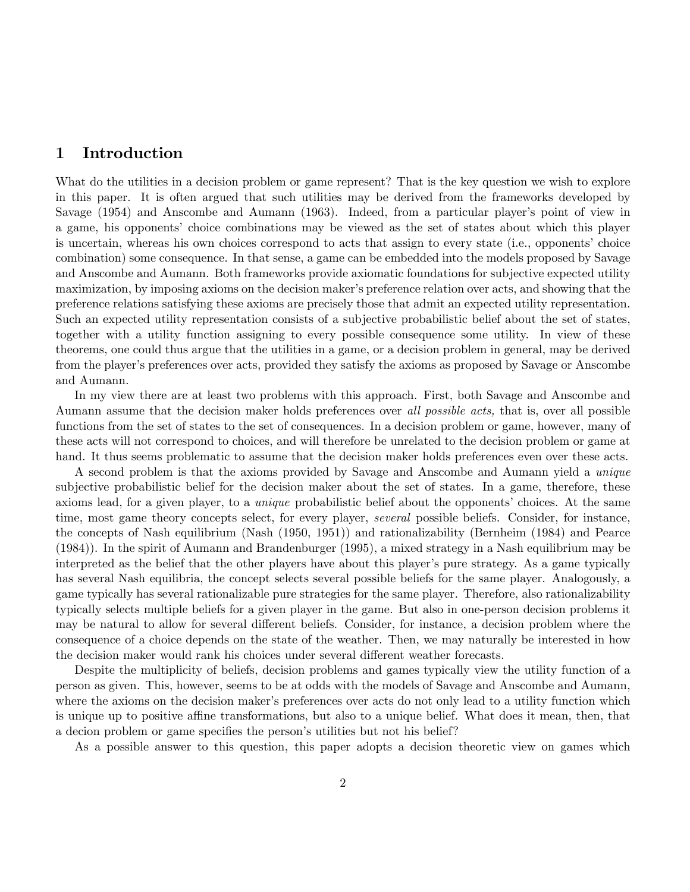# 1 Introduction

What do the utilities in a decision problem or game represent? That is the key question we wish to explore in this paper. It is often argued that such utilities may be derived from the frameworks developed by Savage (1954) and Anscombe and Aumann (1963). Indeed, from a particular player's point of view in a game, his opponents' choice combinations may be viewed as the set of states about which this player is uncertain, whereas his own choices correspond to acts that assign to every state (i.e., opponents' choice combination) some consequence. In that sense, a game can be embedded into the models proposed by Savage and Anscombe and Aumann. Both frameworks provide axiomatic foundations for subjective expected utility maximization, by imposing axioms on the decision maker's preference relation over acts, and showing that the preference relations satisfying these axioms are precisely those that admit an expected utility representation. Such an expected utility representation consists of a subjective probabilistic belief about the set of states, together with a utility function assigning to every possible consequence some utility. In view of these theorems, one could thus argue that the utilities in a game, or a decision problem in general, may be derived from the player's preferences over acts, provided they satisfy the axioms as proposed by Savage or Anscombe and Aumann.

In my view there are at least two problems with this approach. First, both Savage and Anscombe and Aumann assume that the decision maker holds preferences over all possible acts, that is, over all possible functions from the set of states to the set of consequences. In a decision problem or game, however, many of these acts will not correspond to choices, and will therefore be unrelated to the decision problem or game at hand. It thus seems problematic to assume that the decision maker holds preferences even over these acts.

A second problem is that the axioms provided by Savage and Anscombe and Aumann yield a unique subjective probabilistic belief for the decision maker about the set of states. In a game, therefore, these axioms lead, for a given player, to a *unique* probabilistic belief about the opponents' choices. At the same time, most game theory concepts select, for every player, *several* possible beliefs. Consider, for instance, the concepts of Nash equilibrium (Nash (1950, 1951)) and rationalizability (Bernheim (1984) and Pearce (1984)). In the spirit of Aumann and Brandenburger (1995), a mixed strategy in a Nash equilibrium may be interpreted as the belief that the other players have about this player's pure strategy. As a game typically has several Nash equilibria, the concept selects several possible beliefs for the same player. Analogously, a game typically has several rationalizable pure strategies for the same player. Therefore, also rationalizability typically selects multiple beliefs for a given player in the game. But also in one-person decision problems it may be natural to allow for several different beliefs. Consider, for instance, a decision problem where the consequence of a choice depends on the state of the weather. Then, we may naturally be interested in how the decision maker would rank his choices under several different weather forecasts.

Despite the multiplicity of beliefs, decision problems and games typically view the utility function of a person as given. This, however, seems to be at odds with the models of Savage and Anscombe and Aumann, where the axioms on the decision maker's preferences over acts do not only lead to a utility function which is unique up to positive affine transformations, but also to a unique belief. What does it mean, then, that a decion problem or game specifies the person's utilities but not his belief?

As a possible answer to this question, this paper adopts a decision theoretic view on games which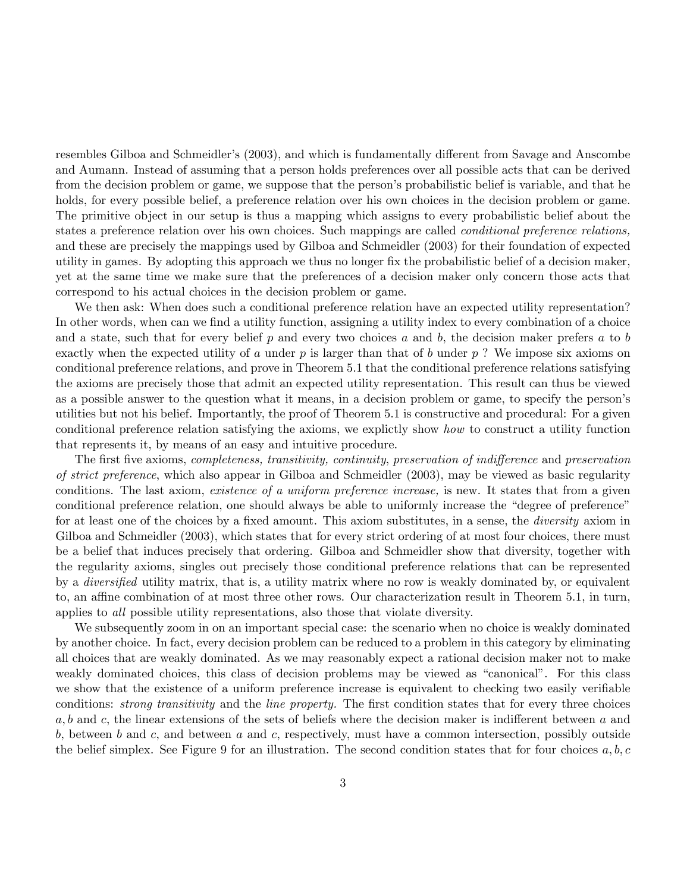resembles Gilboa and Schmeidler's (2003), and which is fundamentally different from Savage and Anscombe and Aumann. Instead of assuming that a person holds preferences over all possible acts that can be derived from the decision problem or game, we suppose that the person's probabilistic belief is variable, and that he holds, for every possible belief, a preference relation over his own choices in the decision problem or game. The primitive object in our setup is thus a mapping which assigns to every probabilistic belief about the states a preference relation over his own choices. Such mappings are called *conditional preference relations*, and these are precisely the mappings used by Gilboa and Schmeidler (2003) for their foundation of expected utility in games. By adopting this approach we thus no longer Öx the probabilistic belief of a decision maker, yet at the same time we make sure that the preferences of a decision maker only concern those acts that correspond to his actual choices in the decision problem or game.

We then ask: When does such a conditional preference relation have an expected utility representation? In other words, when can we find a utility function, assigning a utility index to every combination of a choice and a state, such that for every belief  $p$  and every two choices  $a$  and  $b$ , the decision maker prefers  $a$  to  $b$ exactly when the expected utility of a under p is larger than that of b under  $p$ ? We impose six axioms on conditional preference relations, and prove in Theorem 5.1 that the conditional preference relations satisfying the axioms are precisely those that admit an expected utility representation. This result can thus be viewed as a possible answer to the question what it means, in a decision problem or game, to specify the person's utilities but not his belief. Importantly, the proof of Theorem 5.1 is constructive and procedural: For a given conditional preference relation satisfying the axioms, we explictly show how to construct a utility function that represents it, by means of an easy and intuitive procedure.

The first five axioms, *completeness*, transitivity, *continuity*, preservation of indifference and preservation of strict preference, which also appear in Gilboa and Schmeidler (2003), may be viewed as basic regularity conditions. The last axiom, existence of a uniform preference increase, is new. It states that from a given conditional preference relation, one should always be able to uniformly increase the "degree of preference" for at least one of the choices by a fixed amount. This axiom substitutes, in a sense, the *diversity* axiom in Gilboa and Schmeidler (2003), which states that for every strict ordering of at most four choices, there must be a belief that induces precisely that ordering. Gilboa and Schmeidler show that diversity, together with the regularity axioms, singles out precisely those conditional preference relations that can be represented by a *diversified* utility matrix, that is, a utility matrix where no row is weakly dominated by, or equivalent to, an affine combination of at most three other rows. Our characterization result in Theorem 5.1, in turn, applies to all possible utility representations, also those that violate diversity.

We subsequently zoom in on an important special case: the scenario when no choice is weakly dominated by another choice. In fact, every decision problem can be reduced to a problem in this category by eliminating all choices that are weakly dominated. As we may reasonably expect a rational decision maker not to make weakly dominated choices, this class of decision problems may be viewed as "canonical". For this class we show that the existence of a uniform preference increase is equivalent to checking two easily verifiable conditions: *strong transitivity* and the *line property*. The first condition states that for every three choices  $a, b$  and c, the linear extensions of the sets of beliefs where the decision maker is indifferent between  $a$  and  $b$ , between  $b$  and  $c$ , and between  $a$  and  $c$ , respectively, must have a common intersection, possibly outside the belief simplex. See Figure 9 for an illustration. The second condition states that for four choices  $a, b, c$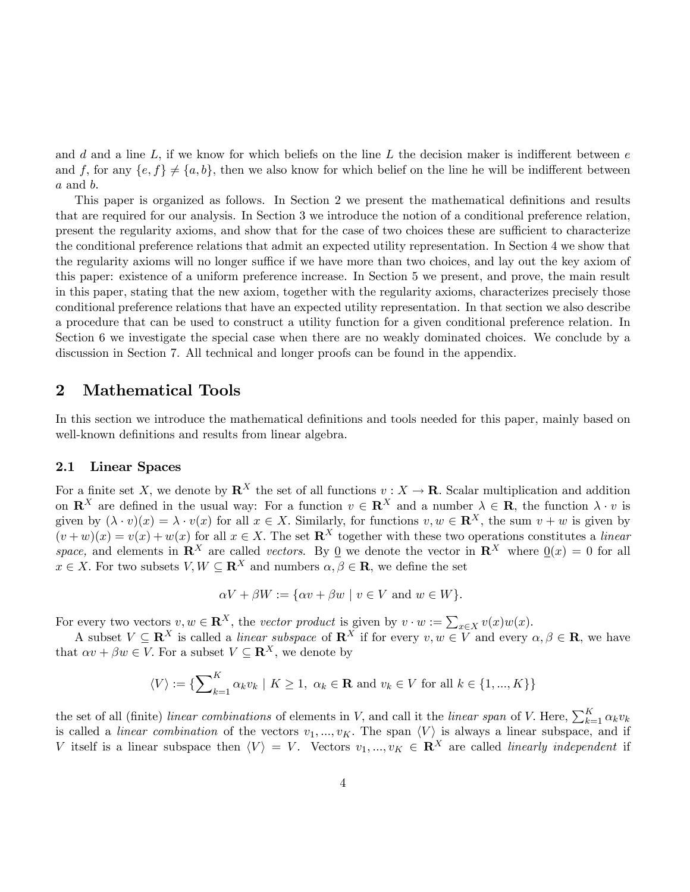and d and a line  $L$ , if we know for which beliefs on the line  $L$  the decision maker is indifferent between  $e$ and f, for any  $\{e, f\} \neq \{a, b\}$ , then we also know for which belief on the line he will be indifferent between  $a$  and  $b$ .

This paper is organized as follows. In Section 2 we present the mathematical definitions and results that are required for our analysis. In Section 3 we introduce the notion of a conditional preference relation, present the regularity axioms, and show that for the case of two choices these are sufficient to characterize the conditional preference relations that admit an expected utility representation. In Section 4 we show that the regularity axioms will no longer suffice if we have more than two choices, and lay out the key axiom of this paper: existence of a uniform preference increase. In Section 5 we present, and prove, the main result in this paper, stating that the new axiom, together with the regularity axioms, characterizes precisely those conditional preference relations that have an expected utility representation. In that section we also describe a procedure that can be used to construct a utility function for a given conditional preference relation. In Section 6 we investigate the special case when there are no weakly dominated choices. We conclude by a discussion in Section 7. All technical and longer proofs can be found in the appendix.

## 2 Mathematical Tools

In this section we introduce the mathematical definitions and tools needed for this paper, mainly based on well-known definitions and results from linear algebra.

#### 2.1 Linear Spaces

For a finite set X, we denote by  $\mathbb{R}^X$  the set of all functions  $v : X \to \mathbb{R}$ . Scalar multiplication and addition on  $\mathbb{R}^X$  are defined in the usual way: For a function  $v \in \mathbb{R}^X$  and a number  $\lambda \in \mathbb{R}$ , the function  $\lambda \cdot v$  is given by  $(\lambda \cdot v)(x) = \lambda \cdot v(x)$  for all  $x \in X$ . Similarly, for functions  $v, w \in \mathbb{R}^X$ , the sum  $v + w$  is given by  $(v+w)(x) = v(x) + w(x)$  for all  $x \in X$ . The set  $\mathbb{R}^X$  together with these two operations constitutes a linear space, and elements in  $\mathbf{R}^X$  are called vectors. By 0 we denote the vector in  $\mathbf{R}^X$  where  $0(x) = 0$  for all  $x \in X$ . For two subsets  $V, W \subseteq \mathbf{R}^{X}$  and numbers  $\alpha, \beta \in \mathbf{R}$ , we define the set

$$
\alpha V + \beta W := \{ \alpha v + \beta w \mid v \in V \text{ and } w \in W \}.
$$

For every two vectors  $v, w \in \mathbb{R}^X$ , the vector product is given by  $v \cdot w := \sum_{x \in X} v(x)w(x)$ .

A subset  $V \subseteq \mathbb{R}^X$  is called a *linear subspace* of  $\mathbb{R}^X$  if for every  $v, w \in V$  and every  $\alpha, \beta \in \mathbb{R}$ , we have that  $\alpha v + \beta w \in V$ . For a subset  $V \subseteq \mathbb{R}^X$ , we denote by

$$
\langle V \rangle := \{ \sum_{k=1}^{K} \alpha_k v_k \mid K \ge 1, \ \alpha_k \in \mathbf{R} \text{ and } v_k \in V \text{ for all } k \in \{1, ..., K\} \}
$$

the set of all (finite) linear combinations of elements in V, and call it the linear span of V. Here,  $\sum_{k=1}^{K} \alpha_k v_k$ is called a *linear combination* of the vectors  $v_1, ..., v_K$ . The span  $\langle V \rangle$  is always a linear subspace, and if V itself is a linear subspace then  $\langle V \rangle = V$ . Vectors  $v_1, ..., v_K \in \mathbb{R}^X$  are called *linearly independent* if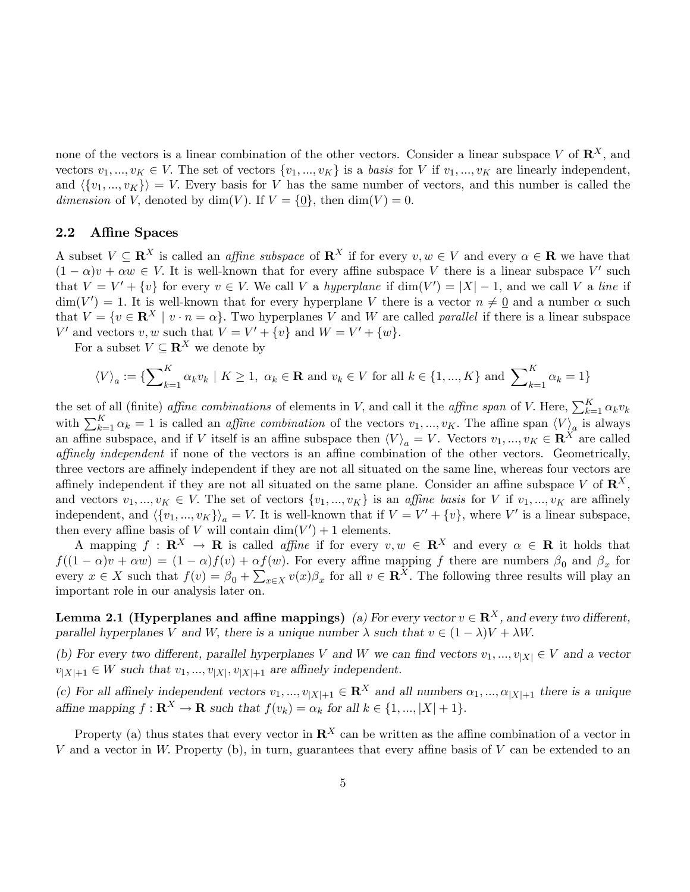none of the vectors is a linear combination of the other vectors. Consider a linear subspace V of  $\mathbb{R}^X$ , and vectors  $v_1, ..., v_K \in V$ . The set of vectors  $\{v_1, ..., v_K\}$  is a basis for V if  $v_1, ..., v_K$  are linearly independent, and  $\langle \{v_1, ..., v_K\} \rangle = V$ . Every basis for V has the same number of vectors, and this number is called the dimension of V, denoted by dim(V). If  $V = \{0\}$ , then dim(V) = 0.

#### 2.2 Affine Spaces

A subset  $V \subseteq \mathbb{R}^X$  is called an *affine subspace* of  $\mathbb{R}^X$  if for every  $v, w \in V$  and every  $\alpha \in \mathbb{R}$  we have that  $(1 - \alpha)v + \alpha w \in V$ . It is well-known that for every affine subspace V there is a linear subspace V' such that  $V = V' + \{v\}$  for every  $v \in V$ . We call V a hyperplane if  $\dim(V') = |X| - 1$ , and we call V a line if  $\dim(V') = 1.$  It is well-known that for every hyperplane V there is a vector  $n \neq \underline{0}$  and a number  $\alpha$  such that  $V = \{v \in \mathbb{R}^X \mid v \cdot n = \alpha\}$ . Two hyperplanes V and W are called parallel if there is a linear subspace V' and vectors v, w such that  $V = V' + \{v\}$  and  $W = V' + \{w\}.$ 

For a subset  $V \subseteq \mathbb{R}^X$  we denote by

$$
\langle V \rangle_a := \{ \sum_{k=1}^K \alpha_k v_k \mid K \ge 1, \ \alpha_k \in \mathbf{R} \text{ and } v_k \in V \text{ for all } k \in \{1, ..., K\} \text{ and } \sum_{k=1}^K \alpha_k = 1 \}
$$

the set of all (finite) *affine combinations* of elements in V, and call it the *affine span* of V. Here,  $\sum_{k=1}^{K} \alpha_k v_k$ with  $\sum_{k=1}^{K} \alpha_k = 1$  is called an *affine combination* of the vectors  $v_1, ..., v_K$ . The affine span  $\langle V \rangle_a$  is always an affine subspace, and if V itself is an affine subspace then  $\langle V \rangle_a = V$ . Vectors  $v_1, ..., v_K \in \mathbb{R}^X$  are called affinely independent if none of the vectors is an affine combination of the other vectors. Geometrically, three vectors are affinely independent if they are not all situated on the same line, whereas four vectors are affinely independent if they are not all situated on the same plane. Consider an affine subspace V of  $\mathbb{R}^X$ , and vectors  $v_1, ..., v_K \in V$ . The set of vectors  $\{v_1, ..., v_K\}$  is an *affine basis* for V if  $v_1, ..., v_K$  are affinely independent, and  $\langle \{v_1, ..., v_K\}\rangle_a = V$ . It is well-known that if  $V = V' + \{v\}$ , where V' is a linear subspace, then every affine basis of V will contain  $\dim(V') + 1$  elements.

A mapping  $f : \mathbf{R}^X \to \mathbf{R}$  is called *affine* if for every  $v, w \in \mathbf{R}^X$  and every  $\alpha \in \mathbf{R}$  it holds that  $f((1 - \alpha)v + \alpha w) = (1 - \alpha)f(v) + \alpha f(w)$ . For every affine mapping f there are numbers  $\beta_0$  and  $\beta_x$  for every  $x \in X$  such that  $f(v) = \beta_0 + \sum_{x \in X} v(x)\beta_x$  for all  $v \in \mathbb{R}^X$ . The following three results will play an important role in our analysis later on.

**Lemma 2.1 (Hyperplanes and affine mappings)** (a) For every vector  $v \in \mathbb{R}^X$ , and every two different, parallel hyperplanes V and W, there is a unique number  $\lambda$  such that  $v \in (1 - \lambda)V + \lambda W$ .

(b) For every two different, parallel hyperplanes V and W we can find vectors  $v_1, ..., v_{|X|} \in V$  and a vector  $v_{|X|+1} \in W$  such that  $v_1, ..., v_{|X|}, v_{|X|+1}$  are affinely independent.

(c) For all affinely independent vectors  $v_1, ..., v_{|X|+1} \in \mathbb{R}^X$  and all numbers  $\alpha_1, ..., \alpha_{|X|+1}$  there is a unique affine mapping  $f: \mathbf{R}^X \to \mathbf{R}$  such that  $f(v_k) = \alpha_k$  for all  $k \in \{1, ..., |X| + 1\}$ .

Property (a) thus states that every vector in  $\mathbb{R}^{X}$  can be written as the affine combination of a vector in V and a vector in W. Property (b), in turn, guarantees that every affine basis of  $V$  can be extended to an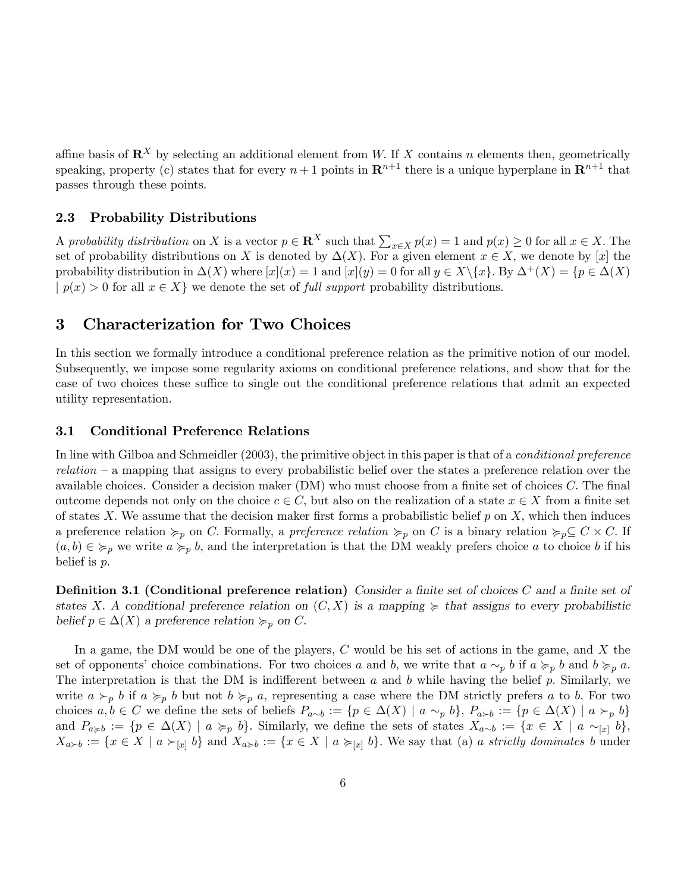affine basis of  $\mathbb{R}^X$  by selecting an additional element from W. If X contains n elements then, geometrically speaking, property (c) states that for every  $n+1$  points in  $\mathbb{R}^{n+1}$  there is a unique hyperplane in  $\mathbb{R}^{n+1}$  that passes through these points.

#### 2.3 Probability Distributions

A probability distribution on X is a vector  $p \in \mathbb{R}^X$  such that  $\sum_{x \in X} p(x) = 1$  and  $p(x) \ge 0$  for all  $x \in X$ . The set of probability distributions on X is denoted by  $\Delta(X)$ . For a given element  $x \in X$ , we denote by [x] the probability distribution in  $\Delta(X)$  where  $[x](x) = 1$  and  $[x](y) = 0$  for all  $y \in X \setminus \{x\}$ . By  $\Delta^+(X) = \{p \in \Delta(X)$  $|p(x) > 0$  for all  $x \in X$  we denote the set of *full support* probability distributions.

# 3 Characterization for Two Choices

In this section we formally introduce a conditional preference relation as the primitive notion of our model. Subsequently, we impose some regularity axioms on conditional preference relations, and show that for the case of two choices these suffice to single out the conditional preference relations that admit an expected utility representation.

#### 3.1 Conditional Preference Relations

In line with Gilboa and Schmeidler (2003), the primitive object in this paper is that of a *conditional preference*  $relation - a$  mapping that assigns to every probabilistic belief over the states a preference relation over the available choices. Consider a decision maker  $(DM)$  who must choose from a finite set of choices C. The final outcome depends not only on the choice  $c \in C$ , but also on the realization of a state  $x \in X$  from a finite set of states X. We assume that the decision maker first forms a probabilistic belief  $p$  on X, which then induces a preference relation  $\succcurlyeq_p$  on C. Formally, a preference relation  $\succcurlyeq_p$  on C is a binary relation  $\succcurlyeq_p \subseteq C \times C$ . If  $(a, b) \in \succcurlyeq_p w$  write  $a \succcurlyeq_p b$ , and the interpretation is that the DM weakly prefers choice a to choice b if his belief is  $p$ .

**Definition 3.1 (Conditional preference relation)** Consider a finite set of choices C and a finite set of states X. A conditional preference relation on  $(C, X)$  is a mapping  $\succeq$  that assigns to every probabilistic belief  $p \in \Delta(X)$  a preference relation  $\succcurlyeq_p$  on C.

In a game, the DM would be one of the players,  $C$  would be his set of actions in the game, and  $X$  the set of opponents' choice combinations. For two choices a and b, we write that  $a \sim_p b$  if  $a \succ_p b$  and  $b \succcurlyeq_p a$ . The interpretation is that the DM is indifferent between  $a$  and  $b$  while having the belief  $p$ . Similarly, we write  $a \succ_{p} b$  if  $a \succ_{p} b$  but not  $b \succ_{p} a$ , representing a case where the DM strictly prefers a to b. For two choices  $a, b \in C$  we define the sets of beliefs  $P_{a\sim b} := \{p \in \Delta(X) \mid a \sim_p b\}, P_{a \succ b} := \{p \in \Delta(X) \mid a \succ_p b\}$ and  $P_{a\geq b} := \{p \in \Delta(X) \mid a \succ_p b\}$ . Similarly, we define the sets of states  $X_{a\sim b} := \{x \in X \mid a \sim_{[x]} b\}$ ,  $X_{a \succ b} := \{x \in X \mid a \succ_{[x]} b\}$  and  $X_{a \succ b} := \{x \in X \mid a \succ_{[x]} b\}$ . We say that (a) a strictly dominates b under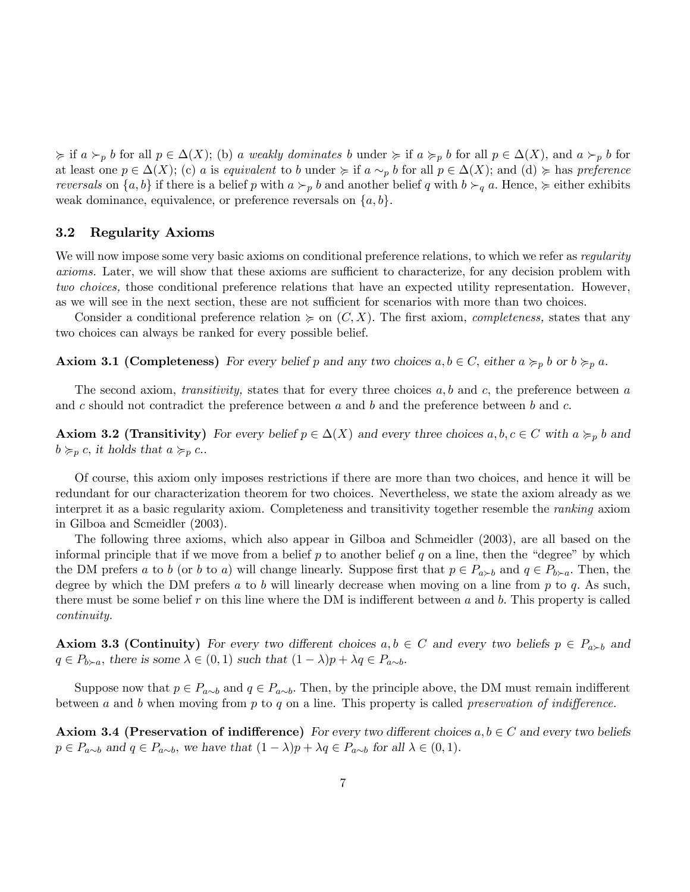$\epsilon \geq \inf a \succ_p b$  for all  $p \in \Delta(X)$ ; (b) a weakly dominates b under  $\succeq \inf a \succ_p b$  for all  $p \in \Delta(X)$ , and  $a \succ_p b$  for at least one  $p \in \Delta(X)$ ; (c) a is equivalent to b under  $\succeq$  if  $a \sim_p b$  for all  $p \in \Delta(X)$ ; and (d)  $\succeq$  has preference reversals on  $\{a, b\}$  if there is a belief p with  $a \succ_p b$  and another belief q with  $b \succ_q a$ . Hence,  $\succcurlyeq$  either exhibits weak dominance, equivalence, or preference reversals on  $\{a, b\}$ .

#### 3.2 Regularity Axioms

We will now impose some very basic axioms on conditional preference relations, to which we refer as *regularity* axioms. Later, we will show that these axioms are sufficient to characterize, for any decision problem with two choices, those conditional preference relations that have an expected utility representation. However, as we will see in the next section, these are not sufficient for scenarios with more than two choices.

Consider a conditional preference relation  $\succeq$  on  $(C, X)$ . The first axiom, *completeness*, states that any two choices can always be ranked for every possible belief.

**Axiom 3.1 (Completeness)** For every belief p and any two choices  $a, b \in C$ , either  $a \succcurlyeq_{p} b$  or  $b \succcurlyeq_{p} a$ .

The second axiom, *transitivity*, states that for every three choices  $a, b$  and  $c$ , the preference between  $a$ and c should not contradict the preference between a and b and the preference between b and c.

**Axiom 3.2 (Transitivity)** For every belief  $p \in \Delta(X)$  and every three choices  $a, b, c \in C$  with  $a \succcurlyeq_p b$  and  $b \succcurlyeq_{p} c$ , it holds that  $a \succcurlyeq_{p} c$ ..

Of course, this axiom only imposes restrictions if there are more than two choices, and hence it will be redundant for our characterization theorem for two choices. Nevertheless, we state the axiom already as we interpret it as a basic regularity axiom. Completeness and transitivity together resemble the ranking axiom in Gilboa and Scmeidler (2003).

The following three axioms, which also appear in Gilboa and Schmeidler (2003), are all based on the informal principle that if we move from a belief  $p$  to another belief  $q$  on a line, then the "degree" by which the DM prefers a to b (or b to a) will change linearly. Suppose first that  $p \in P_{a \succ b}$  and  $q \in P_{b \succ a}$ . Then, the degree by which the DM prefers a to b will linearly decrease when moving on a line from  $p$  to  $q$ . As such, there must be some belief r on this line where the DM is indifferent between a and b. This property is called continuity.

**Axiom 3.3 (Continuity)** For every two different choices  $a, b \in C$  and every two beliefs  $p \in P_{a \succ b}$  and  $q \in P_{b \succ a}$ , there is some  $\lambda \in (0, 1)$  such that  $(1 - \lambda)p + \lambda q \in P_{a \sim b}$ .

Suppose now that  $p \in P_{a\sim b}$  and  $q \in P_{a\sim b}$ . Then, by the principle above, the DM must remain indifferent between a and b when moving from p to q on a line. This property is called preservation of indifference.

**Axiom 3.4 (Preservation of indifference)** For every two different choices  $a, b \in C$  and every two beliefs  $p \in P_{a \sim b}$  and  $q \in P_{a \sim b}$ , we have that  $(1 - \lambda)p + \lambda q \in P_{a \sim b}$  for all  $\lambda \in (0, 1)$ .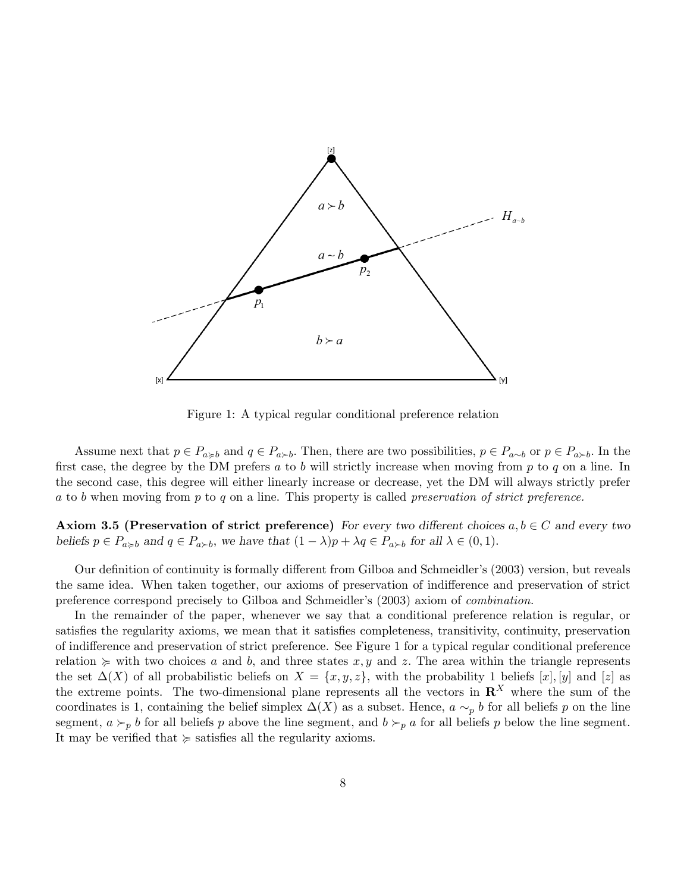

Figure 1: A typical regular conditional preference relation

Assume next that  $p \in P_{a \succ b}$  and  $q \in P_{a \succ b}$ . Then, there are two possibilities,  $p \in P_{a \sim b}$  or  $p \in P_{a \succ b}$ . In the first case, the degree by the DM prefers a to b will strictly increase when moving from  $p$  to  $q$  on a line. In the second case, this degree will either linearly increase or decrease, yet the DM will always strictly prefer a to b when moving from p to q on a line. This property is called preservation of strict preference.

**Axiom 3.5 (Preservation of strict preference)** For every two different choices  $a, b \in C$  and every two beliefs  $p \in P_{a \geq b}$  and  $q \in P_{a \geq b}$ , we have that  $(1 - \lambda)p + \lambda q \in P_{a \geq b}$  for all  $\lambda \in (0, 1)$ .

Our definition of continuity is formally different from Gilboa and Schmeidler's (2003) version, but reveals the same idea. When taken together, our axioms of preservation of indifference and preservation of strict preference correspond precisely to Gilboa and Schmeidler's (2003) axiom of *combination*.

In the remainder of the paper, whenever we say that a conditional preference relation is regular, or satisfies the regularity axioms, we mean that it satisfies completeness, transitivity, continuity, preservation of indifference and preservation of strict preference. See Figure 1 for a typical regular conditional preference relation  $\succeq$  with two choices a and b, and three states x, y and z. The area within the triangle represents the set  $\Delta(X)$  of all probabilistic beliefs on  $X = \{x, y, z\}$ , with the probability 1 beliefs  $[x]$ ,  $[y]$  and  $[z]$  as the extreme points. The two-dimensional plane represents all the vectors in  $\mathbb{R}^X$  where the sum of the coordinates is 1, containing the belief simplex  $\Delta(X)$  as a subset. Hence,  $a \sim_p b$  for all beliefs p on the line segment,  $a \succ_p b$  for all beliefs p above the line segment, and  $b \succ_p a$  for all beliefs p below the line segment. It may be verified that  $\succcurlyeq$  satisfies all the regularity axioms.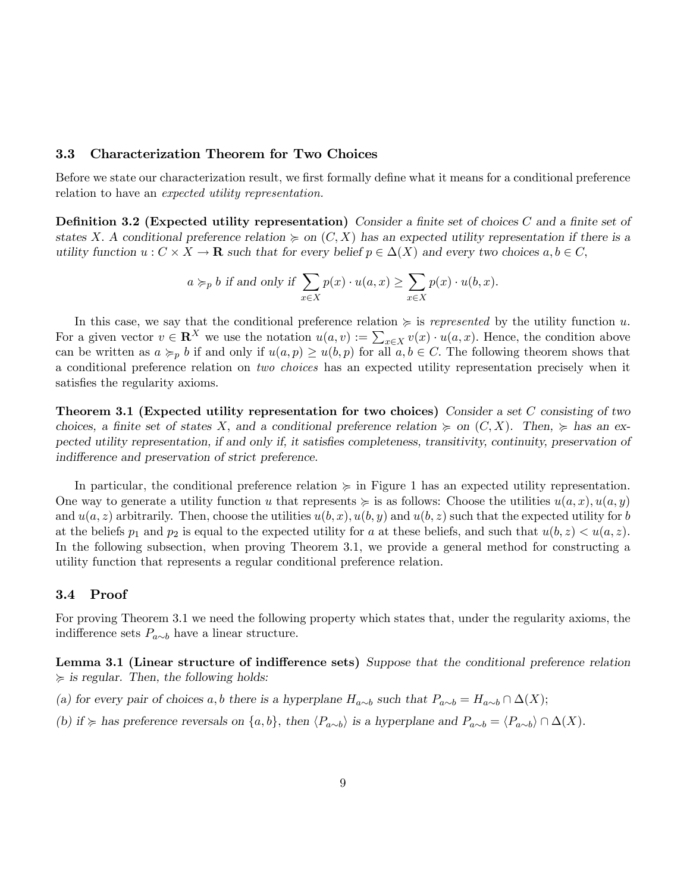#### 3.3 Characterization Theorem for Two Choices

Before we state our characterization result, we first formally define what it means for a conditional preference relation to have an expected utility representation.

**Definition 3.2 (Expected utility representation)** Consider a finite set of choices C and a finite set of states X. A conditional preference relation  $\succeq$  on  $(C, X)$  has an expected utility representation if there is a utility function  $u : C \times X \to \mathbf{R}$  such that for every belief  $p \in \Delta(X)$  and every two choices  $a, b \in C$ ,

$$
a \succ_{p} b
$$
 if and only if  $\sum_{x \in X} p(x) \cdot u(a, x) \ge \sum_{x \in X} p(x) \cdot u(b, x)$ .

In this case, we say that the conditional preference relation  $\geq$  is *represented* by the utility function u. For a given vector  $v \in \mathbb{R}^X$  we use the notation  $u(a, v) := \sum_{x \in X} v(x) \cdot u(a, x)$ . Hence, the condition above can be written as  $a \succ_{p} b$  if and only if  $u(a, p) \geq u(b, p)$  for all  $a, b \in C$ . The following theorem shows that a conditional preference relation on two choices has an expected utility representation precisely when it satisfies the regularity axioms.

Theorem 3.1 (Expected utility representation for two choices) Consider a set C consisting of two choices, a finite set of states X, and a conditional preference relation  $\succeq$  on  $(C, X)$ . Then,  $\succeq$  has an expected utility representation, if and only if, it satisfies completeness, transitivity, continuity, preservation of indifference and preservation of strict preference.

In particular, the conditional preference relation  $\succeq$  in Figure 1 has an expected utility representation. One way to generate a utility function u that represents  $\succeq$  is as follows: Choose the utilities  $u(a, x), u(a, y)$ and  $u(a, z)$  arbitrarily. Then, choose the utilities  $u(b, x)$ ,  $u(b, y)$  and  $u(b, z)$  such that the expected utility for b at the beliefs  $p_1$  and  $p_2$  is equal to the expected utility for a at these beliefs, and such that  $u(b, z) < u(a, z)$ . In the following subsection, when proving Theorem 3.1, we provide a general method for constructing a utility function that represents a regular conditional preference relation.

#### 3.4 Proof

For proving Theorem 3.1 we need the following property which states that, under the regularity axioms, the indifference sets  $P_{a\sim b}$  have a linear structure.

Lemma 3.1 (Linear structure of indifference sets) Suppose that the conditional preference relation  $\succeq$  is regular. Then, the following holds:

(a) for every pair of choices a, b there is a hyperplane  $H_{a\sim b}$  such that  $P_{a\sim b} = H_{a\sim b} \cap \Delta(X);$ 

(b) if  $\succcurlyeq$  has preference reversals on  $\{a, b\}$ , then  $\langle P_{a\sim b} \rangle$  is a hyperplane and  $P_{a\sim b} = \langle P_{a\sim b} \rangle \cap \Delta(X)$ .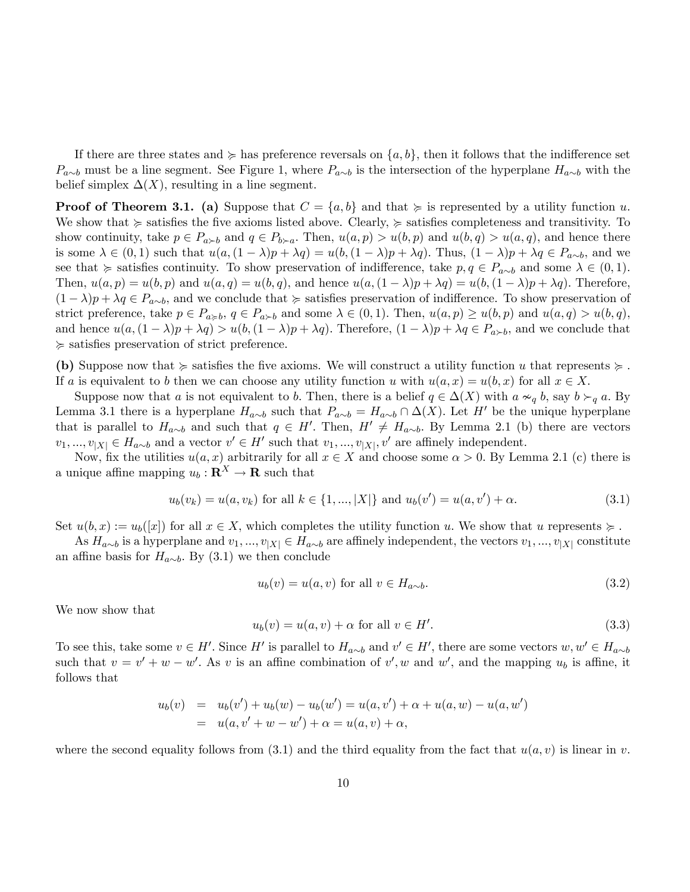If there are three states and  $\succeq$  has preference reversals on  $\{a, b\}$ , then it follows that the indifference set  $P_{a\sim b}$  must be a line segment. See Figure 1, where  $P_{a\sim b}$  is the intersection of the hyperplane  $H_{a\sim b}$  with the belief simplex  $\Delta(X)$ , resulting in a line segment.

**Proof of Theorem 3.1.** (a) Suppose that  $C = \{a, b\}$  and that  $\succeq$  is represented by a utility function u. We show that  $\succcurlyeq$  satisfies the five axioms listed above. Clearly,  $\succcurlyeq$  satisfies completeness and transitivity. To show continuity, take  $p \in P_{a \succ b}$  and  $q \in P_{b \succ a}$ . Then,  $u(a, p) > u(b, p)$  and  $u(b, q) > u(a, q)$ , and hence there is some  $\lambda \in (0,1)$  such that  $u(a,(1 - \lambda)p + \lambda q) = u(b,(1 - \lambda)p + \lambda q)$ . Thus,  $(1 - \lambda)p + \lambda q \in P_{a\sim b}$ , and we see that  $\succcurlyeq$  satisfies continuity. To show preservation of indifference, take  $p, q \in P_{a \sim b}$  and some  $\lambda \in (0, 1)$ . Then,  $u(a, p) = u(b, p)$  and  $u(a, q) = u(b, q)$ , and hence  $u(a, (1 - \lambda)p + \lambda q) = u(b, (1 - \lambda)p + \lambda q)$ . Therefore,  $(1 - \lambda)p + \lambda q \in P_{a\sim b}$ , and we conclude that  $\succeq$  satisfies preservation of indifference. To show preservation of strict preference, take  $p \in P_{a \geq b}$ ,  $q \in P_{a \geq b}$  and some  $\lambda \in (0, 1)$ . Then,  $u(a, p) \geq u(b, p)$  and  $u(a, q) > u(b, q)$ , and hence  $u(a,(1 - \lambda)p + \lambda q) > u(b,(1 - \lambda)p + \lambda q)$ . Therefore,  $(1 - \lambda)p + \lambda q \in P_{a \succ b}$ , and we conclude that  $\ge$  satisfies preservation of strict preference.

(b) Suppose now that  $\geq$  satisfies the five axioms. We will construct a utility function u that represents  $\geq$ . If a is equivalent to b then we can choose any utility function u with  $u(a, x) = u(b, x)$  for all  $x \in X$ .

Suppose now that a is not equivalent to b. Then, there is a belief  $q \in \Delta(X)$  with  $a \approx_q b$ , say  $b \succ_q a$ . By Lemma 3.1 there is a hyperplane  $H_{a\sim b}$  such that  $P_{a\sim b} = H_{a\sim b} \cap \Delta(X)$ . Let H' be the unique hyperplane that is parallel to  $H_{a\sim b}$  and such that  $q \in H'$ . Then,  $H' \neq H_{a\sim b}$ . By Lemma 2.1 (b) there are vectors  $v_1, ..., v_{|X|} \in H_{a \sim b}$  and a vector  $v' \in H'$  such that  $v_1, ..., v_{|X|}$ ,  $v'$  are affinely independent.

Now, fix the utilities  $u(a, x)$  arbitrarily for all  $x \in X$  and choose some  $\alpha > 0$ . By Lemma 2.1 (c) there is a unique affine mapping  $u_b : \mathbf{R}^X \to \mathbf{R}$  such that

$$
u_b(v_k) = u(a, v_k) \text{ for all } k \in \{1, ..., |X|\} \text{ and } u_b(v') = u(a, v') + \alpha. \tag{3.1}
$$

Set  $u(b, x) := u_b([x])$  for all  $x \in X$ , which completes the utility function u. We show that u represents  $\succeq$ .

As  $H_{a\sim b}$  is a hyperplane and  $v_1, ..., v_{|X|} \in H_{a\sim b}$  are affinely independent, the vectors  $v_1, ..., v_{|X|}$  constitute an affine basis for  $H_{a\sim b}$ . By (3.1) we then conclude

$$
u_b(v) = u(a, v) \text{ for all } v \in H_{a \sim b}.\tag{3.2}
$$

We now show that

$$
u_b(v) = u(a, v) + \alpha \text{ for all } v \in H'. \tag{3.3}
$$

To see this, take some  $v \in H'$ . Since H' is parallel to  $H_{a\sim b}$  and  $v' \in H'$ , there are some vectors  $w, w' \in H_{a\sim b}$ such that  $v = v' + w - w'$ . As v is an affine combination of v', w and w', and the mapping  $u_b$  is affine, it follows that

$$
u_b(v) = u_b(v') + u_b(w) - u_b(w') = u(a, v') + \alpha + u(a, w) - u(a, w')
$$
  
= 
$$
u(a, v' + w - w') + \alpha = u(a, v) + \alpha,
$$

where the second equality follows from (3.1) and the third equality from the fact that  $u(a, v)$  is linear in v.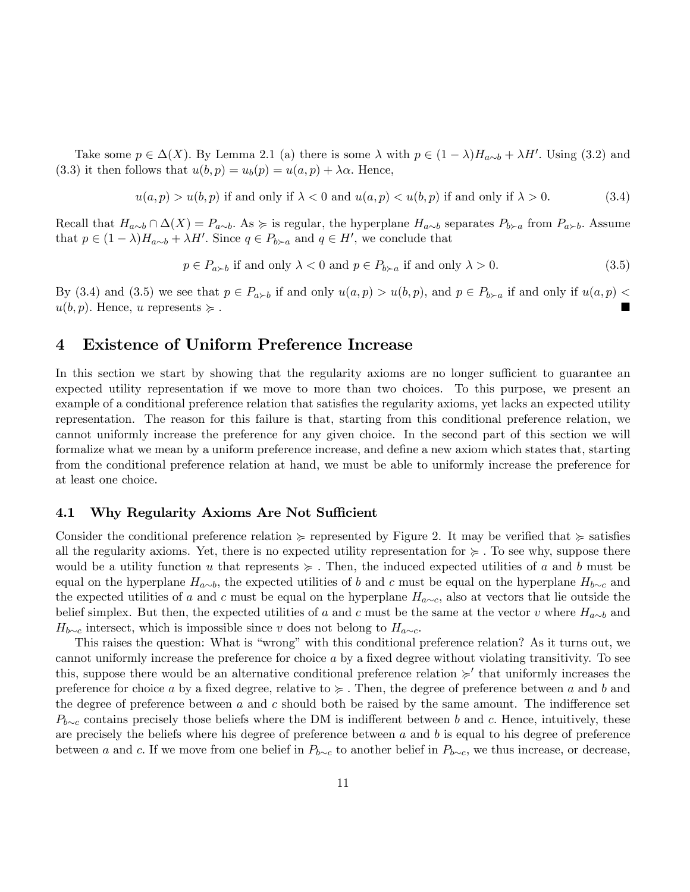Take some  $p \in \Delta(X)$ . By Lemma 2.1 (a) there is some  $\lambda$  with  $p \in (1 - \lambda)H_{a \sim b} + \lambda H'$ . Using (3.2) and (3.3) it then follows that  $u(b, p) = u_b(p) = u(a, p) + \lambda \alpha$ . Hence,

$$
u(a, p) > u(b, p) \text{ if and only if } \lambda < 0 \text{ and } u(a, p) < u(b, p) \text{ if and only if } \lambda > 0. \tag{3.4}
$$

Recall that  $H_{a\sim b} \cap \Delta(X) = P_{a\sim b}$ . As  $\succcurlyeq$  is regular, the hyperplane  $H_{a\sim b}$  separates  $P_{b\succ a}$  from  $P_{a\succ b}$ . Assume that  $p \in (1 - \lambda)H_{a \sim b} + \lambda H'$ . Since  $q \in P_{b \succ a}$  and  $q \in H'$ , we conclude that

$$
p \in P_{a \succ b} \text{ if and only } \lambda < 0 \text{ and } p \in P_{b \succ a} \text{ if and only } \lambda > 0. \tag{3.5}
$$

By (3.4) and (3.5) we see that  $p \in P_{a \succ b}$  if and only  $u(a, p) > u(b, p)$ , and  $p \in P_{b \succ a}$  if and only if  $u(a, p) <$  $u(b, p)$ . Hence, u represents  $\succeq$ .

### 4 Existence of Uniform Preference Increase

In this section we start by showing that the regularity axioms are no longer sufficient to guarantee an expected utility representation if we move to more than two choices. To this purpose, we present an example of a conditional preference relation that satisfies the regularity axioms, yet lacks an expected utility representation. The reason for this failure is that, starting from this conditional preference relation, we cannot uniformly increase the preference for any given choice. In the second part of this section we will formalize what we mean by a uniform preference increase, and define a new axiom which states that, starting from the conditional preference relation at hand, we must be able to uniformly increase the preference for at least one choice.

#### 4.1 Why Regularity Axioms Are Not Sufficient

Consider the conditional preference relation  $\succeq$  represented by Figure 2. It may be verified that  $\succeq$  satisfies all the regularity axioms. Yet, there is no expected utility representation for  $\succcurlyeq$ . To see why, suppose there would be a utility function u that represents  $\succeq$ . Then, the induced expected utilities of a and b must be equal on the hyperplane  $H_{a\sim b}$ , the expected utilities of b and c must be equal on the hyperplane  $H_{b\sim c}$  and the expected utilities of a and c must be equal on the hyperplane  $H_{a\sim c}$ , also at vectors that lie outside the belief simplex. But then, the expected utilities of a and c must be the same at the vector v where  $H_{a\sim b}$  and  $H_{b\sim c}$  intersect, which is impossible since v does not belong to  $H_{a\sim c}$ .

This raises the question: What is "wrong" with this conditional preference relation? As it turns out, we cannot uniformly increase the preference for choice  $a$  by a fixed degree without violating transitivity. To see this, suppose there would be an alternative conditional preference relation  $\geq'$  that uniformly increases the preference for choice a by a fixed degree, relative to  $\succeq$ . Then, the degree of preference between a and b and the degree of preference between  $a$  and  $c$  should both be raised by the same amount. The indifference set  $P_{b\sim c}$  contains precisely those beliefs where the DM is indifferent between b and c. Hence, intuitively, these are precisely the beliefs where his degree of preference between  $a$  and  $b$  is equal to his degree of preference between a and c. If we move from one belief in  $P_{b\sim c}$  to another belief in  $P_{b\sim c}$ , we thus increase, or decrease,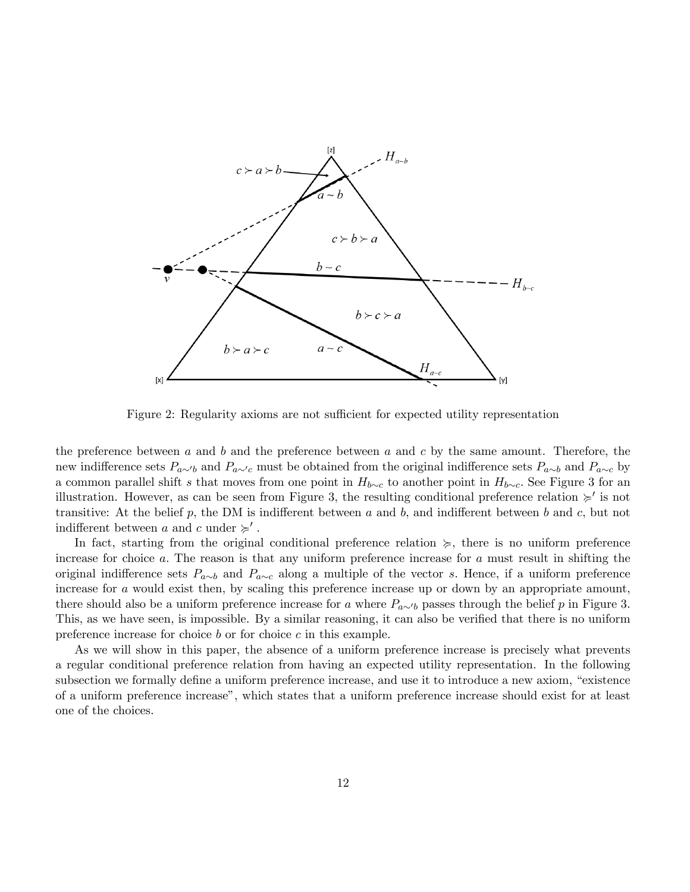

Figure 2: Regularity axioms are not sufficient for expected utility representation

the preference between  $a$  and  $b$  and the preference between  $a$  and  $c$  by the same amount. Therefore, the new indifference sets  $P_{a\sim b}$  and  $P_{a\sim c}$  must be obtained from the original indifference sets  $P_{a\sim b}$  and  $P_{a\sim c}$  by a common parallel shift s that moves from one point in  $H_{b\sim c}$  to another point in  $H_{b\sim c}$ . See Figure 3 for an illustration. However, as can be seen from Figure 3, the resulting conditional preference relation  $\succ$  is not transitive: At the belief p, the DM is indifferent between a and b, and indifferent between b and c, but not indifferent between a and c under  $\succcurlyeq'$ .

In fact, starting from the original conditional preference relation  $\geq$ , there is no uniform preference increase for choice a: The reason is that any uniform preference increase for a must result in shifting the original indifference sets  $P_{a\sim b}$  and  $P_{a\sim c}$  along a multiple of the vector s. Hence, if a uniform preference increase for a would exist then, by scaling this preference increase up or down by an appropriate amount, there should also be a uniform preference increase for a where  $P_{a\sim b}$  passes through the belief p in Figure 3. This, as we have seen, is impossible. By a similar reasoning, it can also be verified that there is no uniform preference increase for choice  $b$  or for choice  $c$  in this example.

As we will show in this paper, the absence of a uniform preference increase is precisely what prevents a regular conditional preference relation from having an expected utility representation. In the following subsection we formally define a uniform preference increase, and use it to introduce a new axiom, "existence" of a uniform preference increaseî, which states that a uniform preference increase should exist for at least one of the choices.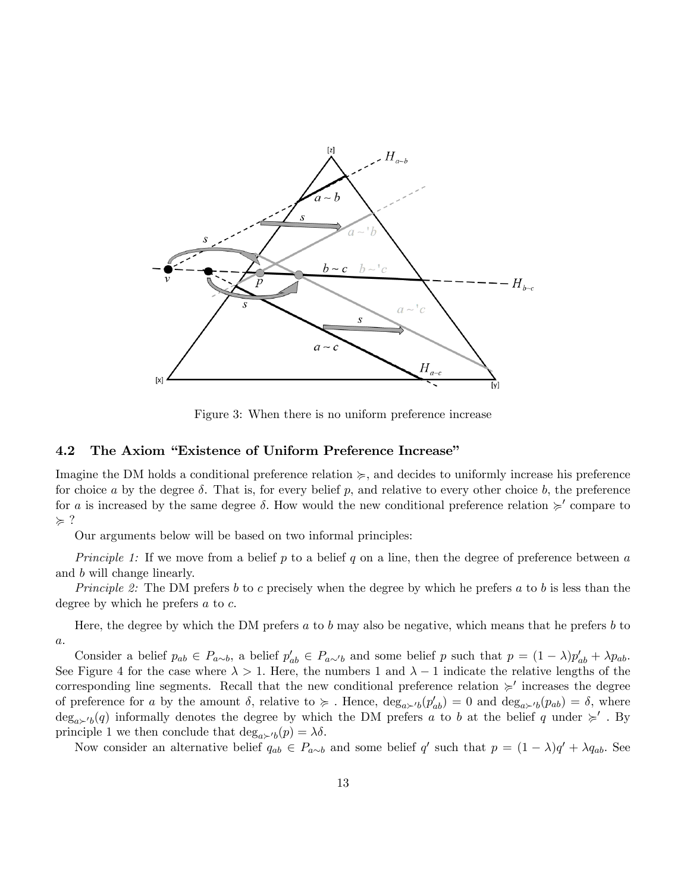

Figure 3: When there is no uniform preference increase

#### 4.2 The Axiom "Existence of Uniform Preference Increase"

Imagine the DM holds a conditional preference relation  $\geq$ , and decides to uniformly increase his preference for choice a by the degree  $\delta$ . That is, for every belief p, and relative to every other choice b, the preference for a is increased by the same degree  $\delta$ . How would the new conditional preference relation  $\succ$  compare to  $\succcurlyeq$  ?

Our arguments below will be based on two informal principles:

*Principle 1:* If we move from a belief p to a belief q on a line, then the degree of preference between a and b will change linearly.

Principle 2: The DM prefers b to c precisely when the degree by which he prefers a to b is less than the degree by which he prefers  $a$  to  $c$ .

Here, the degree by which the DM prefers  $a$  to  $b$  may also be negative, which means that he prefers  $b$  to a:

Consider a belief  $p_{ab} \in P_{a\sim b}$ , a belief  $p'_{ab} \in P_{a\sim b}$  and some belief p such that  $p = (1 - \lambda)p'_{ab} + \lambda p_{ab}$ . See Figure 4 for the case where  $\lambda > 1$ . Here, the numbers 1 and  $\lambda - 1$  indicate the relative lengths of the corresponding line segments. Recall that the new conditional preference relation  $\succ$  increases the degree of preference for a by the amount  $\delta$ , relative to  $\succcurlyeq$ . Hence,  $\deg_{a\succ' b}(p'_{ab}) = 0$  and  $\deg_{a\succ' b}(p_{ab}) = \delta$ , where  $deg_{a \succ b}(q)$  informally denotes the degree by which the DM prefers a to b at the belief q under  $\succ'$ . By principle 1 we then conclude that  $\deg_{a\sim b}(p) = \lambda \delta$ .

Now consider an alternative belief  $q_{ab} \in P_{a \sim b}$  and some belief q' such that  $p = (1 - \lambda)q' + \lambda q_{ab}$ . See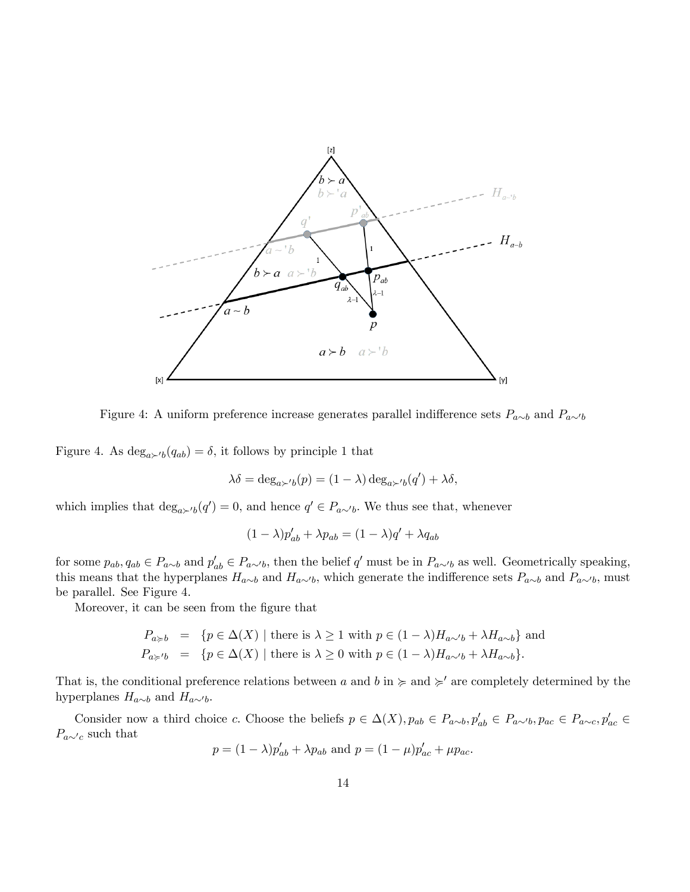

Figure 4: A uniform preference increase generates parallel indifference sets  $P_{a\sim b}$  and  $P_{a\sim b}$ 

Figure 4. As  $\deg_{a\succ b}(q_{ab}) = \delta$ , it follows by principle 1 that

$$
\lambda \delta = \deg_{a \succ' b}(p) = (1 - \lambda) \deg_{a \succ' b}(q') + \lambda \delta,
$$

which implies that  $\deg_{a\succ b}(q')=0$ , and hence  $q' \in P_{a\sim b}$ . We thus see that, whenever

$$
(1 - \lambda)p'_{ab} + \lambda p_{ab} = (1 - \lambda)q' + \lambda q_{ab}
$$

for some  $p_{ab}, q_{ab} \in P_{a\sim b}$  and  $p'_{ab} \in P_{a\sim b}$ , then the belief q' must be in  $P_{a\sim b}$  as well. Geometrically speaking, this means that the hyperplanes  $H_{a\sim b}$  and  $H_{a\sim b}$ , which generate the indifference sets  $P_{a\sim b}$  and  $P_{a\sim b}$ , must be parallel. See Figure 4.

Moreover, it can be seen from the figure that

$$
P_{a \geq b} = \{ p \in \Delta(X) \mid \text{there is } \lambda \geq 1 \text{ with } p \in (1 - \lambda)H_{a \sim b} + \lambda H_{a \sim b} \} \text{ and}
$$
  

$$
P_{a \geq b} = \{ p \in \Delta(X) \mid \text{there is } \lambda \geq 0 \text{ with } p \in (1 - \lambda)H_{a \sim b} + \lambda H_{a \sim b} \}.
$$

That is, the conditional preference relations between a and b in  $\succcurlyeq$  and  $\succcurlyeq'$  are completely determined by the hyperplanes  $H_{a\sim b}$  and  $H_{a\sim b}$ .

Consider now a third choice c. Choose the beliefs  $p \in \Delta(X)$ ,  $p_{ab} \in P_{a\sim b}$ ,  $p'_{ab} \in P_{a\sim b}$ ,  $p_{ac} \in P_{a\sim c}$ ,  $p'_{ac} \in$  $P_{a\sim c}$  such that

$$
p = (1 - \lambda)p'_{ab} + \lambda p_{ab}
$$
 and  $p = (1 - \mu)p'_{ac} + \mu p_{ac}$ .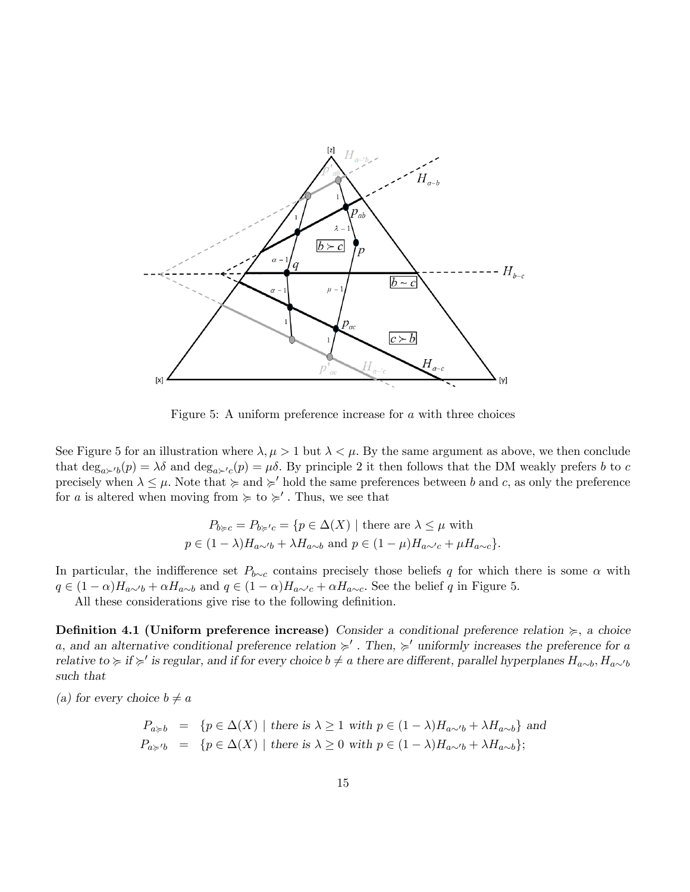

Figure 5: A uniform preference increase for a with three choices

See Figure 5 for an illustration where  $\lambda, \mu > 1$  but  $\lambda < \mu$ . By the same argument as above, we then conclude that  $\deg_{a\succ b}(p) = \lambda \delta$  and  $\deg_{a\succ c}(p) = \mu \delta$ . By principle 2 it then follows that the DM weakly prefers b to c precisely when  $\lambda \leq \mu$ . Note that  $\succcurlyeq$  and  $\succcurlyeq'$  hold the same preferences between b and c, as only the preference for a is altered when moving from  $\succcurlyeq$  to  $\succcurlyeq'$ . Thus, we see that

$$
P_{b \succcurlyeq c} = P_{b \succcurlyeq' c} = \{ p \in \Delta(X) \mid \text{there are } \lambda \le \mu \text{ with}
$$
  

$$
p \in (1 - \lambda)H_{a \sim' b} + \lambda H_{a \sim b} \text{ and } p \in (1 - \mu)H_{a \sim' c} + \mu H_{a \sim c} \}.
$$

In particular, the indifference set  $P_{b\sim c}$  contains precisely those beliefs q for which there is some  $\alpha$  with  $q \in (1 - \alpha)H_{a \sim b} + \alpha H_{a \sim b}$  and  $q \in (1 - \alpha)H_{a \sim c} + \alpha H_{a \sim c}$ . See the belief q in Figure 5.

All these considerations give rise to the following definition.

**Definition 4.1 (Uniform preference increase)** Consider a conditional preference relation  $\succcurlyeq$ , a choice a, and an alternative conditional preference relation  $\succ$ . Then,  $\succ$  uniformly increases the preference for a relative to  $\succcurlyeq$  if  $\succcurlyeq'$  is regular, and if for every choice  $b \neq a$  there are different, parallel hyperplanes  $H_{a\sim b}$ ,  $H_{a\sim b}$ such that

(a) for every choice  $b \neq a$ 

$$
P_{a \ge b} = \{ p \in \Delta(X) \mid \text{there is } \lambda \ge 1 \text{ with } p \in (1 - \lambda)H_{a \sim b} + \lambda H_{a \sim b} \} \text{ and}
$$
  

$$
P_{a \ge b} = \{ p \in \Delta(X) \mid \text{there is } \lambda \ge 0 \text{ with } p \in (1 - \lambda)H_{a \sim b} + \lambda H_{a \sim b} \};
$$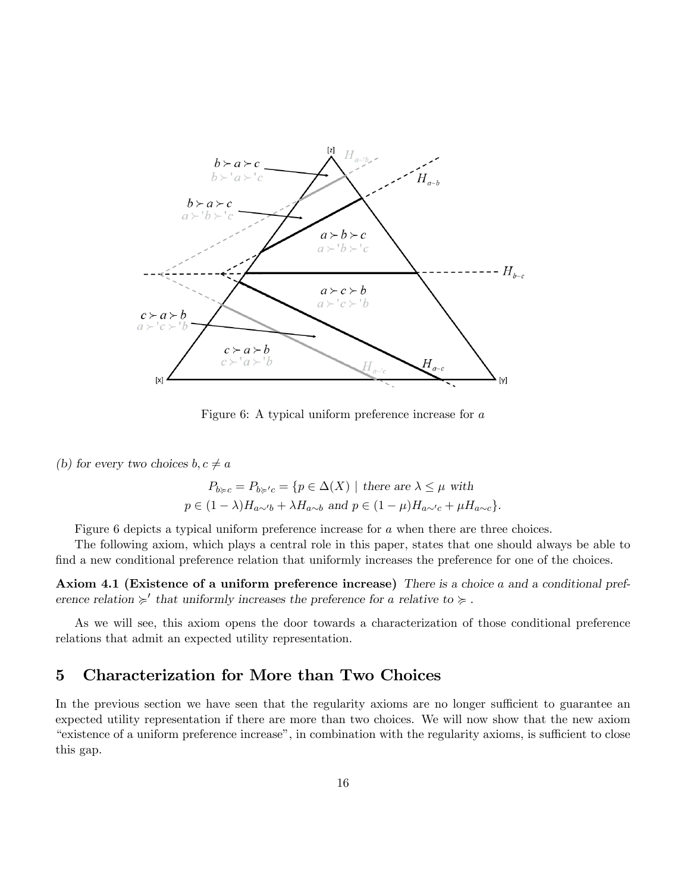

Figure 6: A typical uniform preference increase for a

(b) for every two choices  $b, c \neq a$ 

$$
P_{b \succcurlyeq c} = P_{b \succcurlyeq' c} = \{ p \in \Delta(X) \mid \text{there are } \lambda \le \mu \text{ with}
$$
  

$$
p \in (1 - \lambda)H_{a \sim' b} + \lambda H_{a \sim b} \text{ and } p \in (1 - \mu)H_{a \sim' c} + \mu H_{a \sim c} \}.
$$

Figure 6 depicts a typical uniform preference increase for a when there are three choices.

The following axiom, which plays a central role in this paper, states that one should always be able to find a new conditional preference relation that uniformly increases the preference for one of the choices.

Axiom 4.1 (Existence of a uniform preference increase) There is a choice a and a conditional preference relation  $\geq$ <sup>'</sup> that uniformly increases the preference for a relative to  $\geq$ .

As we will see, this axiom opens the door towards a characterization of those conditional preference relations that admit an expected utility representation.

# 5 Characterization for More than Two Choices

In the previous section we have seen that the regularity axioms are no longer sufficient to guarantee an expected utility representation if there are more than two choices. We will now show that the new axiom <sup>4</sup>existence of a uniform preference increase<sup>n</sup>, in combination with the regularity axioms, is sufficient to close this gap.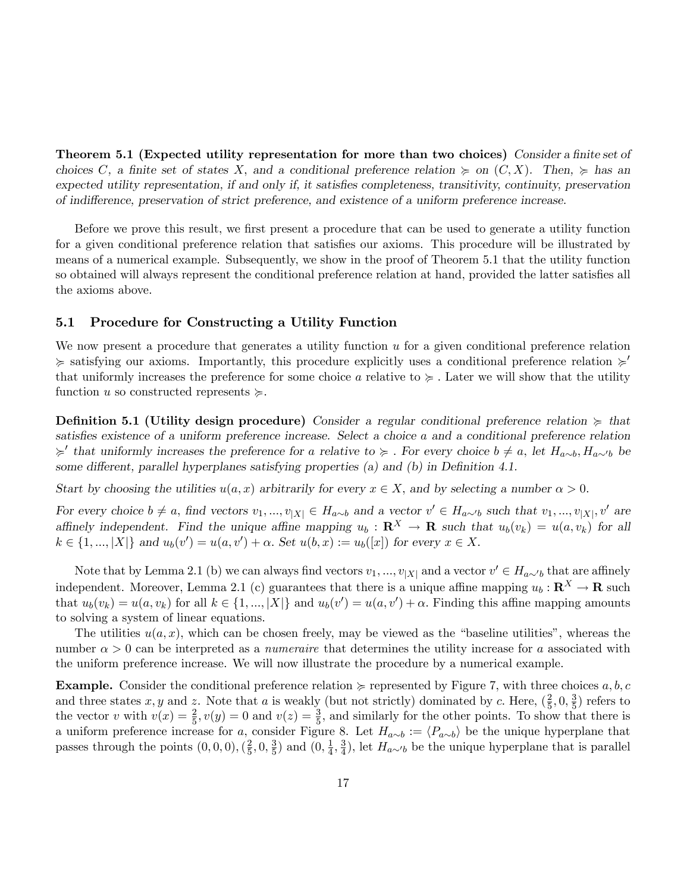Theorem 5.1 (Expected utility representation for more than two choices) Consider a finite set of choices C, a finite set of states X, and a conditional preference relation  $\succeq$  on  $(C, X)$ . Then,  $\succeq$  has an expected utility representation, if and only if, it satisfies completeness, transitivity, continuity, preservation of indifference, preservation of strict preference, and existence of a uniform preference increase.

Before we prove this result, we first present a procedure that can be used to generate a utility function for a given conditional preference relation that satisfies our axioms. This procedure will be illustrated by means of a numerical example. Subsequently, we show in the proof of Theorem 5.1 that the utility function so obtained will always represent the conditional preference relation at hand, provided the latter satisfies all the axioms above.

#### 5.1 Procedure for Constructing a Utility Function

We now present a procedure that generates a utility function u for a given conditional preference relation  $\geq$  satisfying our axioms. Importantly, this procedure explicitly uses a conditional preference relation  $\geq$ that uniformly increases the preference for some choice a relative to  $\succeq$ . Later we will show that the utility function u so constructed represents  $\succeq$ .

**Definition 5.1 (Utility design procedure)** Consider a regular conditional preference relation  $\succcurlyeq$  that satisfies existence of a uniform preference increase. Select a choice a and a conditional preference relation  $\succ$  that uniformly increases the preference for a relative to  $\succ$ . For every choice  $b \neq a$ , let  $H_{a\sim b}$ ,  $H_{a\sim b}$  be some different, parallel hyperplanes satisfying properties (a) and (b) in Definition 4.1.

Start by choosing the utilities  $u(a, x)$  arbitrarily for every  $x \in X$ , and by selecting a number  $\alpha > 0$ .

For every choice  $b \neq a$ , find vectors  $v_1, ..., v_{|X|} \in H_{a \sim b}$  and a vector  $v' \in H_{a \sim b}$  such that  $v_1, ..., v_{|X|}$ ,  $v'$  are affinely independent. Find the unique affine mapping  $u_b : \mathbf{R}^X \to \mathbf{R}$  such that  $u_b(v_k) = u(a, v_k)$  for all  $k \in \{1, ..., |X|\}$  and  $u_b(v') = u(a, v') + \alpha$ . Set  $u(b, x) := u_b([x])$  for every  $x \in X$ .

Note that by Lemma 2.1 (b) we can always find vectors  $v_1, ..., v_{|X|}$  and a vector  $v' \in H_{a \sim b}$  that are affinely independent. Moreover, Lemma 2.1 (c) guarantees that there is a unique affine mapping  $u_b : \mathbf{R}^X \to \mathbf{R}$  such that  $u_b(v_k) = u(a, v_k)$  for all  $k \in \{1, ..., |X|\}$  and  $u_b(v') = u(a, v') + \alpha$ . Finding this affine mapping amounts to solving a system of linear equations.

The utilities  $u(a, x)$ , which can be chosen freely, may be viewed as the "baseline utilities", whereas the number  $\alpha > 0$  can be interpreted as a *numeraire* that determines the utility increase for a associated with the uniform preference increase. We will now illustrate the procedure by a numerical example.

**Example.** Consider the conditional preference relation  $\succeq$  represented by Figure 7, with three choices a, b, c and three states x, y and z. Note that a is weakly (but not strictly) dominated by c. Here,  $(\frac{2}{5})$  $\frac{2}{5}, 0, \frac{3}{5}$  $\frac{3}{5}$ ) refers to the vector v with  $v(x) = \frac{2}{5}$ ,  $v(y) = 0$  and  $v(z) = \frac{3}{5}$ , and similarly for the other points. To show that there is a uniform preference increase for a, consider Figure 8. Let  $H_{a\sim b} := \langle P_{a\sim b} \rangle$  be the unique hyperplane that passes through the points  $(0,0,0), (\frac{2}{5})$  $\frac{2}{5}$ , 0,  $\frac{3}{5}$  $\frac{3}{5}$ ) and  $(0, \frac{1}{4})$  $\frac{1}{4}, \frac{3}{4}$  $\frac{3}{4}$ , let  $H_{a\sim b}$  be the unique hyperplane that is parallel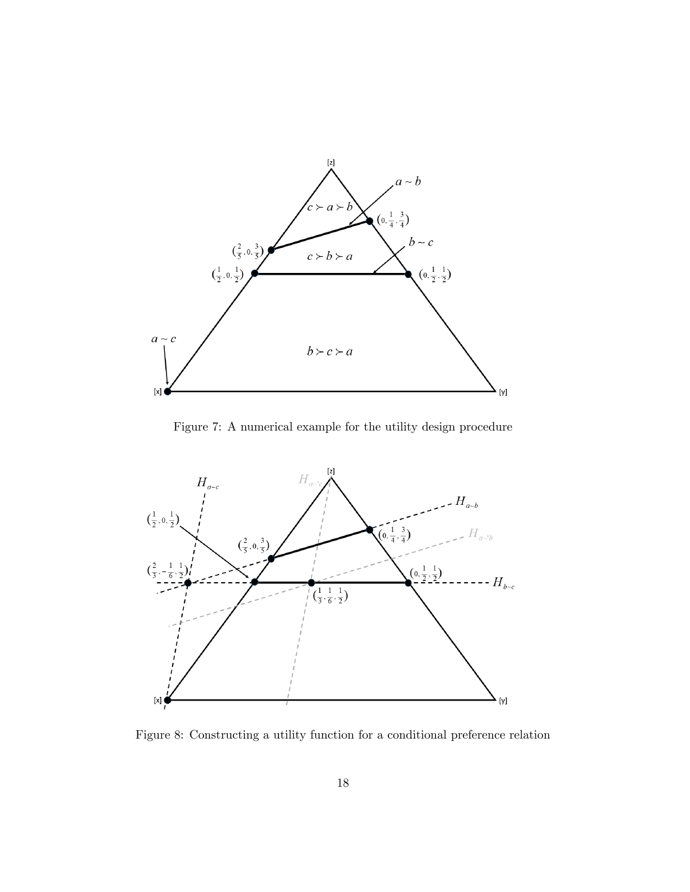

Figure 7: A numerical example for the utility design procedure



Figure 8: Constructing a utility function for a conditional preference relation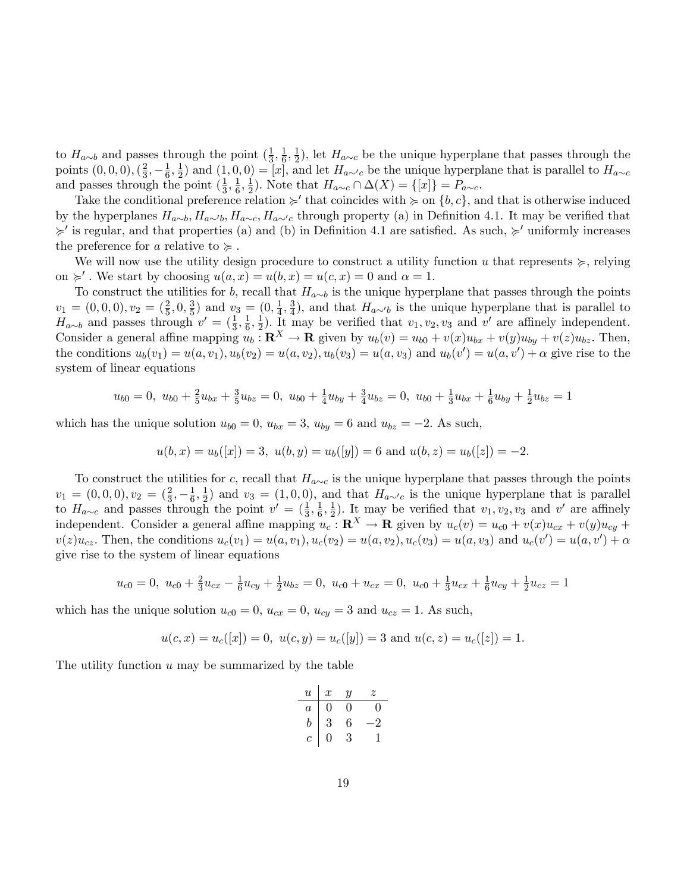to  $H_{a\sim b}$  and passes through the point  $\left(\frac{1}{3}\right)$  $\frac{1}{3}, \frac{1}{6}$  $\frac{1}{6}, \frac{1}{2}$  $\frac{1}{2}$ , let  $H_{a\sim c}$  be the unique hyperplane that passes through the points  $(0, 0, 0), (\frac{2}{3})$  $\frac{2}{3}, -\frac{1}{6}$  $\frac{1}{6}, \frac{1}{2}$  $(\frac{1}{2})$  and  $(1,0,0) = [x]$ , and let  $H_{a \sim c}$  be the unique hyperplane that is parallel to  $H_{a \sim c}$ and passes through the point  $(\frac{1}{3})$  $\frac{1}{3}, \frac{1}{6}$  $\frac{1}{6}, \frac{1}{2}$  $\frac{1}{2}$ ). Note that  $H_{a\sim c} \cap \Delta(X) = \{[x]\} = P_{a\sim c}.$ 

Take the conditional preference relation  $\succcurlyeq'$  that coincides with  $\succcurlyeq$  on  $\{b, c\}$ , and that is otherwise induced by the hyperplanes  $H_{a\sim b}$ ,  $H_{a\sim c}$ ,  $H_{a\sim c}$ ,  $H_{a\sim c}$  through property (a) in Definition 4.1. It may be verified that  $\geq$ ' is regular, and that properties (a) and (b) in Definition 4.1 are satisfied. As such,  $\geq$ ' uniformly increases the preference for a relative to  $\succcurlyeq$ .

We will now use the utility design procedure to construct a utility function u that represents  $\succeq$ , relying on  $\succcurlyeq'$ . We start by choosing  $u(a, x) = u(b, x) = u(c, x) = 0$  and  $\alpha = 1$ .

To construct the utilities for b, recall that  $H_{a\sim b}$  is the unique hyperplane that passes through the points  $v_1 = (0,0,0), v_2 = (\frac{2}{5},0,\frac{3}{5})$  $(\frac{3}{5})$  and  $v_3 = (0, \frac{1}{4})$  $\frac{1}{4}, \frac{3}{4}$  $\frac{3}{4}$ , and that  $H_{a\sim b}$  is the unique hyperplane that is parallel to  $H_{a\sim b}$  and passes through  $v' = (\frac{1}{3}, \frac{1}{6})$  $\frac{1}{6}, \frac{1}{2}$  $\frac{1}{2}$ ). It may be verified that  $v_1, v_2, v_3$  and  $v'$  are affinely independent. Consider a general affine mapping  $u_b : \mathbf{R}^X \to \mathbf{R}$  given by  $u_b(v) = u_{b0} + v(x)u_{bx} + v(y)u_{by} + v(z)u_{bz}$ . Then, the conditions  $u_b(v_1) = u(a, v_1), u_b(v_2) = u(a, v_2), u_b(v_3) = u(a, v_3)$  and  $u_b(v') = u(a, v') + \alpha$  give rise to the system of linear equations

$$
u_{b0} = 0, \ u_{b0} + \frac{2}{5}u_{bx} + \frac{3}{5}u_{bz} = 0, \ u_{b0} + \frac{1}{4}u_{by} + \frac{3}{4}u_{bz} = 0, \ u_{b0} + \frac{1}{3}u_{bx} + \frac{1}{6}u_{by} + \frac{1}{2}u_{bz} = 1
$$

which has the unique solution  $u_{b0} = 0$ ,  $u_{bx} = 3$ ,  $u_{by} = 6$  and  $u_{bz} = -2$ . As such,

$$
u(b, x) = u_b([x]) = 3
$$
,  $u(b, y) = u_b([y]) = 6$  and  $u(b, z) = u_b([z]) = -2$ .

To construct the utilities for c, recall that  $H_{a\sim c}$  is the unique hyperplane that passes through the points  $v_1 = (0,0,0), v_2 = (\frac{2}{3}, -\frac{1}{6})$  $\frac{1}{6}, \frac{1}{2}$  $(\frac{1}{2})$  and  $v_3 = (1, 0, 0)$ , and that  $H_{a \sim c}$  is the unique hyperplane that is parallel to  $H_{a\sim c}$  and passes through the point  $v' = (\frac{1}{3}, \frac{1}{6})$  $\frac{1}{6}, \frac{1}{2}$  $\frac{1}{2}$ ). It may be verified that  $v_1, v_2, v_3$  and  $v'$  are affinely independent. Consider a general affine mapping  $u_c$ :  $\mathbf{R}^X \to \mathbf{R}$  given by  $u_c(v) = u_{c0} + v(x)u_{cx} + v(y)u_{cy} + v(z)u_{cg}$  $v(z)u_{cz}$ . Then, the conditions  $u_c(v_1) = u(a, v_1), u_c(v_2) = u(a, v_2), u_c(v_3) = u(a, v_3)$  and  $u_c(v') = u(a, v') + \alpha$ give rise to the system of linear equations

$$
u_{c0} = 0, u_{c0} + \frac{2}{3}u_{cx} - \frac{1}{6}u_{cy} + \frac{1}{2}u_{bz} = 0, u_{c0} + u_{cx} = 0, u_{c0} + \frac{1}{3}u_{cx} + \frac{1}{6}u_{cy} + \frac{1}{2}u_{cz} = 1
$$

which has the unique solution  $u_{c0} = 0$ ,  $u_{cx} = 0$ ,  $u_{cy} = 3$  and  $u_{cz} = 1$ . As such,

$$
u(c, x) = u_c([x]) = 0
$$
,  $u(c, y) = u_c([y]) = 3$  and  $u(c, z) = u_c([z]) = 1$ .

The utility function  $u$  may be summarized by the table

| $\boldsymbol{u}$ | $\boldsymbol{x}$ | $\boldsymbol{y}$ | z              |
|------------------|------------------|------------------|----------------|
| $\overline{a}$   | 0                | 0                | U              |
| b                | 3                | 6                | $\overline{2}$ |
| c                | 0                | 3                |                |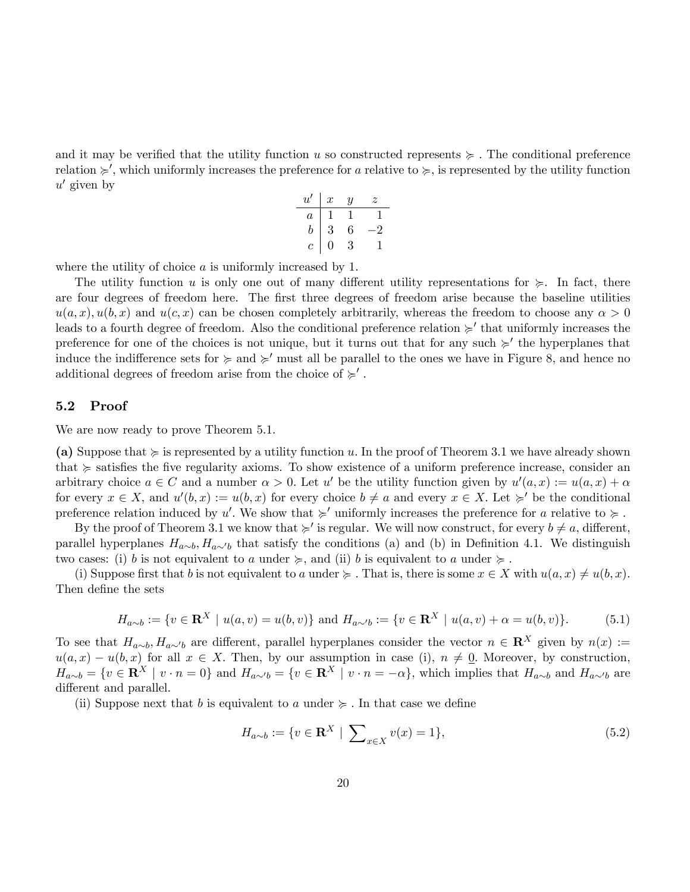and it may be verified that the utility function u so constructed represents  $\succeq$ . The conditional preference relation  $\succ$ ', which uniformly increases the preference for a relative to  $\succcurlyeq$ , is represented by the utility function  $u'$  given by

$$
\begin{array}{c|ccccc}\n u' & x & y & z \\
\hline\na & 1 & 1 & 1 \\
b & 3 & 6 & -2 \\
c & 0 & 3 & 1\n\end{array}
$$

where the utility of choice a is uniformly increased by 1.

The utility function u is only one out of many different utility representations for  $\succeq$ . In fact, there are four degrees of freedom here. The first three degrees of freedom arise because the baseline utilities  $u(a,x), u(b,x)$  and  $u(c,x)$  can be chosen completely arbitrarily, whereas the freedom to choose any  $\alpha > 0$ leads to a fourth degree of freedom. Also the conditional preference relation  $\succ'$  that uniformly increases the preference for one of the choices is not unique, but it turns out that for any such  $\succ'$  the hyperplanes that induce the indifference sets for  $\succcurlyeq$  and  $\succcurlyeq'$  must all be parallel to the ones we have in Figure 8, and hence no additional degrees of freedom arise from the choice of  $\succcurlyeq'$ .

#### 5.2 Proof

We are now ready to prove Theorem 5.1.

(a) Suppose that  $\succcurlyeq$  is represented by a utility function u. In the proof of Theorem 3.1 we have already shown that  $\succcurlyeq$  satisfies the five regularity axioms. To show existence of a uniform preference increase, consider an arbitrary choice  $a \in C$  and a number  $\alpha > 0$ . Let u' be the utility function given by  $u'(a, x) := u(a, x) + \alpha$ for every  $x \in X$ , and  $u'(b, x) := u(b, x)$  for every choice  $b \neq a$  and every  $x \in X$ . Let  $\succcurlyeq'$  be the conditional preference relation induced by u'. We show that  $\succcurlyeq'$  uniformly increases the preference for a relative to  $\succcurlyeq$ .

By the proof of Theorem 3.1 we know that  $\succ$  is regular. We will now construct, for every  $b \neq a$ , different, parallel hyperplanes  $H_{a\sim b}$ ,  $H_{a\sim b}$  that satisfy the conditions (a) and (b) in Definition 4.1. We distinguish two cases: (i) b is not equivalent to a under  $\succeq$ , and (ii) b is equivalent to a under  $\succeq$ .

(i) Suppose first that b is not equivalent to a under  $\succeq$ . That is, there is some  $x \in X$  with  $u(a, x) \neq u(b, x)$ . Then define the sets

$$
H_{a \sim b} := \{ v \in \mathbf{R}^X \mid u(a, v) = u(b, v) \} \text{ and } H_{a \sim b} := \{ v \in \mathbf{R}^X \mid u(a, v) + \alpha = u(b, v) \}. \tag{5.1}
$$

To see that  $H_{a\sim b}$ ,  $H_{a\sim b}$  are different, parallel hyperplanes consider the vector  $n \in \mathbb{R}^X$  given by  $n(x) :=$  $u(a,x) - u(b,x)$  for all  $x \in X$ . Then, by our assumption in case (i),  $n \neq 0$ . Moreover, by construction,  $H_{a\sim b} = \{v \in \mathbb{R}^X \mid v \cdot n = 0\}$  and  $H_{a\sim b} = \{v \in \mathbb{R}^X \mid v \cdot n = -\alpha\}$ , which implies that  $H_{a\sim b}$  and  $H_{a\sim b}$  are different and parallel.

(ii) Suppose next that b is equivalent to a under  $\succeq$ . In that case we define

$$
H_{a \sim b} := \{ v \in \mathbf{R}^X \mid \sum_{x \in X} v(x) = 1 \},\tag{5.2}
$$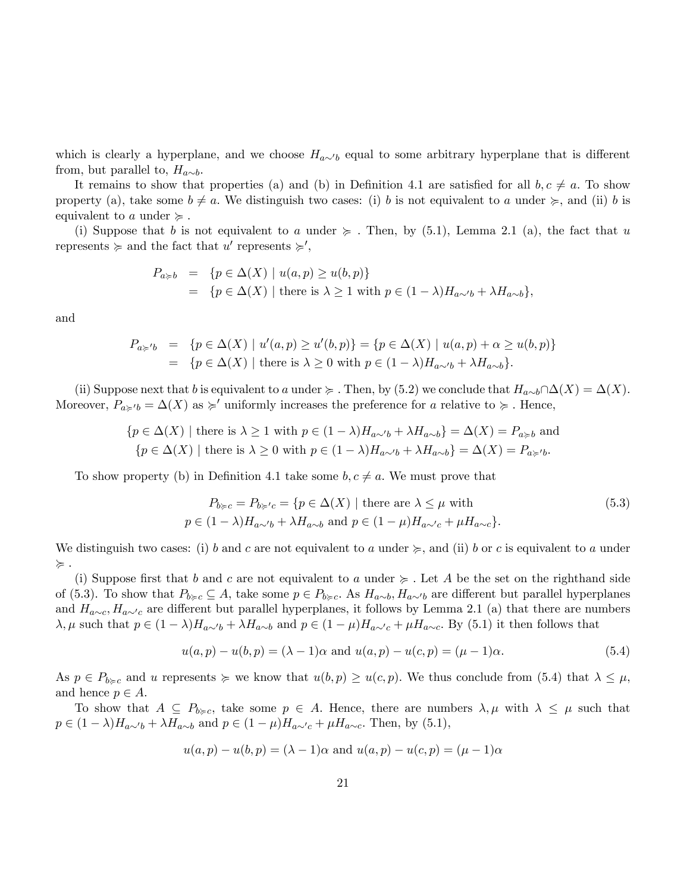which is clearly a hyperplane, and we choose  $H_{a\sim b}$  equal to some arbitrary hyperplane that is different from, but parallel to,  $H_{a\sim b}$ .

It remains to show that properties (a) and (b) in Definition 4.1 are satisfied for all  $b, c \neq a$ . To show property (a), take some  $b \neq a$ . We distinguish two cases: (i) b is not equivalent to a under  $\succcurlyeq$ , and (ii) b is equivalent to a under  $\succcurlyeq$ .

(i) Suppose that b is not equivalent to a under  $\succeq$ . Then, by (5.1), Lemma 2.1 (a), the fact that u represents  $\succcurlyeq$  and the fact that u' represents  $\succcurlyeq',$ 

$$
P_{a \geq b} = \{ p \in \Delta(X) \mid u(a, p) \geq u(b, p) \}
$$
  
= 
$$
\{ p \in \Delta(X) \mid \text{there is } \lambda \geq 1 \text{ with } p \in (1 - \lambda)H_{a \sim b} + \lambda H_{a \sim b} \},
$$

and

$$
P_{a \succcurlyeq' b} = \{ p \in \Delta(X) \mid u'(a, p) \ge u'(b, p) \} = \{ p \in \Delta(X) \mid u(a, p) + \alpha \ge u(b, p) \}
$$
  
= 
$$
\{ p \in \Delta(X) \mid \text{there is } \lambda \ge 0 \text{ with } p \in (1 - \lambda)H_{a \sim b} + \lambda H_{a \sim b} \}.
$$

(ii) Suppose next that b is equivalent to a under  $\succcurlyeq$  . Then, by (5.2) we conclude that  $H_{a\sim b} \cap \Delta(X) = \Delta(X)$ . Moreover,  $P_{a\geq b} = \Delta(X)$  as  $\succeq'$  uniformly increases the preference for a relative to  $\succeq$ . Hence,

$$
\{p \in \Delta(X) \mid \text{there is } \lambda \ge 1 \text{ with } p \in (1 - \lambda)H_{a \sim b} + \lambda H_{a \sim b}\} = \Delta(X) = P_{a \succ b} \text{ and}
$$
  

$$
\{p \in \Delta(X) \mid \text{there is } \lambda \ge 0 \text{ with } p \in (1 - \lambda)H_{a \sim b} + \lambda H_{a \sim b}\} = \Delta(X) = P_{a \succ b}.
$$

To show property (b) in Definition 4.1 take some  $b, c \neq a$ . We must prove that

$$
P_{b \succ c} = P_{b \succ c} = \{ p \in \Delta(X) \mid \text{there are } \lambda \le \mu \text{ with}
$$
  
\n
$$
p \in (1 - \lambda)H_{a \sim b} + \lambda H_{a \sim b} \text{ and } p \in (1 - \mu)H_{a \sim c} + \mu H_{a \sim c} \}.
$$
\n(5.3)

We distinguish two cases: (i) b and c are not equivalent to a under  $\succeq$ , and (ii) b or c is equivalent to a under  $\succcurlyeq$  .

(i) Suppose first that b and c are not equivalent to a under  $\succeq$ . Let A be the set on the righthand side of (5.3). To show that  $P_{b\geq c} \subseteq A$ , take some  $p \in P_{b\geq c}$ . As  $H_{a\sim b}$ ,  $H_{a\sim b}$  are different but parallel hyperplanes and  $H_{a\sim c}$ ,  $H_{a\sim c}$  are different but parallel hyperplanes, it follows by Lemma 2.1 (a) that there are numbers  $\lambda, \mu$  such that  $p \in (1 - \lambda)H_{a\sim b} + \lambda H_{a\sim b}$  and  $p \in (1 - \mu)H_{a\sim c} + \mu H_{a\sim c}$ . By (5.1) it then follows that

$$
u(a,p) - u(b,p) = (\lambda - 1)\alpha
$$
 and  $u(a,p) - u(c,p) = (\mu - 1)\alpha$ . (5.4)

As  $p \in P_{b \geqslant c}$  and u represents  $\succeq$  we know that  $u(b, p) \geq u(c, p)$ . We thus conclude from (5.4) that  $\lambda \leq \mu$ , and hence  $p \in A$ .

To show that  $A \subseteq P_{b \geq c}$ , take some  $p \in A$ . Hence, there are numbers  $\lambda, \mu$  with  $\lambda \leq \mu$  such that  $p \in (1 - \lambda)H_{a \sim b} + \lambda H_{a \sim b}$  and  $p \in (1 - \mu)H_{a \sim c} + \mu H_{a \sim c}$ . Then, by (5.1),

$$
u(a,p) - u(b,p) = (\lambda - 1)\alpha
$$
 and  $u(a,p) - u(c,p) = (\mu - 1)\alpha$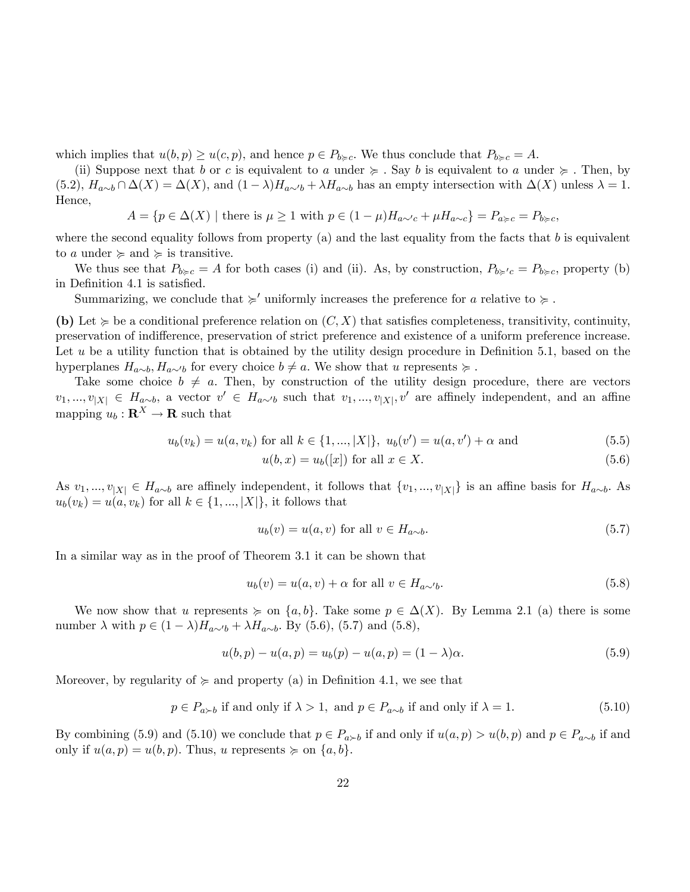which implies that  $u(b, p) \geq u(c, p)$ , and hence  $p \in P_{b \geq c}$ . We thus conclude that  $P_{b \geq c} = A$ .

(ii) Suppose next that b or c is equivalent to a under  $\succeq$ . Say b is equivalent to a under  $\succeq$ . Then, by  $(5.2), H_{a\sim b} \cap \Delta(X) = \Delta(X)$ , and  $(1 - \lambda)H_{a\sim b} + \lambda H_{a\sim b}$  has an empty intersection with  $\Delta(X)$  unless  $\lambda = 1$ . Hence,

 $A = \{p \in \Delta(X) \mid \text{there is } \mu \geq 1 \text{ with } p \in (1 - \mu)H_{a \sim c} + \mu H_{a \sim c}\} = P_{a \geq c} = P_{b \geq c}$ 

where the second equality follows from property (a) and the last equality from the facts that  $b$  is equivalent to a under  $\succcurlyeq$  and  $\succcurlyeq$  is transitive.

We thus see that  $P_{b\geqslant c} = A$  for both cases (i) and (ii). As, by construction,  $P_{b\geqslant c} = P_{b\geqslant c}$ , property (b) in Definition 4.1 is satisfied.

Summarizing, we conclude that  $\succcurlyeq'$  uniformly increases the preference for a relative to  $\succcurlyeq$ .

(b) Let  $\succeq$  be a conditional preference relation on  $(C, X)$  that satisfies completeness, transitivity, continuity, preservation of indifference, preservation of strict preference and existence of a uniform preference increase. Let  $u$  be a utility function that is obtained by the utility design procedure in Definition 5.1, based on the hyperplanes  $H_{a\sim b}$ ,  $H_{a\sim b}$  for every choice  $b \neq a$ . We show that u represents  $\succcurlyeq$ .

Take some choice  $b \neq a$ . Then, by construction of the utility design procedure, there are vectors  $v_1, ..., v_{|X|} \in H_{a \sim b}$ , a vector  $v' \in H_{a \sim b}$  such that  $v_1, ..., v_{|X|}$ ,  $v'$  are affinely independent, and an affine mapping  $u_b : \mathbf{R}^X \to \mathbf{R}$  such that

$$
u_b(v_k) = u(a, v_k) \text{ for all } k \in \{1, ..., |X|\}, \ u_b(v') = u(a, v') + \alpha \text{ and } (5.5)
$$

$$
u(b,x) = u_b([x])
$$
 for all  $x \in X$ . (5.6)

As  $v_1, ..., v_{|X|} \in H_{a\sim b}$  are affinely independent, it follows that  $\{v_1, ..., v_{|X|}\}$  is an affine basis for  $H_{a\sim b}$ . As  $u_b(v_k) = u(a, v_k)$  for all  $k \in \{1, ..., |X|\}$ , it follows that

$$
u_b(v) = u(a, v) \text{ for all } v \in H_{a \sim b}.\tag{5.7}
$$

In a similar way as in the proof of Theorem 3.1 it can be shown that

$$
u_b(v) = u(a, v) + \alpha \text{ for all } v \in H_{a \sim b}.
$$
\n
$$
(5.8)
$$

We now show that u represents  $\succeq$  on  $\{a, b\}$ . Take some  $p \in \Delta(X)$ . By Lemma 2.1 (a) there is some number  $\lambda$  with  $p \in (1 - \lambda)H_{a\sim b} + \lambda H_{a\sim b}$ . By (5.6), (5.7) and (5.8),

$$
u(b, p) - u(a, p) = u_b(p) - u(a, p) = (1 - \lambda)\alpha.
$$
\n(5.9)

Moreover, by regularity of  $\succeq$  and property (a) in Definition 4.1, we see that

$$
p \in P_{a \succ b} \text{ if and only if } \lambda > 1, \text{ and } p \in P_{a \sim b} \text{ if and only if } \lambda = 1. \tag{5.10}
$$

By combining (5.9) and (5.10) we conclude that  $p \in P_{a \succ b}$  if and only if  $u(a, p) > u(b, p)$  and  $p \in P_{a \sim b}$  if and only if  $u(a, p) = u(b, p)$ . Thus, u represents  $\succeq$  on  $\{a, b\}$ .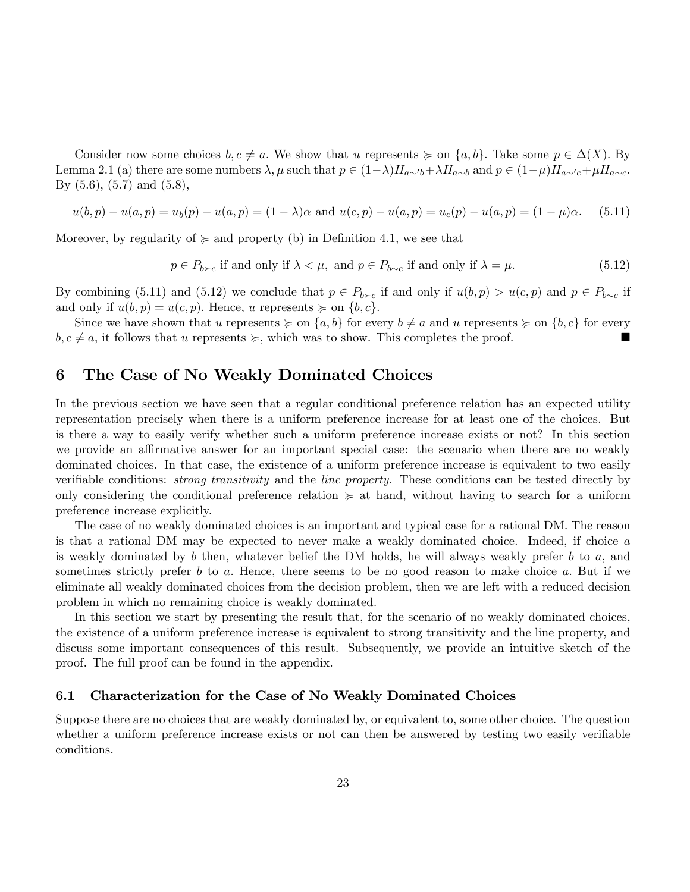Consider now some choices  $b, c \neq a$ . We show that u represents  $\succeq$  on  $\{a, b\}$ . Take some  $p \in \Delta(X)$ . By Lemma 2.1 (a) there are some numbers  $\lambda, \mu$  such that  $p \in (1-\lambda)H_{a\sim b}+\lambda H_{a\sim b}$  and  $p \in (1-\mu)H_{a\sim c}+\mu H_{a\sim c}$ . By (5.6), (5.7) and (5.8),

$$
u(b,p) - u(a,p) = u_b(p) - u(a,p) = (1 - \lambda)\alpha \text{ and } u(c,p) - u(a,p) = u_c(p) - u(a,p) = (1 - \mu)\alpha. \tag{5.11}
$$

Moreover, by regularity of  $\succeq$  and property (b) in Definition 4.1, we see that

$$
p \in P_{b \succ c} \text{ if and only if } \lambda < \mu, \text{ and } p \in P_{b \sim c} \text{ if and only if } \lambda = \mu. \tag{5.12}
$$

By combining (5.11) and (5.12) we conclude that  $p \in P_{b \succ c}$  if and only if  $u(b, p) > u(c, p)$  and  $p \in P_{b \sim c}$  if and only if  $u(b, p) = u(c, p)$ . Hence, u represents  $\succeq$  on  $\{b, c\}$ .

Since we have shown that u represents  $\succeq$  on  $\{a, b\}$  for every  $b \neq a$  and u represents  $\succeq$  on  $\{b, c\}$  for every  $b, c \neq a$ , it follows that u represents  $\succeq$ , which was to show. This completes the proof.

## 6 The Case of No Weakly Dominated Choices

In the previous section we have seen that a regular conditional preference relation has an expected utility representation precisely when there is a uniform preference increase for at least one of the choices. But is there a way to easily verify whether such a uniform preference increase exists or not? In this section we provide an affirmative answer for an important special case: the scenario when there are no weakly dominated choices. In that case, the existence of a uniform preference increase is equivalent to two easily verifiable conditions: *strong transitivity* and the *line property*. These conditions can be tested directly by only considering the conditional preference relation  $\succeq$  at hand, without having to search for a uniform preference increase explicitly.

The case of no weakly dominated choices is an important and typical case for a rational DM. The reason is that a rational DM may be expected to never make a weakly dominated choice. Indeed, if choice a is weakly dominated by  $b$  then, whatever belief the DM holds, he will always weakly prefer  $b$  to  $a$ , and sometimes strictly prefer b to a. Hence, there seems to be no good reason to make choice a. But if we eliminate all weakly dominated choices from the decision problem, then we are left with a reduced decision problem in which no remaining choice is weakly dominated.

In this section we start by presenting the result that, for the scenario of no weakly dominated choices, the existence of a uniform preference increase is equivalent to strong transitivity and the line property, and discuss some important consequences of this result. Subsequently, we provide an intuitive sketch of the proof. The full proof can be found in the appendix.

#### 6.1 Characterization for the Case of No Weakly Dominated Choices

Suppose there are no choices that are weakly dominated by, or equivalent to, some other choice. The question whether a uniform preference increase exists or not can then be answered by testing two easily verifiable conditions.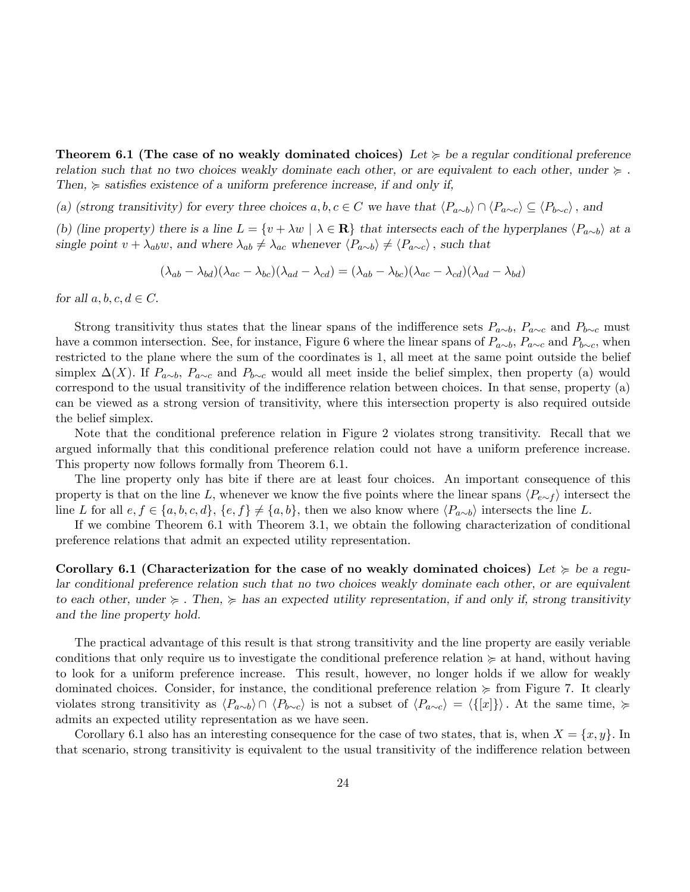**Theorem 6.1 (The case of no weakly dominated choices)** Let  $\succcurlyeq$  be a regular conditional preference relation such that no two choices weakly dominate each other, or are equivalent to each other, under  $\succcurlyeq$ . Then,  $\succcurlyeq$  satisfies existence of a uniform preference increase, if and only if,

(a) (strong transitivity) for every three choices  $a, b, c \in C$  we have that  $\langle P_{a\sim b} \rangle \cap \langle P_{a\sim c} \rangle \subseteq \langle P_{b\sim c} \rangle$ , and

(b) (line property) there is a line  $L = \{v + \lambda w \mid \lambda \in \mathbf{R}\}\)$  that intersects each of the hyperplanes  $\langle P_{a\sim b} \rangle$  at a single point  $v + \lambda_{ab}w$ , and where  $\lambda_{ab} \neq \lambda_{ac}$  whenever  $\langle P_{a\sim b} \rangle \neq \langle P_{a\sim c} \rangle$ , such that

$$
(\lambda_{ab} - \lambda_{bd})(\lambda_{ac} - \lambda_{bc})(\lambda_{ad} - \lambda_{cd}) = (\lambda_{ab} - \lambda_{bc})(\lambda_{ac} - \lambda_{cd})(\lambda_{ad} - \lambda_{bd})
$$

for all  $a, b, c, d \in C$ .

Strong transitivity thus states that the linear spans of the indifference sets  $P_{a\sim b}$ ,  $P_{a\sim c}$  and  $P_{b\sim c}$  must have a common intersection. See, for instance, Figure 6 where the linear spans of  $P_{a\sim b}$ ,  $P_{a\sim c}$  and  $P_{b\sim c}$ , when restricted to the plane where the sum of the coordinates is 1, all meet at the same point outside the belief simplex  $\Delta(X)$ . If  $P_{a\sim b}$ ,  $P_{a\sim c}$  and  $P_{b\sim c}$  would all meet inside the belief simplex, then property (a) would correspond to the usual transitivity of the indifference relation between choices. In that sense, property (a) can be viewed as a strong version of transitivity, where this intersection property is also required outside the belief simplex.

Note that the conditional preference relation in Figure 2 violates strong transitivity. Recall that we argued informally that this conditional preference relation could not have a uniform preference increase. This property now follows formally from Theorem 6.1.

The line property only has bite if there are at least four choices. An important consequence of this property is that on the line L, whenever we know the five points where the linear spans  $\langle P_{e \sim f} \rangle$  intersect the line L for all  $e, f \in \{a, b, c, d\}, \{e, f\} \neq \{a, b\}$ , then we also know where  $\langle P_{a\sim b} \rangle$  intersects the line L.

If we combine Theorem 6.1 with Theorem 3.1, we obtain the following characterization of conditional preference relations that admit an expected utility representation.

Corollary 6.1 (Characterization for the case of no weakly dominated choices) Let  $\succcurlyeq$  be a regular conditional preference relation such that no two choices weakly dominate each other, or are equivalent to each other, under  $\succeq$ . Then,  $\succeq$  has an expected utility representation, if and only if, strong transitivity and the line property hold.

The practical advantage of this result is that strong transitivity and the line property are easily veriable conditions that only require us to investigate the conditional preference relation  $\succeq$  at hand, without having to look for a uniform preference increase. This result, however, no longer holds if we allow for weakly dominated choices. Consider, for instance, the conditional preference relation  $\succeq$  from Figure 7. It clearly violates strong transitivity as  $\langle P_{a\sim b} \rangle \cap \langle P_{b\sim c} \rangle$  is not a subset of  $\langle P_{a\sim c} \rangle = \langle \{ [x] \} \rangle$ . At the same time,  $\succcurlyeq$ admits an expected utility representation as we have seen.

Corollary 6.1 also has an interesting consequence for the case of two states, that is, when  $X = \{x, y\}$ . In that scenario, strong transitivity is equivalent to the usual transitivity of the indifference relation between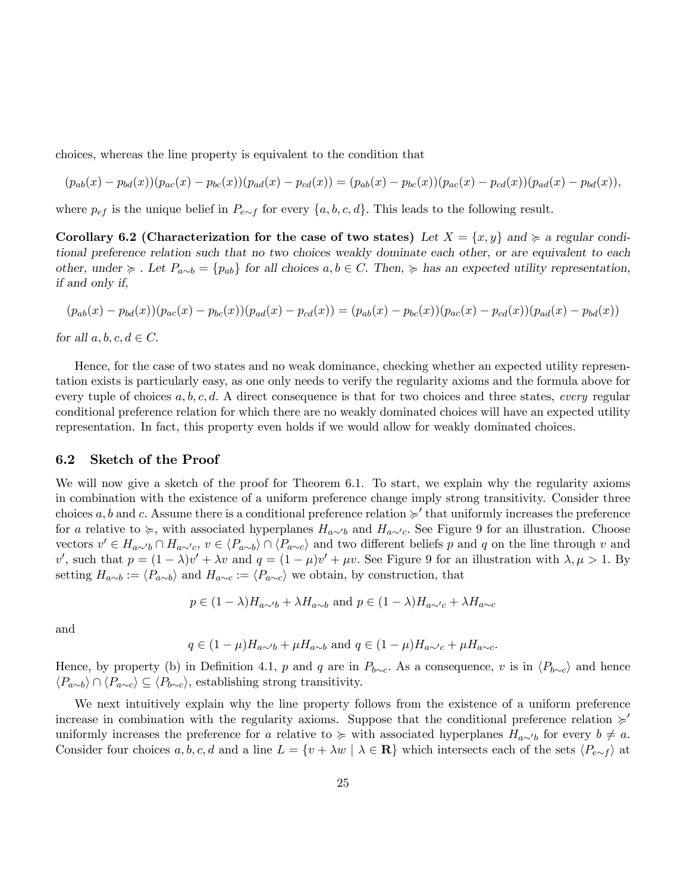choices, whereas the line property is equivalent to the condition that

$$
(p_{ab}(x) - p_{bd}(x))(p_{ac}(x) - p_{bc}(x))(p_{ad}(x) - p_{cd}(x)) = (p_{ab}(x) - p_{bc}(x))(p_{ac}(x) - p_{cd}(x))(p_{ad}(x) - p_{bd}(x)),
$$

where  $p_{ef}$  is the unique belief in  $P_{e \sim f}$  for every  $\{a, b, c, d\}$ . This leads to the following result.

Corollary 6.2 (Characterization for the case of two states) Let  $X = \{x, y\}$  and  $\succcurlyeq$  a regular conditional preference relation such that no two choices weakly dominate each other, or are equivalent to each other, under  $\succeq$ . Let  $P_{a\sim b} = \{p_{ab}\}\$  for all choices  $a, b \in C$ . Then,  $\succeq$  has an expected utility representation, if and only if,

$$
(p_{ab}(x) - p_{bd}(x))(p_{ac}(x) - p_{bc}(x))(p_{ad}(x) - p_{cd}(x)) = (p_{ab}(x) - p_{bc}(x))(p_{ac}(x) - p_{cd}(x))(p_{ad}(x) - p_{bd}(x))
$$

for all  $a, b, c, d \in C$ .

Hence, for the case of two states and no weak dominance, checking whether an expected utility representation exists is particularly easy, as one only needs to verify the regularity axioms and the formula above for every tuple of choices  $a, b, c, d$ . A direct consequence is that for two choices and three states, *every* regular conditional preference relation for which there are no weakly dominated choices will have an expected utility representation. In fact, this property even holds if we would allow for weakly dominated choices.

#### 6.2 Sketch of the Proof

We will now give a sketch of the proof for Theorem 6.1. To start, we explain why the regularity axioms in combination with the existence of a uniform preference change imply strong transitivity. Consider three choices a, b and c. Assume there is a conditional preference relation  $\succ$  that uniformly increases the preference for a relative to  $\succcurlyeq$ , with associated hyperplanes  $H_{a\sim b}$  and  $H_{a\sim c}$ . See Figure 9 for an illustration. Choose vectors  $v' \in H_{a\sim b} \cap H_{a\sim c}$ ,  $v \in \langle P_{a\sim b} \rangle \cap \langle P_{a\sim c} \rangle$  and two different beliefs p and q on the line through v and v', such that  $p = (1 - \lambda)v' + \lambda v$  and  $q = (1 - \mu)v' + \mu v$ . See Figure 9 for an illustration with  $\lambda, \mu > 1$ . By setting  $H_{a\sim b} := \langle P_{a\sim b} \rangle$  and  $H_{a\sim c} := \langle P_{a\sim c} \rangle$  we obtain, by construction, that

$$
p \in (1 - \lambda)H_{a \sim b} + \lambda H_{a \sim b}
$$
 and  $p \in (1 - \lambda)H_{a \sim c} + \lambda H_{a \sim c}$ 

and

$$
q \in (1 - \mu)H_{a \sim b} + \mu H_{a \sim b}
$$
 and  $q \in (1 - \mu)H_{a \sim c} + \mu H_{a \sim c}$ .

Hence, by property (b) in Definition 4.1, p and q are in  $P_{b\sim c}$ . As a consequence, v is in  $\langle P_{b\sim c} \rangle$  and hence  $\langle P_{a\sim b} \rangle \cap \langle P_{a\sim c} \rangle \subseteq \langle P_{b\sim c} \rangle$ , establishing strong transitivity.

We next intuitively explain why the line property follows from the existence of a uniform preference increase in combination with the regularity axioms. Suppose that the conditional preference relation  $\succ$ uniformly increases the preference for a relative to  $\succcurlyeq$  with associated hyperplanes  $H_{a\sim b}$  for every  $b \neq a$ . Consider four choices  $a, b, c, d$  and a line  $L = \{v + \lambda w \mid \lambda \in \mathbf{R}\}\$  which intersects each of the sets  $\langle P_{e \sim f} \rangle$  at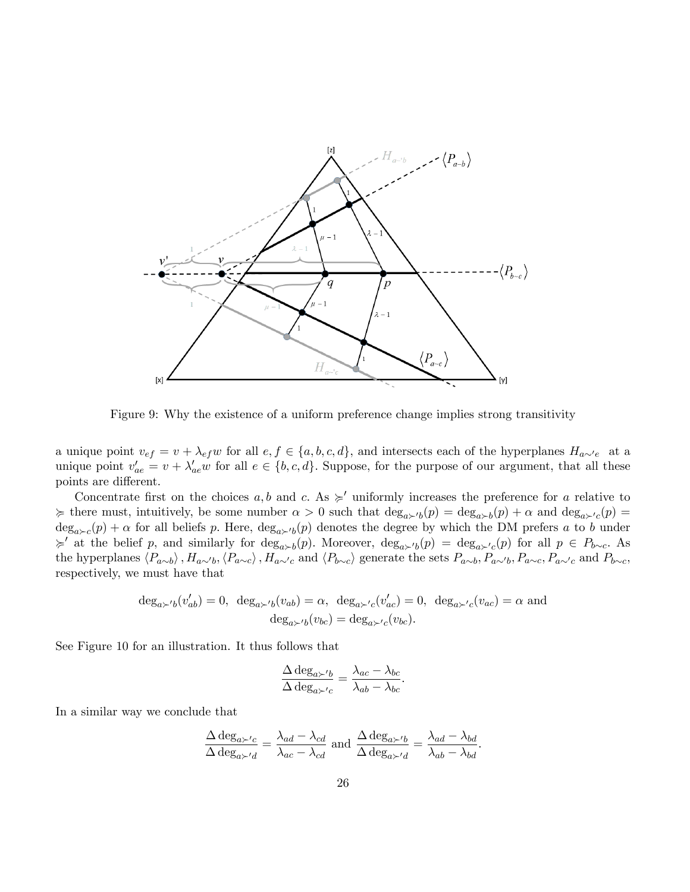

Figure 9: Why the existence of a uniform preference change implies strong transitivity

a unique point  $v_{ef} = v + \lambda_{ef} w$  for all  $e, f \in \{a, b, c, d\}$ , and intersects each of the hyperplanes  $H_{a\sim e}$  at a unique point  $v'_{ae} = v + \lambda'_{ae} w$  for all  $e \in \{b, c, d\}$ . Suppose, for the purpose of our argument, that all these points are different.

Concentrate first on the choices a, b and c. As  $\geq$  uniformly increases the preference for a relative to  $\geq$  there must, intuitively, be some number  $\alpha > 0$  such that  $\deg_{a \succ b}(p) = \deg_{a \succ b}(p) + \alpha$  and  $\deg_{a \succ' c}(p) =$  $deg_{a \succ c}(p) + \alpha$  for all beliefs p. Here,  $deg_{a \succ b}(p)$  denotes the degree by which the DM prefers a to b under  $\succcurlyeq'$  at the belief p, and similarly for deg<sub>able</sub> b). Moreover, deg<sub>able</sub>  $(p) = \deg_{a \succ' c}(p)$  for all  $p \in P_{b \sim c}$ . As the hyperplanes  $\langle P_{a\sim b}\rangle$ ,  $H_{a\sim b}$ ,  $\langle P_{a\sim c}\rangle$ ,  $H_{a\sim c}$  and  $\langle P_{b\sim c}\rangle$  generate the sets  $P_{a\sim b}$ ,  $P_{a\sim b}$ ,  $P_{a\sim c}$ ,  $P_{a\sim c}$ , and  $P_{b\sim c}$ , respectively, we must have that

$$
\deg_{a\succ' b}(v'_{ab}) = 0, \ \deg_{a\succ' b}(v_{ab}) = \alpha, \ \deg_{a\succ' c}(v'_{ac}) = 0, \ \deg_{a\succ' c}(v_{ac}) = \alpha \text{ and}
$$

$$
\deg_{a\succ' b}(v_{bc}) = \deg_{a\succ' c}(v_{bc}).
$$

See Figure 10 for an illustration. It thus follows that

$$
\frac{\Delta \deg_{a \succ' b}}{\Delta \deg_{a \succ' c}} = \frac{\lambda_{ac} - \lambda_{bc}}{\lambda_{ab} - \lambda_{bc}}.
$$

In a similar way we conclude that

$$
\frac{\Delta \deg_{a\succ'c}}{\Delta \deg_{a\succ'd}} = \frac{\lambda_{ad} - \lambda_{cd}}{\lambda_{ac} - \lambda_{cd}} \text{ and } \frac{\Delta \deg_{a\succ'b}}{\Delta \deg_{a\succ'd}} = \frac{\lambda_{ad} - \lambda_{bd}}{\lambda_{ab} - \lambda_{bd}}.
$$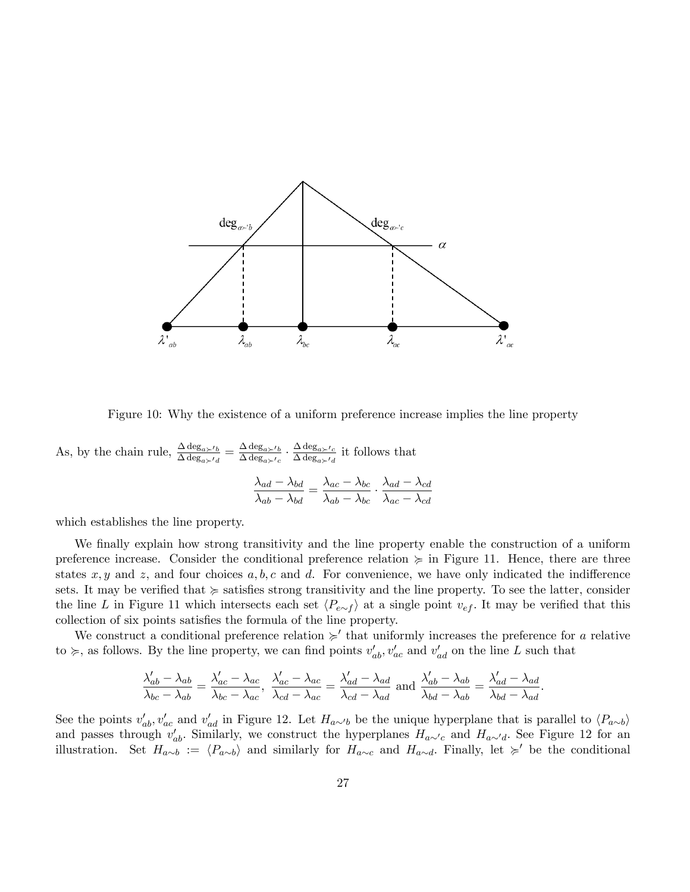

Figure 10: Why the existence of a uniform preference increase implies the line property

As, by the chain rule,  $\frac{\Delta \deg_{a \succ' b}}{\Delta \deg_{a \succ' a}} = \frac{\Delta \deg_{a \succ' b}}{\Delta \deg_{a \succ' c}}$  $\frac{\Delta \deg_{a\succ' b}}{\Delta \deg_{a\succ'} c} \cdot \frac{\Delta \deg_{a\succ' c}}{\Delta \deg_{a\succ'} d}$  $\frac{\Delta \deg_{a \succ' c}}{\Delta \deg_{a \succ' d}}$  it follows that

$$
\frac{\lambda_{ad} - \lambda_{bd}}{\lambda_{ab} - \lambda_{bd}} = \frac{\lambda_{ac} - \lambda_{bc}}{\lambda_{ab} - \lambda_{bc}} \cdot \frac{\lambda_{ad} - \lambda_{cd}}{\lambda_{ac} - \lambda_{cd}}
$$

which establishes the line property.

We finally explain how strong transitivity and the line property enable the construction of a uniform preference increase. Consider the conditional preference relation  $\succeq$  in Figure 11. Hence, there are three states  $x, y$  and  $z$ , and four choices  $a, b, c$  and  $d$ . For convenience, we have only indicated the indifference sets. It may be verified that  $\succeq$  satisfies strong transitivity and the line property. To see the latter, consider the line L in Figure 11 which intersects each set  $\langle P_{e \sim f} \rangle$  at a single point  $v_{ef}$ . It may be verified that this collection of six points satisfies the formula of the line property.

We construct a conditional preference relation  $\succ$  that uniformly increases the preference for a relative to  $\succcurlyeq$ , as follows. By the line property, we can find points  $v'_{ab}, v'_{ac}$  and  $v'_{ad}$  on the line L such that

$$
\frac{\lambda'_{ab} - \lambda_{ab}}{\lambda_{bc} - \lambda_{ab}} = \frac{\lambda'_{ac} - \lambda_{ac}}{\lambda_{bc} - \lambda_{ac}}, \quad \frac{\lambda'_{ac} - \lambda_{ac}}{\lambda_{cd} - \lambda_{ac}} = \frac{\lambda'_{ad} - \lambda_{ad}}{\lambda_{cd} - \lambda_{ad}} \text{ and } \frac{\lambda'_{ab} - \lambda_{ab}}{\lambda_{bd} - \lambda_{ab}} = \frac{\lambda'_{ad} - \lambda_{ad}}{\lambda_{bd} - \lambda_{ad}}.
$$

See the points  $v'_{ab}$ ,  $v'_{ac}$  and  $v'_{ad}$  in Figure 12. Let  $H_{a\sim b}$  be the unique hyperplane that is parallel to  $\langle P_{a\sim b} \rangle$ and passes through  $v'_{ab}$ . Similarly, we construct the hyperplanes  $H_{a\sim c}$  and  $H_{a\sim d}$ . See Figure 12 for an illustration. Set  $H_{a\sim b} := \langle P_{a\sim b} \rangle$  and similarly for  $H_{a\sim c}$  and  $H_{a\sim d}$ . Finally, let  $\succcurlyeq'$  be the conditional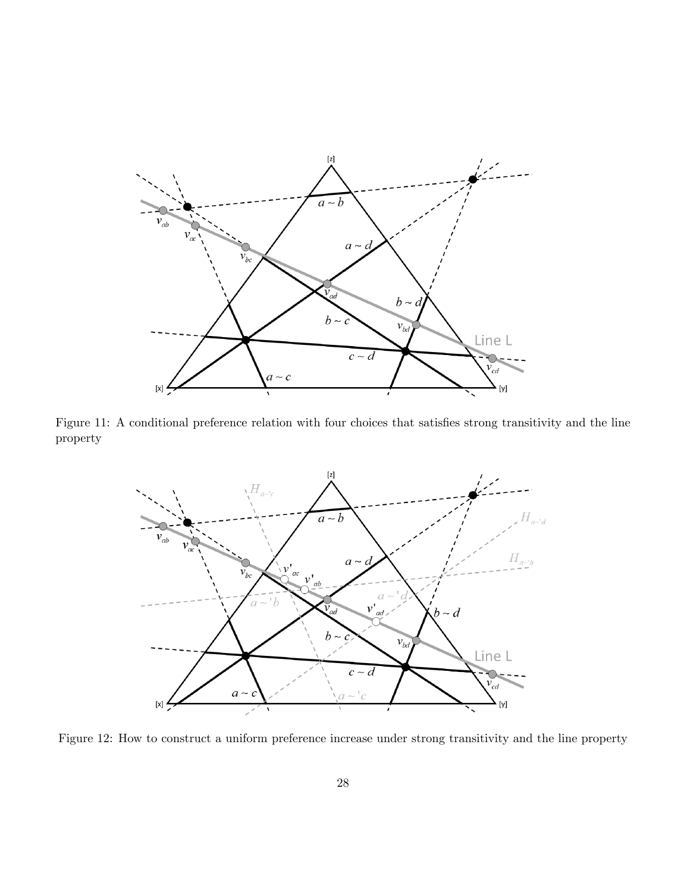

Figure 11: A conditional preference relation with four choices that satisfies strong transitivity and the line property



Figure 12: How to construct a uniform preference increase under strong transitivity and the line property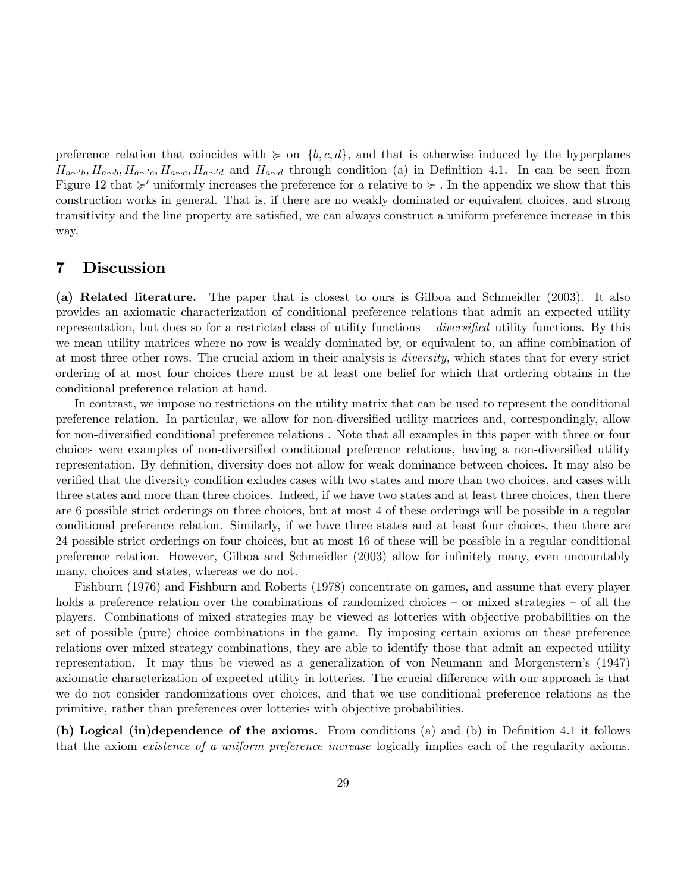preference relation that coincides with  $\succeq$  on  $\{b, c, d\}$ , and that is otherwise induced by the hyperplanes  $H_{a\sim b}, H_{a\sim b}, H_{a\sim c}, H_{a\sim c}, H_{a\sim d}$  and  $H_{a\sim d}$  through condition (a) in Definition 4.1. In can be seen from Figure 12 that  $\succsim'$  uniformly increases the preference for a relative to  $\succcurlyeq$ . In the appendix we show that this construction works in general. That is, if there are no weakly dominated or equivalent choices, and strong transitivity and the line property are satisfied, we can always construct a uniform preference increase in this way.

## 7 Discussion

(a) Related literature. The paper that is closest to ours is Gilboa and Schmeidler (2003). It also provides an axiomatic characterization of conditional preference relations that admit an expected utility representation, but does so for a restricted class of utility functions  $-\div\hat{\theta}$  diversified utility functions. By this we mean utility matrices where no row is weakly dominated by, or equivalent to, an affine combination of at most three other rows. The crucial axiom in their analysis is diversity, which states that for every strict ordering of at most four choices there must be at least one belief for which that ordering obtains in the conditional preference relation at hand.

In contrast, we impose no restrictions on the utility matrix that can be used to represent the conditional preference relation. In particular, we allow for non-diversified utility matrices and, correspondingly, allow for non-diversified conditional preference relations. Note that all examples in this paper with three or four choices were examples of non-diversified conditional preference relations, having a non-diversified utility representation. By definition, diversity does not allow for weak dominance between choices. It may also be verified that the diversity condition exludes cases with two states and more than two choices, and cases with three states and more than three choices. Indeed, if we have two states and at least three choices, then there are 6 possible strict orderings on three choices, but at most 4 of these orderings will be possible in a regular conditional preference relation. Similarly, if we have three states and at least four choices, then there are 24 possible strict orderings on four choices, but at most 16 of these will be possible in a regular conditional preference relation. However, Gilboa and Schmeidler (2003) allow for infinitely many, even uncountably many, choices and states, whereas we do not.

Fishburn (1976) and Fishburn and Roberts (1978) concentrate on games, and assume that every player holds a preference relation over the combinations of randomized choices  $-$  or mixed strategies  $-$  of all the players. Combinations of mixed strategies may be viewed as lotteries with objective probabilities on the set of possible (pure) choice combinations in the game. By imposing certain axioms on these preference relations over mixed strategy combinations, they are able to identify those that admit an expected utility representation. It may thus be viewed as a generalization of von Neumann and Morgensternís (1947) axiomatic characterization of expected utility in lotteries. The crucial difference with our approach is that we do not consider randomizations over choices, and that we use conditional preference relations as the primitive, rather than preferences over lotteries with objective probabilities.

(b) Logical (in)dependence of the axioms. From conditions (a) and (b) in Definition 4.1 it follows that the axiom existence of a uniform preference increase logically implies each of the regularity axioms.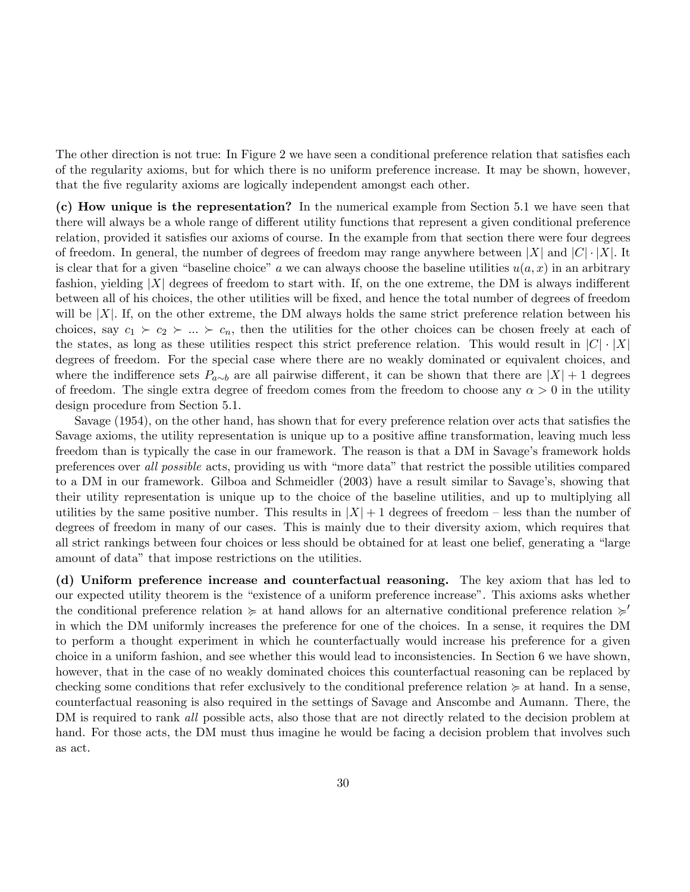The other direction is not true: In Figure 2 we have seen a conditional preference relation that satisfies each of the regularity axioms, but for which there is no uniform preference increase. It may be shown, however, that the five regularity axioms are logically independent amongst each other.

(c) How unique is the representation? In the numerical example from Section 5.1 we have seen that there will always be a whole range of different utility functions that represent a given conditional preference relation, provided it satisfies our axioms of course. In the example from that section there were four degrees of freedom. In general, the number of degrees of freedom may range anywhere between  $|X|$  and  $|C| \cdot |X|$ . It is clear that for a given "baseline choice" a we can always choose the baseline utilities  $u(a, x)$  in an arbitrary fashion, yielding  $|X|$  degrees of freedom to start with. If, on the one extreme, the DM is always indifferent between all of his choices, the other utilities will be Öxed, and hence the total number of degrees of freedom will be  $|X|$ . If, on the other extreme, the DM always holds the same strict preference relation between his choices, say  $c_1 \succ c_2 \succ ... \succ c_n$ , then the utilities for the other choices can be chosen freely at each of the states, as long as these utilities respect this strict preference relation. This would result in  $|C| \cdot |X|$ degrees of freedom. For the special case where there are no weakly dominated or equivalent choices, and where the indifference sets  $P_{a\sim b}$  are all pairwise different, it can be shown that there are  $|X|+1$  degrees of freedom. The single extra degree of freedom comes from the freedom to choose any  $\alpha > 0$  in the utility design procedure from Section 5.1.

Savage (1954), on the other hand, has shown that for every preference relation over acts that satisfies the Savage axioms, the utility representation is unique up to a positive affine transformation, leaving much less freedom than is typically the case in our framework. The reason is that a DM in Savage's framework holds preferences over all possible acts, providing us with "more data" that restrict the possible utilities compared to a DM in our framework. Gilboa and Schmeidler (2003) have a result similar to Savage's, showing that their utility representation is unique up to the choice of the baseline utilities, and up to multiplying all utilities by the same positive number. This results in  $|X| + 1$  degrees of freedom – less than the number of degrees of freedom in many of our cases. This is mainly due to their diversity axiom, which requires that all strict rankings between four choices or less should be obtained for at least one belief, generating a "large amount of data" that impose restrictions on the utilities.

(d) Uniform preference increase and counterfactual reasoning. The key axiom that has led to our expected utility theorem is the "existence of a uniform preference increase". This axioms asks whether the conditional preference relation  $\succeq$  at hand allows for an alternative conditional preference relation  $\succeq$ in which the DM uniformly increases the preference for one of the choices. In a sense, it requires the DM to perform a thought experiment in which he counterfactually would increase his preference for a given choice in a uniform fashion, and see whether this would lead to inconsistencies. In Section 6 we have shown, however, that in the case of no weakly dominated choices this counterfactual reasoning can be replaced by checking some conditions that refer exclusively to the conditional preference relation  $\succeq$  at hand. In a sense, counterfactual reasoning is also required in the settings of Savage and Anscombe and Aumann. There, the DM is required to rank all possible acts, also those that are not directly related to the decision problem at hand. For those acts, the DM must thus imagine he would be facing a decision problem that involves such as act.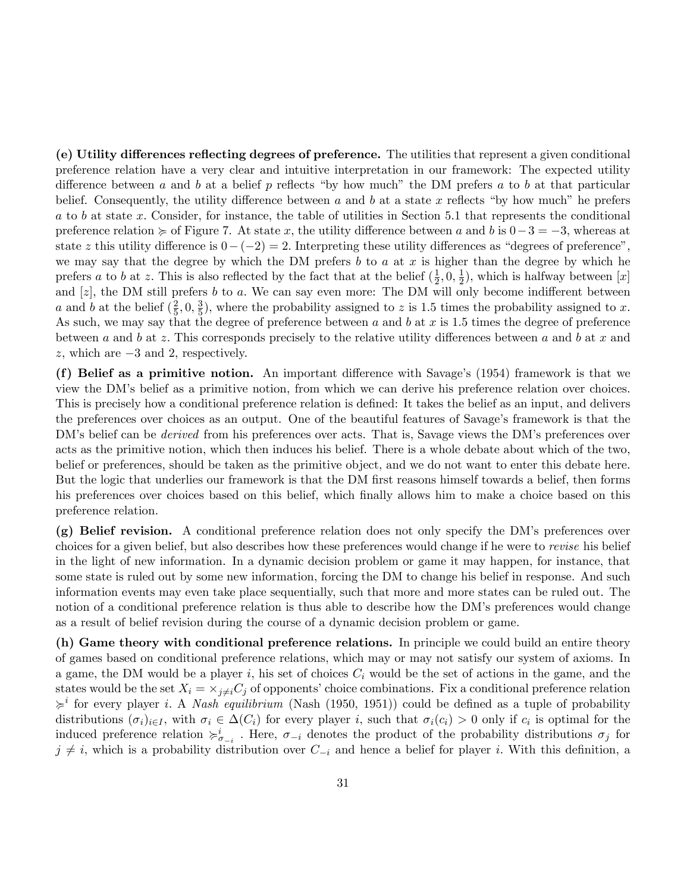(e) Utility differences reflecting degrees of preference. The utilities that represent a given conditional preference relation have a very clear and intuitive interpretation in our framework: The expected utility difference between a and b at a belief p reflects "by how much" the DM prefers a to b at that particular belief. Consequently, the utility difference between a and b at a state x reflects "by how much" he prefers a to b at state x: Consider, for instance, the table of utilities in Section 5.1 that represents the conditional preference relation  $\succeq$  of Figure 7. At state x, the utility difference between a and b is  $0-3=-3$ , whereas at state z this utility difference is  $0-(-2) = 2$ . Interpreting these utility differences as "degrees of preference", we may say that the degree by which the DM prefers  $b$  to  $a$  at  $x$  is higher than the degree by which he prefers a to b at z. This is also reflected by the fact that at the belief  $(\frac{1}{2})$  $\frac{1}{2}, 0, \frac{1}{2}$  $(\frac{1}{2})$ , which is halfway between [x] and  $[z]$ , the DM still prefers b to a. We can say even more: The DM will only become indifferent between a and b at the belief  $(\frac{2}{5})$  $\frac{2}{5}$ , 0,  $\frac{3}{5}$  $\frac{3}{5}$ , where the probability assigned to z is 1.5 times the probability assigned to x. As such, we may say that the degree of preference between a and b at x is 1.5 times the degree of preference between a and b at z. This corresponds precisely to the relative utility differences between a and b at x and  $z$ , which are  $-3$  and 2, respectively.

(f) Belief as a primitive notion. An important difference with Savage's  $(1954)$  framework is that we view the DMís belief as a primitive notion, from which we can derive his preference relation over choices. This is precisely how a conditional preference relation is defined: It takes the belief as an input, and delivers the preferences over choices as an output. One of the beautiful features of Savage's framework is that the DM's belief can be *derived* from his preferences over acts. That is, Savage views the DM's preferences over acts as the primitive notion, which then induces his belief. There is a whole debate about which of the two, belief or preferences, should be taken as the primitive object, and we do not want to enter this debate here. But the logic that underlies our framework is that the DM first reasons himself towards a belief, then forms his preferences over choices based on this belief, which finally allows him to make a choice based on this preference relation.

(g) Belief revision. A conditional preference relation does not only specify the DMís preferences over choices for a given belief, but also describes how these preferences would change if he were to revise his belief in the light of new information. In a dynamic decision problem or game it may happen, for instance, that some state is ruled out by some new information, forcing the DM to change his belief in response. And such information events may even take place sequentially, such that more and more states can be ruled out. The notion of a conditional preference relation is thus able to describe how the DM's preferences would change as a result of belief revision during the course of a dynamic decision problem or game.

(h) Game theory with conditional preference relations. In principle we could build an entire theory of games based on conditional preference relations, which may or may not satisfy our system of axioms. In a game, the DM would be a player  $i$ , his set of choices  $C_i$  would be the set of actions in the game, and the states would be the set  $X_i = \times_{j \neq i} C_j$  of opponents' choice combinations. Fix a conditional preference relation  $\geq i$  for every player *i*. A *Nash equilibrium* (Nash (1950, 1951)) could be defined as a tuple of probability distributions  $(\sigma_i)_{i\in I}$ , with  $\sigma_i \in \Delta(C_i)$  for every player i, such that  $\sigma_i(c_i) > 0$  only if  $c_i$  is optimal for the induced preference relation  $\succ_{\sigma_{-i}}^i$ . Here,  $\sigma_{-i}$  denotes the product of the probability distributions  $\sigma_j$  for  $j \neq i$ , which is a probability distribution over  $C_{-i}$  and hence a belief for player i. With this definition, a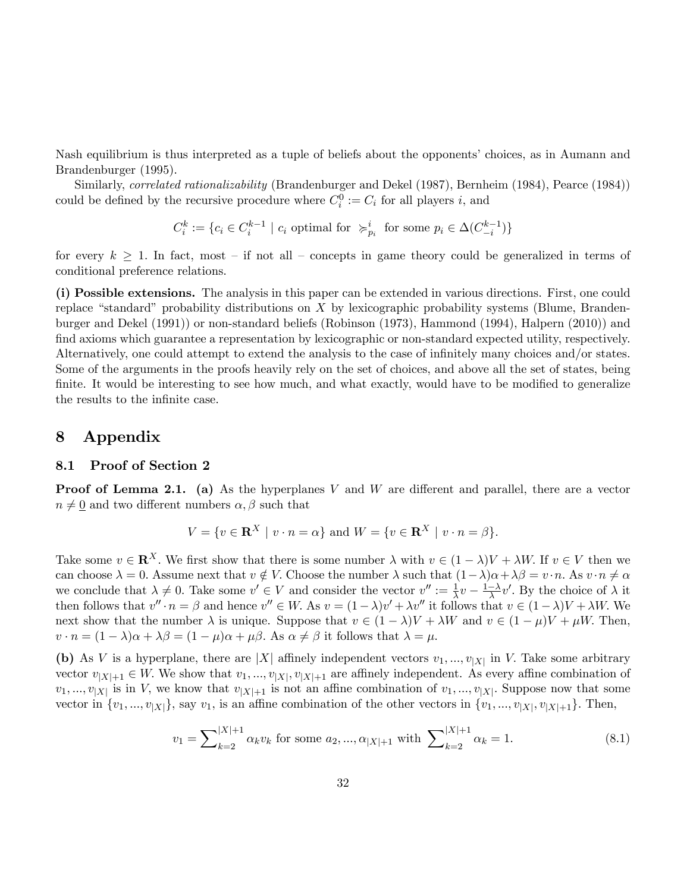Nash equilibrium is thus interpreted as a tuple of beliefs about the opponents' choices, as in Aumann and Brandenburger (1995).

Similarly, *correlated rationalizability* (Brandenburger and Dekel (1987), Bernheim (1984), Pearce (1984)) could be defined by the recursive procedure where  $C_i^0 := C_i$  for all players i, and

$$
C_i^k := \{c_i \in C_i^{k-1} \mid c_i \text{ optimal for } \succcurlyeq_{p_i}^i \text{ for some } p_i \in \Delta(C_{-i}^{k-1})\}
$$

for every  $k > 1$ . In fact, most – if not all – concepts in game theory could be generalized in terms of conditional preference relations.

(i) Possible extensions. The analysis in this paper can be extended in various directions. First, one could replace "standard" probability distributions on  $X$  by lexicographic probability systems (Blume, Brandenburger and Dekel (1991)) or non-standard beliefs (Robinson (1973), Hammond (1994), Halpern (2010)) and find axioms which guarantee a representation by lexicographic or non-standard expected utility, respectively. Alternatively, one could attempt to extend the analysis to the case of infinitely many choices and/or states. Some of the arguments in the proofs heavily rely on the set of choices, and above all the set of states, being finite. It would be interesting to see how much, and what exactly, would have to be modified to generalize the results to the infinite case.

## 8 Appendix

#### 8.1 Proof of Section 2

**Proof of Lemma 2.1.** (a) As the hyperplanes V and W are different and parallel, there are a vector  $n \neq 0$  and two different numbers  $\alpha, \beta$  such that

$$
V = \{ v \in \mathbf{R}^X \mid v \cdot n = \alpha \} \text{ and } W = \{ v \in \mathbf{R}^X \mid v \cdot n = \beta \}.
$$

Take some  $v \in \mathbb{R}^X$ . We first show that there is some number  $\lambda$  with  $v \in (1 - \lambda)V + \lambda W$ . If  $v \in V$  then we can choose  $\lambda = 0$ . Assume next that  $v \notin V$ . Choose the number  $\lambda$  such that  $(1 - \lambda)\alpha + \lambda\beta = v \cdot n$ . As  $v \cdot n \neq \alpha$ we conclude that  $\lambda \neq 0$ . Take some  $v' \in V$  and consider the vector  $v'' := \frac{1}{\lambda}v - \frac{1-\lambda}{\lambda}v'$ . By the choice of  $\lambda$  it then follows that  $v'' \cdot n = \beta$  and hence  $v'' \in W$ . As  $v = (1 - \lambda)v' + \lambda v''$  it follows that  $v \in (1 - \lambda)V + \lambda W$ . We next show that the number  $\lambda$  is unique. Suppose that  $v \in (1 - \lambda)V + \lambda W$  and  $v \in (1 - \mu)V + \mu W$ . Then,  $v \cdot n = (1 - \lambda)\alpha + \lambda\beta = (1 - \mu)\alpha + \mu\beta$ . As  $\alpha \neq \beta$  it follows that  $\lambda = \mu$ .

(b) As V is a hyperplane, there are |X| affinely independent vectors  $v_1, ..., v_{|X|}$  in V. Take some arbitrary vector  $v_{|X|+1} \in W$ . We show that  $v_1, ..., v_{|X|}$ ,  $v_{|X|+1}$  are affinely independent. As every affine combination of  $v_1, ..., v_{|X|}$  is in V, we know that  $v_{|X|+1}$  is not an affine combination of  $v_1, ..., v_{|X|}$ . Suppose now that some vector in  $\{v_1, ..., v_{|X|}\}$ , say  $v_1$ , is an affine combination of the other vectors in  $\{v_1, ..., v_{|X|}, v_{|X|+1}\}$ . Then,

$$
v_1 = \sum_{k=2}^{|X|+1} \alpha_k v_k \text{ for some } a_2, ..., \alpha_{|X|+1} \text{ with } \sum_{k=2}^{|X|+1} \alpha_k = 1. \tag{8.1}
$$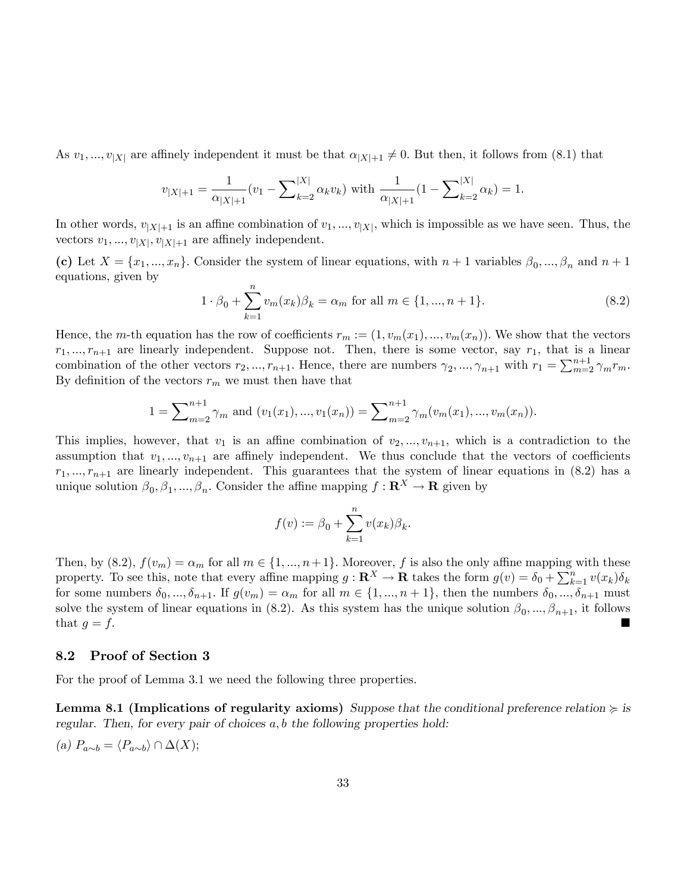As  $v_1, ..., v_{|X|}$  are affinely independent it must be that  $\alpha_{|X|+1} \neq 0$ . But then, it follows from (8.1) that

$$
v_{|X|+1} = \frac{1}{\alpha_{|X|+1}} (v_1 - \sum_{k=2}^{|X|} \alpha_k v_k) \text{ with } \frac{1}{\alpha_{|X|+1}} (1 - \sum_{k=2}^{|X|} \alpha_k) = 1.
$$

In other words,  $v_{|X|+1}$  is an affine combination of  $v_1, ..., v_{|X|}$ , which is impossible as we have seen. Thus, the vectors  $v_1, ..., v_{|X|}, v_{|X|+1}$  are affinely independent.

(c) Let  $X = \{x_1, ..., x_n\}$ . Consider the system of linear equations, with  $n+1$  variables  $\beta_0, ..., \beta_n$  and  $n+1$ equations, given by

$$
1 \cdot \beta_0 + \sum_{k=1}^n v_m(x_k)\beta_k = \alpha_m \text{ for all } m \in \{1, ..., n+1\}.
$$
 (8.2)

Hence, the m-th equation has the row of coefficients  $r_m := (1, v_m(x_1), ..., v_m(x_n))$ . We show that the vectors  $r_1, ..., r_{n+1}$  are linearly independent. Suppose not. Then, there is some vector, say  $r_1$ , that is a linear combination of the other vectors  $r_2, ..., r_{n+1}$ . Hence, there are numbers  $\gamma_2, ..., \gamma_{n+1}$  with  $r_1 = \sum_{m=2}^{n+1} \gamma_m r_m$ . By definition of the vectors  $r_m$  we must then have that

$$
1 = \sum_{m=2}^{n+1} \gamma_m \text{ and } (v_1(x_1), ..., v_1(x_n)) = \sum_{m=2}^{n+1} \gamma_m(v_m(x_1), ..., v_m(x_n)).
$$

This implies, however, that  $v_1$  is an affine combination of  $v_2, ..., v_{n+1}$ , which is a contradiction to the assumption that  $v_1, ..., v_{n+1}$  are affinely independent. We thus conclude that the vectors of coefficients  $r_1, ..., r_{n+1}$  are linearly independent. This guarantees that the system of linear equations in (8.2) has a unique solution  $\beta_0, \beta_1, ..., \beta_n$ . Consider the affine mapping  $f: \mathbf{R}^X \to \mathbf{R}$  given by

$$
f(v) := \beta_0 + \sum_{k=1}^n v(x_k)\beta_k.
$$

Then, by  $(8.2)$ ,  $f(v_m) = \alpha_m$  for all  $m \in \{1, ..., n+1\}$ . Moreover, f is also the only affine mapping with these property. To see this, note that every affine mapping  $g: \mathbf{R}^X \to \mathbf{R}$  takes the form  $g(v) = \delta_0 + \sum_{k=1}^n v(x_k) \delta_k$ for some numbers  $\delta_0, ..., \delta_{n+1}$ . If  $g(v_m) = \alpha_m$  for all  $m \in \{1, ..., n+1\}$ , then the numbers  $\delta_0, ..., \delta_{n+1}$  must solve the system of linear equations in (8.2). As this system has the unique solution  $\beta_0, ..., \beta_{n+1}$ , it follows that  $g = f$ .

#### 8.2 Proof of Section 3

For the proof of Lemma 3.1 we need the following three properties.

**Lemma 8.1 (Implications of regularity axioms)** Suppose that the conditional preference relation  $\succcurlyeq$  is regular. Then, for every pair of choices  $a, b$  the following properties hold:

(a) 
$$
P_{a\sim b} = \langle P_{a\sim b} \rangle \cap \Delta(X);
$$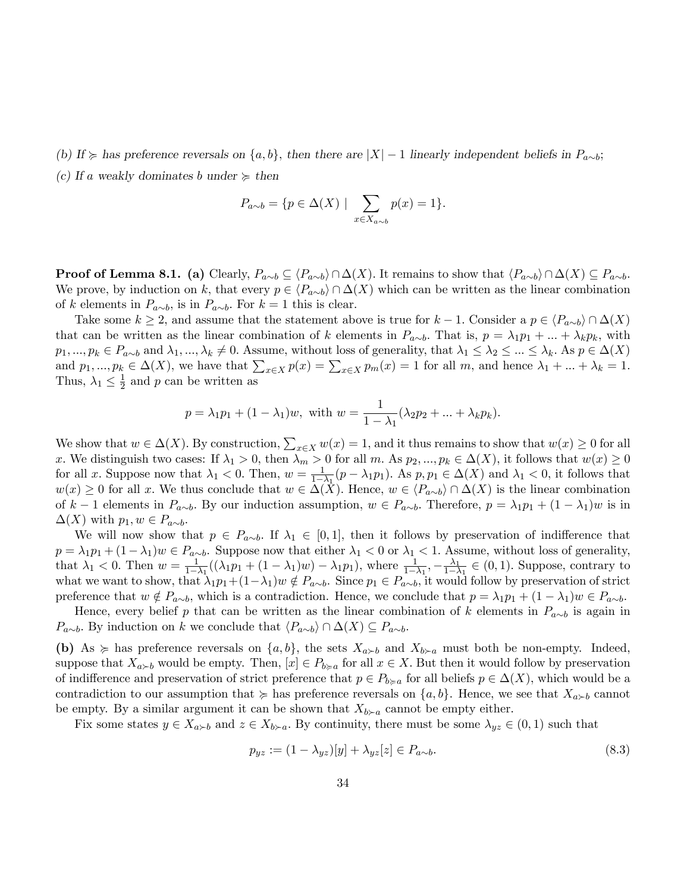(b) If  $\succcurlyeq$  has preference reversals on  $\{a, b\}$ , then there are  $|X| - 1$  linearly independent beliefs in  $P_{a \sim b}$ ; (c) If a weakly dominates b under  $\succeq$  then

$$
P_{a \sim b} = \{ p \in \Delta(X) \mid \sum_{x \in X_{a \sim b}} p(x) = 1 \}.
$$

**Proof of Lemma 8.1.** (a) Clearly,  $P_{a\sim b} \subseteq \langle P_{a\sim b} \rangle \cap \Delta(X)$ . It remains to show that  $\langle P_{a\sim b} \rangle \cap \Delta(X) \subseteq P_{a\sim b}$ . We prove, by induction on k, that every  $p \in \langle P_{a\sim b} \rangle \cap \Delta(X)$  which can be written as the linear combination of k elements in  $P_{a\sim b}$ , is in  $P_{a\sim b}$ . For  $k = 1$  this is clear.

Take some  $k \ge 2$ , and assume that the statement above is true for  $k - 1$ . Consider a  $p \in \langle P_{a \sim b} \rangle \cap \Delta(X)$ that can be written as the linear combination of k elements in  $P_{a\sim b}$ . That is,  $p = \lambda_1 p_1 + ... + \lambda_k p_k$ , with  $p_1, ..., p_k \in P_{a \sim b}$  and  $\lambda_1, ..., \lambda_k \neq 0$ . Assume, without loss of generality, that  $\lambda_1 \leq \lambda_2 \leq ... \leq \lambda_k$ . As  $p \in \Delta(X)$ and  $p_1, ..., p_k \in \Delta(X)$ , we have that  $\sum_{x \in X} p(x) = \sum_{x \in X} p_m(x) = 1$  for all m, and hence  $\lambda_1 + ... + \lambda_k = 1$ . Thus,  $\lambda_1 \leq \frac{1}{2}$  $\frac{1}{2}$  and p can be written as

$$
p = \lambda_1 p_1 + (1 - \lambda_1) w
$$
, with  $w = \frac{1}{1 - \lambda_1} (\lambda_2 p_2 + ... + \lambda_k p_k)$ .

We show that  $w \in \Delta(X)$ . By construction,  $\sum_{x \in X} w(x) = 1$ , and it thus remains to show that  $w(x) \ge 0$  for all x. We distinguish two cases: If  $\lambda_1 > 0$ , then  $\lambda_m > 0$  for all m. As  $p_2, ..., p_k \in \Delta(X)$ , it follows that  $w(x) \ge 0$ for all x. Suppose now that  $\lambda_1 < 0$ . Then,  $w = \frac{1}{1 - \lambda}$  $\frac{1}{1-\lambda_1}(p-\lambda_1p_1)$ . As  $p, p_1 \in \Delta(X)$  and  $\lambda_1 < 0$ , it follows that  $w(x) \geq 0$  for all x. We thus conclude that  $w \in \Delta(X)$ . Hence,  $w \in \langle P_{a \sim b} \rangle \cap \Delta(X)$  is the linear combination of  $k-1$  elements in  $P_{a\sim b}$ . By our induction assumption,  $w \in P_{a\sim b}$ . Therefore,  $p = \lambda_1p_1 + (1 - \lambda_1)w$  is in  $\Delta(X)$  with  $p_1, w \in P_{a \sim b}$ .

We will now show that  $p \in P_{a\sim b}$ . If  $\lambda_1 \in [0, 1]$ , then it follows by preservation of indifference that  $p = \lambda_1 p_1 + (1 - \lambda_1)w \in P_{a \sim b}$ . Suppose now that either  $\lambda_1 < 0$  or  $\lambda_1 < 1$ . Assume, without loss of generality, that  $\lambda_1 < 0$ . Then  $w = \frac{1}{1}$  $\frac{1}{1-\lambda_1}((\lambda_1p_1+(1-\lambda_1)w)-\lambda_1p_1), \text{ where } \frac{1}{1-\lambda_1},-\frac{\lambda_1}{1-\lambda_1}$  $\frac{\lambda_1}{1-\lambda_1} \in (0,1)$ . Suppose, contrary to what we want to show, that  $\lambda_1 p_1 + (1-\lambda_1)w \notin P_{a\sim b}$ . Since  $p_1 \in P_{a\sim b}$ , it would follow by preservation of strict preference that  $w \notin P_{a\sim b}$ , which is a contradiction. Hence, we conclude that  $p = \lambda_1 p_1 + (1 - \lambda_1)w \in P_{a\sim b}$ .

Hence, every belief p that can be written as the linear combination of k elements in  $P_{a\sim b}$  is again in  $P_{a\sim b}$ . By induction on k we conclude that  $\langle P_{a\sim b} \rangle \cap \Delta(X) \subseteq P_{a\sim b}$ .

(b) As  $\succeq$  has preference reversals on  $\{a, b\}$ , the sets  $X_{a \succ b}$  and  $X_{b \succ a}$  must both be non-empty. Indeed, suppose that  $X_{a \succ b}$  would be empty. Then,  $[x] \in P_{b \succ a}$  for all  $x \in X$ . But then it would follow by preservation of indifference and preservation of strict preference that  $p \in P_{b \geq a}$  for all beliefs  $p \in \Delta(X)$ , which would be a contradiction to our assumption that  $\succcurlyeq$  has preference reversals on  $\{a, b\}$ . Hence, we see that  $X_{a \succ b}$  cannot be empty. By a similar argument it can be shown that  $X_{b \succ a}$  cannot be empty either.

Fix some states  $y \in X_{a \succ b}$  and  $z \in X_{b \succ a}$ . By continuity, there must be some  $\lambda_{yz} \in (0,1)$  such that

$$
p_{yz} := (1 - \lambda_{yz})[y] + \lambda_{yz}[z] \in P_{a \sim b}.
$$
\n(8.3)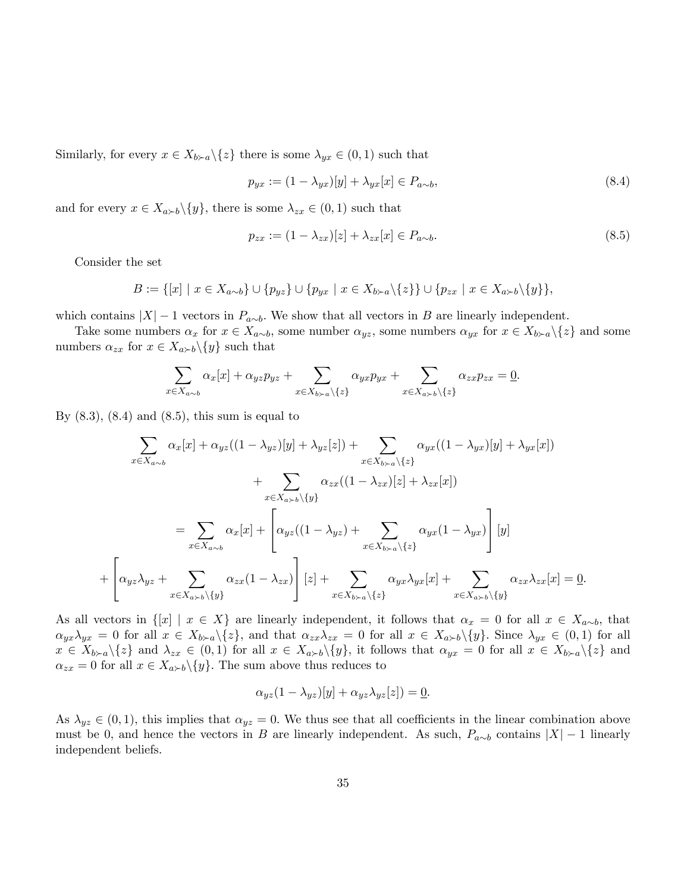Similarly, for every  $x \in X_{b \succ a} \backslash \{z\}$  there is some  $\lambda_{yx} \in (0,1)$  such that

$$
p_{yx} := (1 - \lambda_{yx})[y] + \lambda_{yx}[x] \in P_{a \sim b},\tag{8.4}
$$

and for every  $x \in X_{a \succ b} \setminus \{y\}$ , there is some  $\lambda_{zx} \in (0,1)$  such that

$$
p_{zx} := (1 - \lambda_{zx})[z] + \lambda_{zx}[x] \in P_{a \sim b}.
$$
\n
$$
(8.5)
$$

Consider the set

 $^{+}$ 

$$
B := \{ [x] \mid x \in X_{a \sim b} \} \cup \{ p_{yz} \} \cup \{ p_{yx} \mid x \in X_{b \succ a} \setminus \{ z \} \} \cup \{ p_{zx} \mid x \in X_{a \succ b} \setminus \{ y \} \},
$$

which contains  $|X| - 1$  vectors in  $P_{a \sim b}$ . We show that all vectors in B are linearly independent.

Take some numbers  $\alpha_x$  for  $x \in X_{a\sim b}$ , some number  $\alpha_{yz}$ , some numbers  $\alpha_{yx}$  for  $x \in X_{b\succ a}\backslash\{z\}$  and some numbers  $\alpha_{zx}$  for  $x \in X_{a \succ b} \setminus \{y\}$  such that

$$
\sum_{x \in X_{a \sim b}} \alpha_x[x] + \alpha_{yz} p_{yz} + \sum_{x \in X_{b \succ a} \setminus \{z\}} \alpha_{yx} p_{yx} + \sum_{x \in X_{a \succ b} \setminus \{z\}} \alpha_{zx} p_{zx} = \underline{0}.
$$

By  $(8.3)$ ,  $(8.4)$  and  $(8.5)$ , this sum is equal to

$$
\sum_{x \in X_{a \sim b}} \alpha_x [x] + \alpha_{yz}((1 - \lambda_{yz})[y] + \lambda_{yz}[z]) + \sum_{x \in X_{b \sim a} \backslash \{z\}} \alpha_{yx}((1 - \lambda_{yx})[y] + \lambda_{yx}[x])
$$
  
+ 
$$
\sum_{x \in X_{a \sim b} \backslash \{y\}} \alpha_{zx}((1 - \lambda_{zx})[z] + \lambda_{zx}[x])
$$
  
= 
$$
\sum_{x \in X_{a \sim b}} \alpha_x [x] + \left[ \alpha_{yz}((1 - \lambda_{yz}) + \sum_{x \in X_{b \sim a} \backslash \{z\}} \alpha_{yx}(1 - \lambda_{yx}) \right][y]
$$
  

$$
\left[ \alpha_{yz} \lambda_{yz} + \sum_{x \in X_{a \sim b} \backslash \{y\}} \alpha_{zx}(1 - \lambda_{zx}) \right][z] + \sum_{x \in X_{b \sim a} \backslash \{z\}} \alpha_{yx} \lambda_{yx}[x] + \sum_{x \in X_{a \sim b} \backslash \{y\}} \alpha_{zx} \lambda_{zx}[x] = 0.
$$

As all vectors in  $\{[x] \mid x \in X\}$  are linearly independent, it follows that  $\alpha_x = 0$  for all  $x \in X_{a \sim b}$ , that  $\alpha_{yx}\lambda_{yx} = 0$  for all  $x \in X_{b\geq a}\backslash\{z\}$ , and that  $\alpha_{zx}\lambda_{zx} = 0$  for all  $x \in X_{a\geq b}\backslash\{y\}$ . Since  $\lambda_{yx} \in (0,1)$  for all  $x \in X_{b \succ a} \setminus \{z\}$  and  $\lambda_{zx} \in (0,1)$  for all  $x \in X_{a \succ b} \setminus \{y\}$ , it follows that  $\alpha_{yx} = 0$  for all  $x \in X_{b \succ a} \setminus \{z\}$  and  $\alpha_{zx} = 0$  for all  $x \in X_{a \succ b} \setminus \{y\}$ . The sum above thus reduces to

$$
\alpha_{yz}(1-\lambda_{yz})[y] + \alpha_{yz}\lambda_{yz}[z]) = \underline{0}.
$$

As  $\lambda_{yz} \in (0, 1)$ , this implies that  $\alpha_{yz} = 0$ . We thus see that all coefficients in the linear combination above must be 0, and hence the vectors in B are linearly independent. As such,  $P_{a\sim b}$  contains  $|X| - 1$  linearly independent beliefs.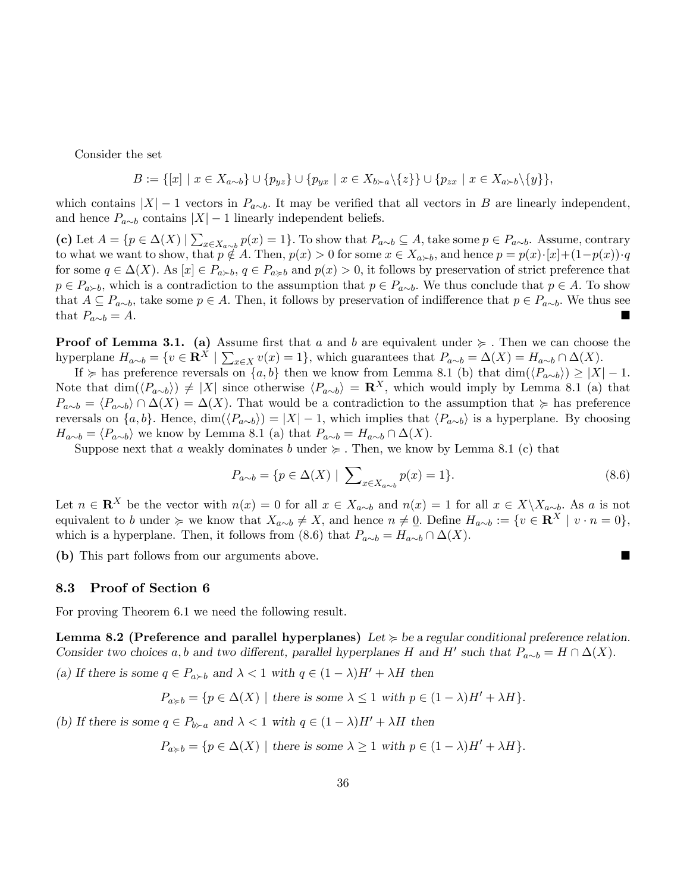Consider the set

$$
B := \{ [x] \mid x \in X_{a \sim b} \} \cup \{ p_{yz} \} \cup \{ p_{yx} \mid x \in X_{b \succ a} \setminus \{ z \} \} \cup \{ p_{zx} \mid x \in X_{a \succ b} \setminus \{ y \} \},
$$

which contains  $|X| - 1$  vectors in  $P_{a\sim b}$ . It may be verified that all vectors in B are linearly independent, and hence  $P_{a\sim b}$  contains  $|X| - 1$  linearly independent beliefs.

(c) Let  $A = \{p \in \Delta(X) \mid \sum_{x \in X_{a \sim b}} p(x) = 1\}$ . To show that  $P_{a \sim b} \subseteq A$ , take some  $p \in P_{a \sim b}$ . Assume, contrary to what we want to show, that  $p \notin A$ . Then,  $p(x) > 0$  for some  $x \in X_{a \succ b}$ , and hence  $p = p(x) \cdot [x] + (1-p(x)) \cdot q$ for some  $q \in \Delta(X)$ . As  $[x] \in P_{a \succ b}$ ,  $q \in P_{a \succ b}$  and  $p(x) > 0$ , it follows by preservation of strict preference that  $p \in P_{a \succ b}$ , which is a contradiction to the assumption that  $p \in P_{a \sim b}$ . We thus conclude that  $p \in A$ . To show that  $A \subseteq P_{a\sim b}$ , take some  $p \in A$ . Then, it follows by preservation of indifference that  $p \in P_{a\sim b}$ . We thus see that  $P_{a\sim b} = A$ . that  $P_{a\sim b} = A.$ 

**Proof of Lemma 3.1.** (a) Assume first that a and b are equivalent under  $\succcurlyeq$ . Then we can choose the hyperplane  $H_{a\sim b} = \{v \in \mathbb{R}^X \mid \sum_{x \in X} v(x) = 1\}$ , which guarantees that  $P_{a\sim b} = \Delta(X) = H_{a\sim b} \cap \Delta(X)$ .

If  $\succcurlyeq$  has preference reversals on  $\{a, b\}$  then we know from Lemma 8.1 (b) that  $\dim(\langle P_{a\sim b}\rangle) \geq |X| - 1$ . Note that  $\dim(\langle P_{a\sim b}\rangle) \neq |X|$  since otherwise  $\langle P_{a\sim b}\rangle = \mathbb{R}^X$ , which would imply by Lemma 8.1 (a) that  $P_{a\sim b} = \langle P_{a\sim b} \rangle \cap \Delta(X) = \Delta(X)$ . That would be a contradiction to the assumption that  $\succcurlyeq$  has preference reversals on  $\{a, b\}$ . Hence,  $\dim(\langle P_{a\sim b}\rangle) = |X| - 1$ , which implies that  $\langle P_{a\sim b}\rangle$  is a hyperplane. By choosing  $H_{a\sim b} = \langle P_{a\sim b} \rangle$  we know by Lemma 8.1 (a) that  $P_{a\sim b} = H_{a\sim b} \cap \Delta(X)$ .

Suppose next that a weakly dominates b under  $\succeq$ . Then, we know by Lemma 8.1 (c) that

$$
P_{a \sim b} = \{ p \in \Delta(X) \mid \sum_{x \in X_{a \sim b}} p(x) = 1 \}. \tag{8.6}
$$

Let  $n \in \mathbb{R}^X$  be the vector with  $n(x) = 0$  for all  $x \in X_{a \sim b}$  and  $n(x) = 1$  for all  $x \in X \setminus X_{a \sim b}$ . As a is not equivalent to b under  $\succcurlyeq$  we know that  $X_{a\sim b}\neq X$ , and hence  $n\neq \underline{0}$ . Define  $H_{a\sim b}:=\{v\in \mathbf{R}^X\mid v\cdot n=0\}$ , which is a hyperplane. Then, it follows from (8.6) that  $P_{a\sim b} = H_{a\sim b} \cap \Delta(X)$ .

(b) This part follows from our arguments above.

#### 8.3 Proof of Section 6

For proving Theorem 6.1 we need the following result.

Lemma 8.2 (Preference and parallel hyperplanes) Let  $\succcurlyeq$  be a regular conditional preference relation. Consider two choices a, b and two different, parallel hyperplanes H and H' such that  $P_{a\sim b} = H \cap \Delta(X)$ .

(a) If there is some  $q \in P_{a \succ b}$  and  $\lambda < 1$  with  $q \in (1 - \lambda)H' + \lambda H$  then

$$
P_{a \geq b} = \{ p \in \Delta(X) \mid \text{there is some } \lambda \leq 1 \text{ with } p \in (1 - \lambda)H' + \lambda H \}.
$$

(b) If there is some  $q \in P_{b \succ a}$  and  $\lambda < 1$  with  $q \in (1 - \lambda)H' + \lambda H$  then

$$
P_{a \geq b} = \{ p \in \Delta(X) \mid \text{there is some } \lambda \geq 1 \text{ with } p \in (1 - \lambda)H' + \lambda H \}.
$$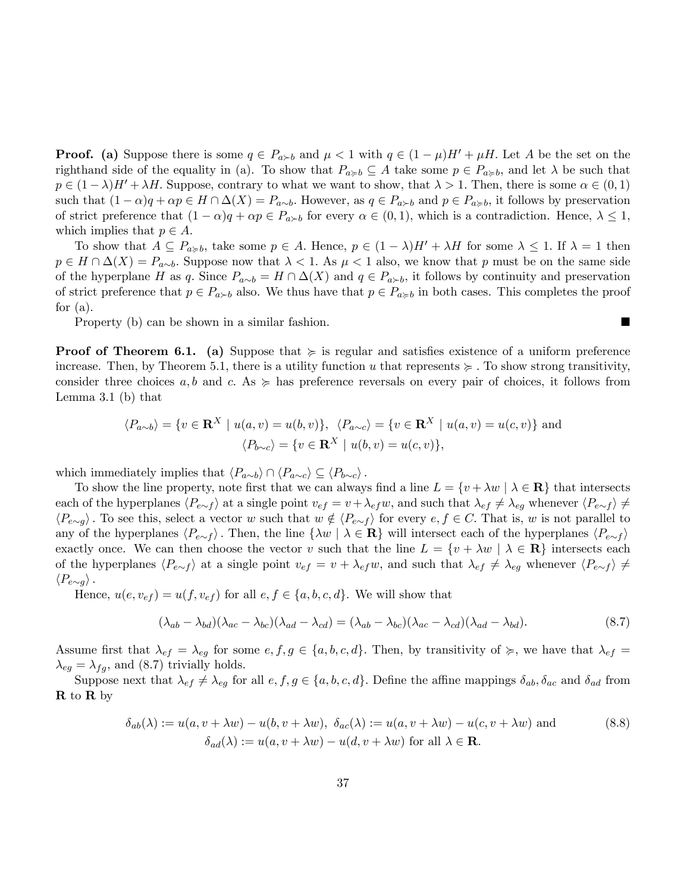**Proof.** (a) Suppose there is some  $q \in P_{a \succ b}$  and  $\mu < 1$  with  $q \in (1 - \mu)H' + \mu H$ . Let A be the set on the righthand side of the equality in (a). To show that  $P_{a \geq b} \subseteq A$  take some  $p \in P_{a \geq b}$ , and let  $\lambda$  be such that  $p \in (1 - \lambda)H' + \lambda H$ . Suppose, contrary to what we want to show, that  $\lambda > 1$ . Then, there is some  $\alpha \in (0, 1)$ such that  $(1 - \alpha)q + \alpha p \in H \cap \Delta(X) = P_{a\sim b}$ . However, as  $q \in P_{a \succ b}$  and  $p \in P_{a \succ b}$ , it follows by preservation of strict preference that  $(1 - \alpha)q + \alpha p \in P_{\alpha \succ b}$  for every  $\alpha \in (0, 1)$ , which is a contradiction. Hence,  $\lambda \leq 1$ , which implies that  $p \in A$ .

To show that  $A \subseteq P_{a \geq b}$ , take some  $p \in A$ . Hence,  $p \in (1 - \lambda)H' + \lambda H$  for some  $\lambda \leq 1$ . If  $\lambda = 1$  then  $p \in H \cap \Delta(X) = P_{a\sim b}$ . Suppose now that  $\lambda < 1$ . As  $\mu < 1$  also, we know that p must be on the same side of the hyperplane H as q. Since  $P_{a\sim b} = H \cap \Delta(X)$  and  $q \in P_{a\succ b}$ , it follows by continuity and preservation of strict preference that  $p \in P_{a \succ b}$  also. We thus have that  $p \in P_{a \succ b}$  in both cases. This completes the proof for  $(a)$ .

Property (b) can be shown in a similar fashion.

**Proof of Theorem 6.1.** (a) Suppose that  $\succeq$  is regular and satisfies existence of a uniform preference increase. Then, by Theorem 5.1, there is a utility function u that represents  $\succeq$ . To show strong transitivity, consider three choices  $a, b$  and  $c.$  As  $\succeq$  has preference reversals on every pair of choices, it follows from Lemma 3.1 (b) that

$$
\langle P_{a\sim b} \rangle = \{ v \in \mathbf{R}^X \mid u(a, v) = u(b, v) \}, \ \langle P_{a\sim c} \rangle = \{ v \in \mathbf{R}^X \mid u(a, v) = u(c, v) \} \text{ and}
$$

$$
\langle P_{b\sim c} \rangle = \{ v \in \mathbf{R}^X \mid u(b, v) = u(c, v) \},
$$

which immediately implies that  $\langle P_{a\sim b} \rangle \cap \langle P_{a\sim c} \rangle \subseteq \langle P_{b\sim c} \rangle$ .

To show the line property, note first that we can always find a line  $L = \{v + \lambda w \mid \lambda \in \mathbf{R}\}\)$  that intersects each of the hyperplanes  $\langle P_{e\sim f} \rangle$  at a single point  $v_{ef} = v + \lambda_{ef}w$ , and such that  $\lambda_{ef} \neq \lambda_{eg}$  whenever  $\langle P_{e\sim f} \rangle \neq$  $\langle P_{e\sim g} \rangle$ . To see this, select a vector w such that  $w \notin \langle P_{e\sim f} \rangle$  for every  $e, f \in C$ . That is, w is not parallel to any of the hyperplanes  $\langle P_{e\sim f} \rangle$ . Then, the line  $\{\lambda w \mid \lambda \in \mathbf{R}\}\$  will intersect each of the hyperplanes  $\langle P_{e\sim f} \rangle$ exactly once. We can then choose the vector v such that the line  $L = \{v + \lambda w \mid \lambda \in \mathbf{R}\}\)$  intersects each of the hyperplanes  $\langle P_{e\sim f} \rangle$  at a single point  $v_{ef} = v + \lambda_{ef} w$ , and such that  $\lambda_{ef} \neq \lambda_{eg}$  whenever  $\langle P_{e\sim f} \rangle \neq$  $\langle P_{e\sim g} \rangle$ .

Hence,  $u(e, v_{ef}) = u(f, v_{ef})$  for all  $e, f \in \{a, b, c, d\}$ . We will show that

$$
(\lambda_{ab} - \lambda_{bd})(\lambda_{ac} - \lambda_{bc})(\lambda_{ad} - \lambda_{cd}) = (\lambda_{ab} - \lambda_{bc})(\lambda_{ac} - \lambda_{cd})(\lambda_{ad} - \lambda_{bd}).
$$
\n(8.7)

Assume first that  $\lambda_{ef} = \lambda_{eg}$  for some  $e, f, g \in \{a, b, c, d\}$ . Then, by transitivity of  $\succcurlyeq$ , we have that  $\lambda_{ef} =$  $\lambda_{eg} = \lambda_{fg}$ , and (8.7) trivially holds.

Suppose next that  $\lambda_{ef} \neq \lambda_{eg}$  for all  $e, f, g \in \{a, b, c, d\}$ . Define the affine mappings  $\delta_{ab}, \delta_{ac}$  and  $\delta_{ad}$  from R to R by

$$
\delta_{ab}(\lambda) := u(a, v + \lambda w) - u(b, v + \lambda w), \ \delta_{ac}(\lambda) := u(a, v + \lambda w) - u(c, v + \lambda w) \text{ and}
$$
\n
$$
\delta_{ad}(\lambda) := u(a, v + \lambda w) - u(d, v + \lambda w) \text{ for all } \lambda \in \mathbf{R}.
$$
\n(8.8)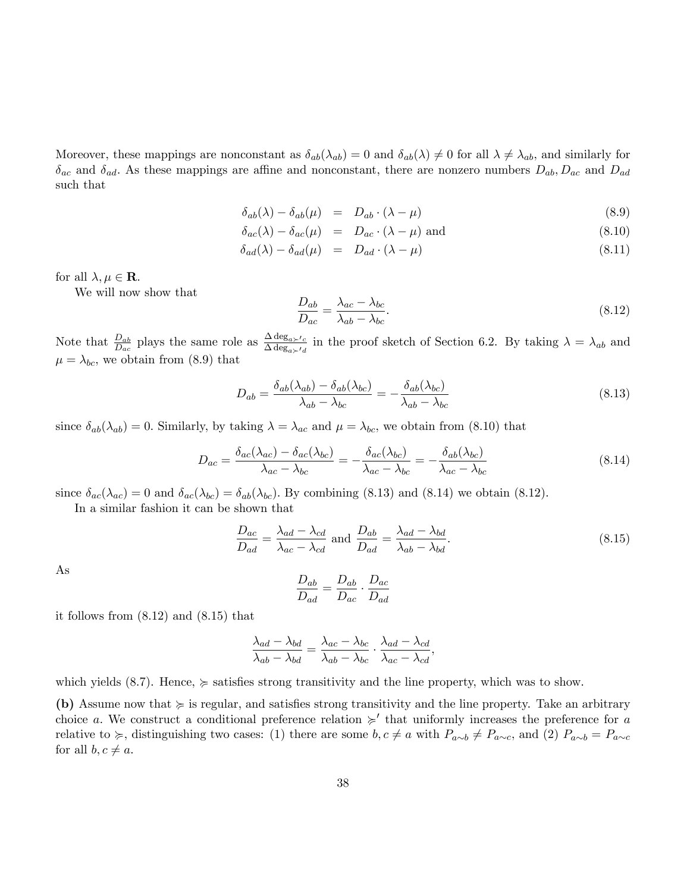Moreover, these mappings are nonconstant as  $\delta_{ab}(\lambda_{ab}) = 0$  and  $\delta_{ab}(\lambda) \neq 0$  for all  $\lambda \neq \lambda_{ab}$ , and similarly for  $\delta_{ac}$  and  $\delta_{ad}$ . As these mappings are affine and nonconstant, there are nonzero numbers  $D_{ab}$ ,  $D_{ac}$  and  $D_{ad}$ such that

$$
\delta_{ab}(\lambda) - \delta_{ab}(\mu) = D_{ab} \cdot (\lambda - \mu) \tag{8.9}
$$

$$
\delta_{ac}(\lambda) - \delta_{ac}(\mu) = D_{ac} \cdot (\lambda - \mu) \text{ and } (8.10)
$$

$$
\delta_{ad}(\lambda) - \delta_{ad}(\mu) = D_{ad} \cdot (\lambda - \mu) \tag{8.11}
$$

for all  $\lambda, \mu \in \mathbf{R}$ .

We will now show that

$$
\frac{D_{ab}}{D_{ac}} = \frac{\lambda_{ac} - \lambda_{bc}}{\lambda_{ab} - \lambda_{bc}}.\tag{8.12}
$$

Note that  $\frac{D_{ab}}{D_{ac}}$  plays the same role as  $\frac{\Delta \deg_{a} \lt_{c}}{\Delta \deg_{a} \lt_{d}}$  in the proof sketch of Section 6.2. By taking  $\lambda = \lambda_{ab}$  and  $\mu = \lambda_{bc}$ , we obtain from (8.9) that

$$
D_{ab} = \frac{\delta_{ab}(\lambda_{ab}) - \delta_{ab}(\lambda_{bc})}{\lambda_{ab} - \lambda_{bc}} = -\frac{\delta_{ab}(\lambda_{bc})}{\lambda_{ab} - \lambda_{bc}}
$$
(8.13)

since  $\delta_{ab}(\lambda_{ab}) = 0$ . Similarly, by taking  $\lambda = \lambda_{ac}$  and  $\mu = \lambda_{bc}$ , we obtain from (8.10) that

$$
D_{ac} = \frac{\delta_{ac}(\lambda_{ac}) - \delta_{ac}(\lambda_{bc})}{\lambda_{ac} - \lambda_{bc}} = -\frac{\delta_{ac}(\lambda_{bc})}{\lambda_{ac} - \lambda_{bc}} = -\frac{\delta_{ab}(\lambda_{bc})}{\lambda_{ac} - \lambda_{bc}}
$$
(8.14)

since  $\delta_{ac}(\lambda_{ac}) = 0$  and  $\delta_{ac}(\lambda_{bc}) = \delta_{ab}(\lambda_{bc})$ . By combining (8.13) and (8.14) we obtain (8.12).

In a similar fashion it can be shown that

$$
\frac{D_{ac}}{D_{ad}} = \frac{\lambda_{ad} - \lambda_{cd}}{\lambda_{ac} - \lambda_{cd}} \text{ and } \frac{D_{ab}}{D_{ad}} = \frac{\lambda_{ad} - \lambda_{bd}}{\lambda_{ab} - \lambda_{bd}}.
$$
\n(8.15)

As

$$
\frac{D_{ab}}{D_{ad}} = \frac{D_{ab}}{D_{ac}} \cdot \frac{D_{ac}}{D_{ad}}
$$

it follows from (8.12) and (8.15) that

$$
\frac{\lambda_{ad} - \lambda_{bd}}{\lambda_{ab} - \lambda_{bd}} = \frac{\lambda_{ac} - \lambda_{bc}}{\lambda_{ab} - \lambda_{bc}} \cdot \frac{\lambda_{ad} - \lambda_{cd}}{\lambda_{ac} - \lambda_{cd}},
$$

which yields (8.7). Hence,  $\succcurlyeq$  satisfies strong transitivity and the line property, which was to show.

(b) Assume now that  $\succcurlyeq$  is regular, and satisfies strong transitivity and the line property. Take an arbitrary choice a. We construct a conditional preference relation  $\succ$  that uniformly increases the preference for a relative to  $\succcurlyeq$ , distinguishing two cases: (1) there are some  $b, c \neq a$  with  $P_{a \sim b} \neq P_{a \sim c}$ , and (2)  $P_{a \sim b} = P_{a \sim c}$ for all  $b, c \neq a$ .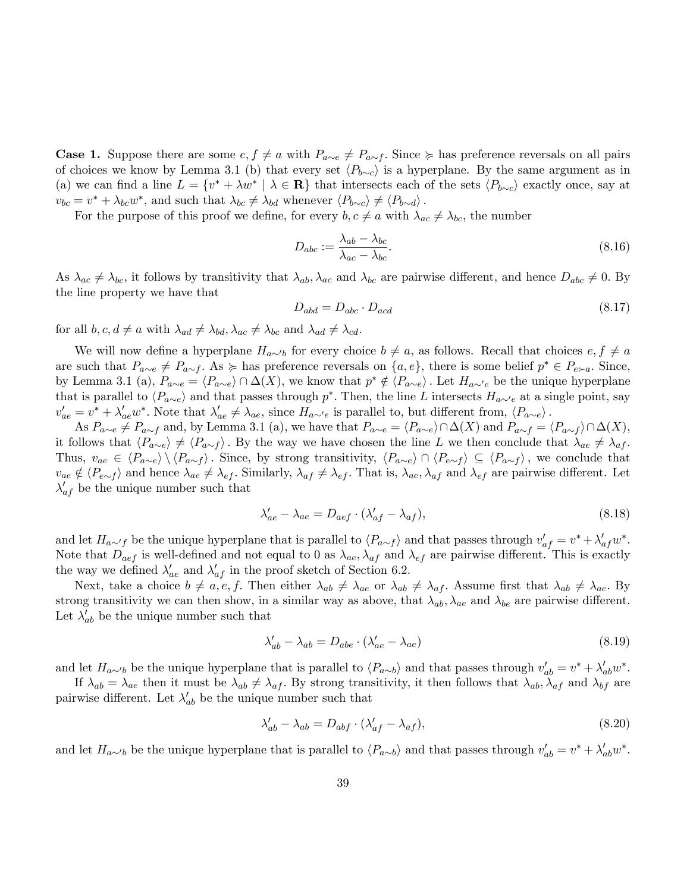**Case 1.** Suppose there are some  $e, f \neq a$  with  $P_{a\sim e} \neq P_{a\sim f}$ . Since  $\succcurlyeq$  has preference reversals on all pairs of choices we know by Lemma 3.1 (b) that every set  $\langle P_{b\sim c} \rangle$  is a hyperplane. By the same argument as in (a) we can find a line  $L = \{v^* + \lambda w^* \mid \lambda \in \mathbf{R}\}\$  that intersects each of the sets  $\langle P_{b \sim c} \rangle$  exactly once, say at  $v_{bc} = v^* + \lambda_{bc} w^*$ , and such that  $\lambda_{bc} \neq \lambda_{bd}$  whenever  $\langle P_{b\sim c} \rangle \neq \langle P_{b\sim d} \rangle$ .

For the purpose of this proof we define, for every  $b, c \neq a$  with  $\lambda_{ac} \neq \lambda_{bc}$ , the number

$$
D_{abc} := \frac{\lambda_{ab} - \lambda_{bc}}{\lambda_{ac} - \lambda_{bc}}.\tag{8.16}
$$

As  $\lambda_{ac} \neq \lambda_{bc}$ , it follows by transitivity that  $\lambda_{ab}$ ,  $\lambda_{ac}$  and  $\lambda_{bc}$  are pairwise different, and hence  $D_{abc} \neq 0$ . By the line property we have that

$$
D_{abd} = D_{abc} \cdot D_{acd} \tag{8.17}
$$

for all  $b, c, d \neq a$  with  $\lambda_{ad} \neq \lambda_{bd}, \lambda_{ac} \neq \lambda_{bc}$  and  $\lambda_{ad} \neq \lambda_{cd}$ .

We will now define a hyperplane  $H_{a\sim b}$  for every choice  $b \neq a$ , as follows. Recall that choices  $e, f \neq a$ are such that  $P_{a\sim e} \neq P_{a\sim f}$ . As  $\succcurlyeq$  has preference reversals on  $\{a, e\}$ , there is some belief  $p^* \in P_{e\succ a}$ . Since, by Lemma 3.1 (a),  $P_{a\sim e} = \langle P_{a\sim e} \rangle \cap \Delta(X)$ , we know that  $p^* \notin \langle P_{a\sim e} \rangle$ . Let  $H_{a\sim e}$  be the unique hyperplane that is parallel to  $\langle P_{a\sim e} \rangle$  and that passes through p<sup>\*</sup>. Then, the line L intersects  $H_{a\sim e}$  at a single point, say  $v'_{ae} = v^* + \lambda'_{ae} w^*$ . Note that  $\lambda'_{ae} \neq \lambda_{ae}$ , since  $H_{a \sim 'e}$  is parallel to, but different from,  $\langle P_{a \sim e} \rangle$ .

As  $P_{a\sim e} \neq P_{a\sim f}$  and, by Lemma 3.1 (a), we have that  $P_{a\sim e} = \langle P_{a\sim e} \rangle \cap \Delta(X)$  and  $P_{a\sim f} = \langle P_{a\sim f} \rangle \cap \Delta(X)$ , it follows that  $\langle P_{a\sim e} \rangle \neq \langle P_{a\sim f} \rangle$ . By the way we have chosen the line L we then conclude that  $\lambda_{ae} \neq \lambda_{af}$ . Thus,  $v_{ae} \in \langle P_{a\sim e} \rangle \setminus \langle P_{a\sim f} \rangle$ . Since, by strong transitivity,  $\langle P_{a\sim e} \rangle \cap \langle P_{e\sim f} \rangle \subseteq \langle P_{a\sim f} \rangle$ , we conclude that  $v_{ae} \notin \langle P_{e \sim f} \rangle$  and hence  $\lambda_{ae} \neq \lambda_{ef}$ . Similarly,  $\lambda_{af} \neq \lambda_{ef}$ . That is,  $\lambda_{ae}$ ,  $\lambda_{af}$  and  $\lambda_{ef}$  are pairwise different. Let  $\lambda'_{af}$  be the unique number such that

$$
\lambda'_{ae} - \lambda_{ae} = D_{aef} \cdot (\lambda'_{af} - \lambda_{af}),\tag{8.18}
$$

and let  $H_{a\sim f}$  be the unique hyperplane that is parallel to  $\langle P_{a\sim f} \rangle$  and that passes through  $v'_{af} = v^* + \lambda'_{af} w^*$ . Note that  $D_{aef}$  is well-defined and not equal to 0 as  $\lambda_{ae}$ ,  $\lambda_{af}$  and  $\lambda_{ef}$  are pairwise different. This is exactly the way we defined  $\lambda'_{ae}$  and  $\lambda'_{af}$  in the proof sketch of Section 6.2.

Next, take a choice  $b \neq a, e, f$ . Then either  $\lambda_{ab} \neq \lambda_{ae}$  or  $\lambda_{ab} \neq \lambda_{af}$ . Assume first that  $\lambda_{ab} \neq \lambda_{ae}$ . By strong transitivity we can then show, in a similar way as above, that  $\lambda_{ab}$ ,  $\lambda_{ae}$  and  $\lambda_{be}$  are pairwise different. Let  $\lambda'_{ab}$  be the unique number such that

$$
\lambda'_{ab} - \lambda_{ab} = D_{abe} \cdot (\lambda'_{ae} - \lambda_{ae}) \tag{8.19}
$$

and let  $H_{a\sim b}$  be the unique hyperplane that is parallel to  $\langle P_{a\sim b} \rangle$  and that passes through  $v'_{ab} = v^* + \lambda'_{ab} w^*$ .

If  $\lambda_{ab} = \lambda_{ae}$  then it must be  $\lambda_{ab} \neq \lambda_{af}$ . By strong transitivity, it then follows that  $\lambda_{ab}$ ,  $\lambda_{af}$  and  $\lambda_{bf}$  are pairwise different. Let  $\lambda'_{ab}$  be the unique number such that

$$
\lambda'_{ab} - \lambda_{ab} = D_{abf} \cdot (\lambda'_{af} - \lambda_{af}),\tag{8.20}
$$

and let  $H_{a\sim b}$  be the unique hyperplane that is parallel to  $\langle P_{a\sim b} \rangle$  and that passes through  $v'_{ab} = v^* + \lambda'_{ab} w^*$ .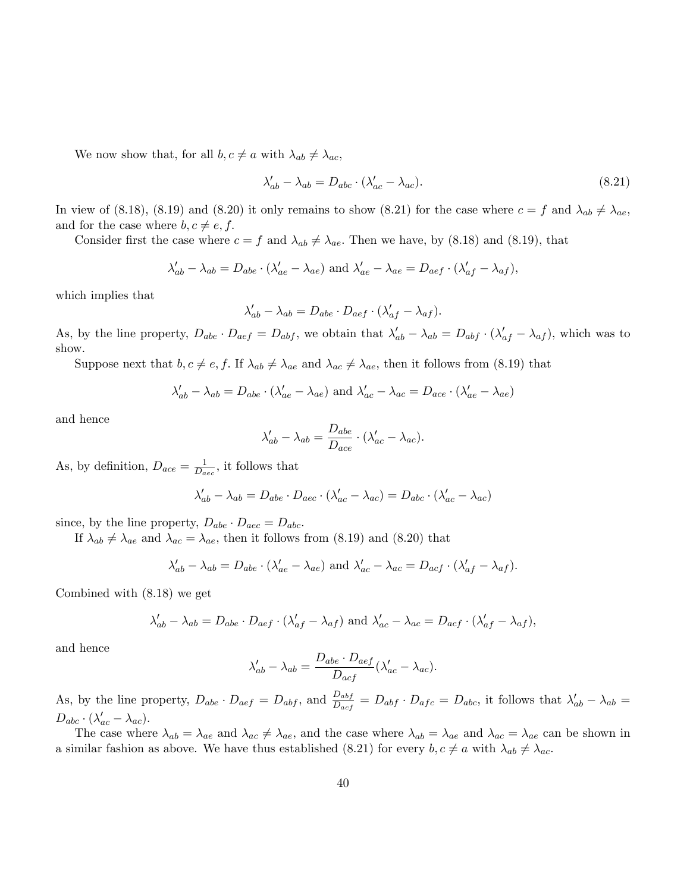We now show that, for all  $b, c \neq a$  with  $\lambda_{ab} \neq \lambda_{ac}$ ,

$$
\lambda_{ab}' - \lambda_{ab} = D_{abc} \cdot (\lambda_{ac}' - \lambda_{ac}). \tag{8.21}
$$

In view of (8.18), (8.19) and (8.20) it only remains to show (8.21) for the case where  $c = f$  and  $\lambda_{ab} \neq \lambda_{ae}$ , and for the case where  $b, c \neq e, f$ .

Consider first the case where  $c = f$  and  $\lambda_{ab} \neq \lambda_{ae}$ . Then we have, by (8.18) and (8.19), that

$$
\lambda'_{ab} - \lambda_{ab} = D_{abe} \cdot (\lambda'_{ae} - \lambda_{ae}) \text{ and } \lambda'_{ae} - \lambda_{ae} = D_{aef} \cdot (\lambda'_{af} - \lambda_{af}),
$$

which implies that

$$
\lambda'_{ab} - \lambda_{ab} = D_{abe} \cdot D_{aef} \cdot (\lambda'_{af} - \lambda_{af}).
$$

As, by the line property,  $D_{ab} \cdot D_{aef} = D_{abf}$ , we obtain that  $\lambda'_{ab} - \lambda_{ab} = D_{abf} \cdot (\lambda'_{af} - \lambda_{af})$ , which was to show.

Suppose next that  $b, c \neq e, f$ . If  $\lambda_{ab} \neq \lambda_{ae}$  and  $\lambda_{ac} \neq \lambda_{ae}$ , then it follows from (8.19) that

$$
\lambda'_{ab} - \lambda_{ab} = D_{abe} \cdot (\lambda'_{ae} - \lambda_{ae})
$$
 and  $\lambda'_{ac} - \lambda_{ac} = D_{ace} \cdot (\lambda'_{ae} - \lambda_{ae})$ 

and hence

$$
\lambda'_{ab} - \lambda_{ab} = \frac{D_{abe}}{D_{ace}} \cdot (\lambda'_{ac} - \lambda_{ac}).
$$

As, by definition,  $D_{ace} = \frac{1}{D_{ca}}$  $\frac{1}{D_{\text{dec}}},$  it follows that

$$
\lambda'_{ab} - \lambda_{ab} = D_{abe} \cdot D_{aec} \cdot (\lambda'_{ac} - \lambda_{ac}) = D_{abc} \cdot (\lambda'_{ac} - \lambda_{ac})
$$

since, by the line property,  $D_{abe} \cdot D_{aec} = D_{abc}$ .

If  $\lambda_{ab} \neq \lambda_{ae}$  and  $\lambda_{ac} = \lambda_{ae}$ , then it follows from (8.19) and (8.20) that

$$
\lambda'_{ab} - \lambda_{ab} = D_{abe} \cdot (\lambda'_{ae} - \lambda_{ae}) \text{ and } \lambda'_{ac} - \lambda_{ac} = D_{acf} \cdot (\lambda'_{af} - \lambda_{af}).
$$

Combined with (8.18) we get

$$
\lambda'_{ab} - \lambda_{ab} = D_{abe} \cdot D_{aef} \cdot (\lambda'_{af} - \lambda_{af}) \text{ and } \lambda'_{ac} - \lambda_{ac} = D_{acf} \cdot (\lambda'_{af} - \lambda_{af}),
$$

and hence

$$
\lambda'_{ab} - \lambda_{ab} = \frac{D_{abe} \cdot D_{aef}}{D_{acf}} (\lambda'_{ac} - \lambda_{ac}).
$$

As, by the line property,  $D_{abe} \cdot D_{aef} = D_{abf}$ , and  $\frac{D_{abf}}{D_{acf}} = D_{abf} \cdot D_{afc} = D_{abc}$ , it follows that  $\lambda'_{ab} - \lambda_{ab} =$  $D_{abc} \cdot (\lambda'_{ac} - \lambda_{ac}).$ 

The case where  $\lambda_{ab} = \lambda_{ae}$  and  $\lambda_{ac} \neq \lambda_{ae}$ , and the case where  $\lambda_{ab} = \lambda_{ae}$  and  $\lambda_{ac} = \lambda_{ae}$  can be shown in a similar fashion as above. We have thus established (8.21) for every  $b, c \neq a$  with  $\lambda_{ab} \neq \lambda_{ac}$ .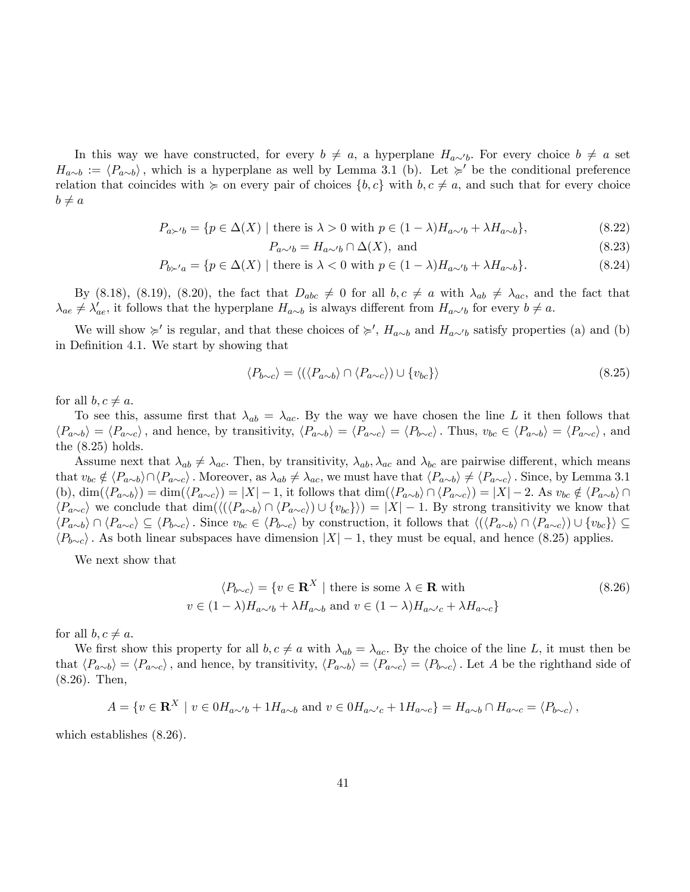In this way we have constructed, for every  $b \neq a$ , a hyperplane  $H_{a \sim b}$ . For every choice  $b \neq a$  set  $H_{a\sim b} := \langle P_{a\sim b} \rangle$ , which is a hyperplane as well by Lemma 3.1 (b). Let  $\succcurlyeq'$  be the conditional preference relation that coincides with  $\succeq$  on every pair of choices  $\{b, c\}$  with  $b, c \neq a$ , and such that for every choice  $b \neq a$ 

$$
P_{a\succ b} = \{ p \in \Delta(X) \mid \text{there is } \lambda > 0 \text{ with } p \in (1 - \lambda)H_{a \sim b} + \lambda H_{a \sim b} \},\tag{8.22}
$$

$$
P_{a \sim b} = H_{a \sim b} \cap \Delta(X), \text{ and} \tag{8.23}
$$

$$
P_{b \succ' a} = \{ p \in \Delta(X) \mid \text{there is } \lambda < 0 \text{ with } p \in (1 - \lambda) H_{a \sim' b} + \lambda H_{a \sim b} \}. \tag{8.24}
$$

By (8.18), (8.19), (8.20), the fact that  $D_{abc} \neq 0$  for all  $b, c \neq a$  with  $\lambda_{ab} \neq \lambda_{ac}$ , and the fact that  $\lambda_{ae} \neq \lambda'_{ae}$ , it follows that the hyperplane  $H_{a\sim b}$  is always different from  $H_{a\sim b}$  for every  $b \neq a$ .

We will show  $\succ$  is regular, and that these choices of  $\succ$ ,  $H_{a\sim b}$  and  $H_{a\sim b}$  satisfy properties (a) and (b) in Definition 4.1. We start by showing that

$$
\langle P_{b \sim c} \rangle = \langle (\langle P_{a \sim b} \rangle \cap \langle P_{a \sim c} \rangle) \cup \{v_{bc}\}\rangle \tag{8.25}
$$

for all  $b, c \neq a$ .

To see this, assume first that  $\lambda_{ab} = \lambda_{ac}$ . By the way we have chosen the line L it then follows that  $\langle P_{a\sim b} \rangle = \langle P_{a\sim c} \rangle$ , and hence, by transitivity,  $\langle P_{a\sim b} \rangle = \langle P_{a\sim c} \rangle = \langle P_{b\sim c} \rangle$ . Thus,  $v_{bc} \in \langle P_{a\sim b} \rangle = \langle P_{a\sim c} \rangle$ , and the  $(8.25)$  holds.

Assume next that  $\lambda_{ab} \neq \lambda_{ac}$ . Then, by transitivity,  $\lambda_{ab}$ ,  $\lambda_{ac}$  and  $\lambda_{bc}$  are pairwise different, which means that  $v_{bc} \notin \langle P_{a\sim b}\rangle \cap \langle P_{a\sim c}\rangle$ . Moreover, as  $\lambda_{ab} \neq \lambda_{ac}$ , we must have that  $\langle P_{a\sim b}\rangle \neq \langle P_{a\sim c}\rangle$ . Since, by Lemma 3.1 (b),  $\dim(\langle P_{a\sim b}\rangle) = \dim(\langle P_{a\sim c}\rangle) = |X| - 1$ , it follows that  $\dim(\langle P_{a\sim b}\rangle \cap \langle P_{a\sim c}\rangle) = |X| - 2$ . As  $v_{bc} \notin \langle P_{a\sim b}\rangle \cap$  $\langle P_{a\sim c} \rangle$  we conclude that dim $(\langle \langle P_{a\sim b} \rangle \cap \langle P_{a\sim c} \rangle) \cup \{v_{bc}\}\rangle) = |X| - 1$ . By strong transitivity we know that  $\langle P_{a\sim b} \rangle \cap \langle P_{a\sim c} \rangle \subseteq \langle P_{b\sim c} \rangle$ . Since  $v_{bc} \in \langle P_{b\sim c} \rangle$  by construction, it follows that  $\langle (\langle P_{a\sim b} \rangle \cap \langle P_{a\sim c} \rangle) \cup \{v_{bc}\}\rangle \subseteq$  $\langle P_{b\sim c}\rangle$ . As both linear subspaces have dimension  $|X| - 1$ , they must be equal, and hence (8.25) applies.

We next show that

$$
\langle P_{b\sim c} \rangle = \{ v \in \mathbf{R}^X \mid \text{there is some } \lambda \in \mathbf{R} \text{ with}
$$
  

$$
v \in (1 - \lambda)H_{a\sim b} + \lambda H_{a\sim b} \text{ and } v \in (1 - \lambda)H_{a\sim c} + \lambda H_{a\sim c} \}
$$
(8.26)

for all  $b, c \neq a$ .

We first show this property for all  $b, c \neq a$  with  $\lambda_{ab} = \lambda_{ac}$ . By the choice of the line L, it must then be that  $\langle P_{a\sim b} \rangle = \langle P_{a\sim c} \rangle$ , and hence, by transitivity,  $\langle P_{a\sim b} \rangle = \langle P_{a\sim c} \rangle = \langle P_{b\sim c} \rangle$ . Let A be the righthand side of (8.26). Then,

$$
A = \{ v \in \mathbf{R}^X \mid v \in 0H_{a \sim b} + 1H_{a \sim b} \text{ and } v \in 0H_{a \sim c} + 1H_{a \sim c} \} = H_{a \sim b} \cap H_{a \sim c} = \langle P_{b \sim c} \rangle,
$$

which establishes (8.26).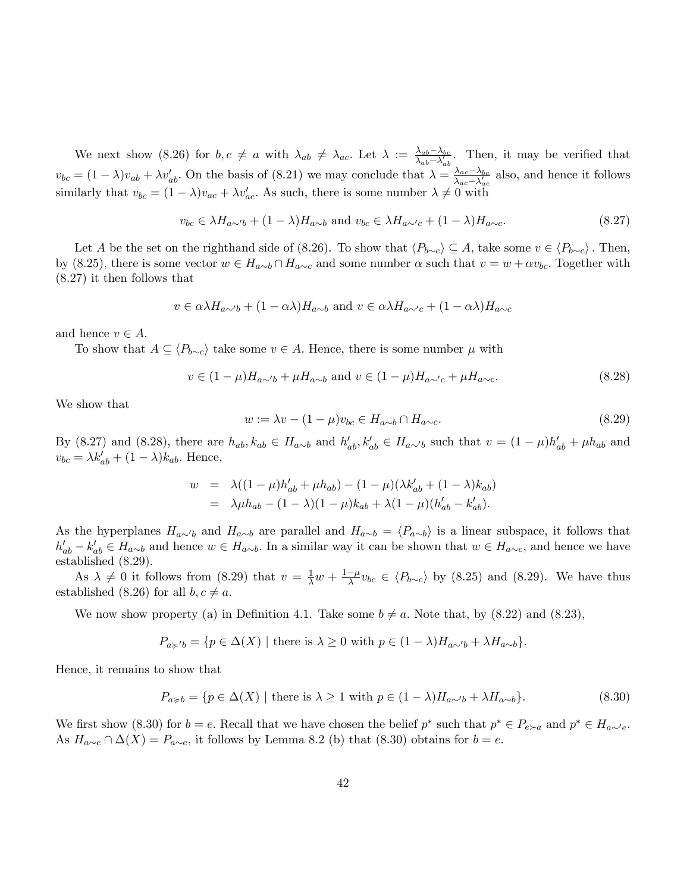We next show (8.26) for  $b, c \neq a$  with  $\lambda_{ab} \neq \lambda_{ac}$ . Let  $\lambda := \frac{\lambda_{ab} - \lambda_{bc}}{\lambda_{ab} - \lambda'_{ab}}$  $\frac{\lambda_{ab}-\lambda_{bc}}{\lambda_{ab}-\lambda'_{ab}}$ . Then, it may be verified that  $v_{bc} = (1 - \lambda)v_{ab} + \lambda v'_{ab}$ . On the basis of (8.21) we may conclude that  $\lambda = \frac{\lambda_{ac} - \lambda_{bc}}{\lambda_{ac} - \lambda'_{ac}}$  $\frac{\lambda_{ac}-\lambda_{bc}}{\lambda_{ac}-\lambda'_{ac}}$  also, and hence it follows similarly that  $v_{bc} = (1 - \lambda)v_{ac} + \lambda v'_{ac}$ . As such, there is some number  $\lambda \neq 0$  with

$$
v_{bc} \in \lambda H_{a \sim b} + (1 - \lambda) H_{a \sim b} \text{ and } v_{bc} \in \lambda H_{a \sim c} + (1 - \lambda) H_{a \sim c}.
$$
 (8.27)

Let A be the set on the righthand side of (8.26). To show that  $\langle P_{b\sim c} \rangle \subseteq A$ , take some  $v \in \langle P_{b\sim c} \rangle$ . Then, by (8.25), there is some vector  $w \in H_{a\sim b} \cap H_{a\sim c}$  and some number  $\alpha$  such that  $v = w + \alpha v_{bc}$ . Together with (8.27) it then follows that

$$
v \in \alpha \lambda H_{a \sim b} + (1 - \alpha \lambda) H_{a \sim b}
$$
 and  $v \in \alpha \lambda H_{a \sim c} + (1 - \alpha \lambda) H_{a \sim c}$ 

and hence  $v \in A$ .

To show that  $A \subseteq \langle P_{b \sim c} \rangle$  take some  $v \in A$ . Hence, there is some number  $\mu$  with

$$
v \in (1 - \mu)H_{a \sim b} + \mu H_{a \sim b} \text{ and } v \in (1 - \mu)H_{a \sim c} + \mu H_{a \sim c}.
$$
 (8.28)

We show that

$$
w := \lambda v - (1 - \mu)v_{bc} \in H_{a \sim b} \cap H_{a \sim c}.
$$
\n
$$
(8.29)
$$

By (8.27) and (8.28), there are  $h_{ab}$ ,  $k_{ab} \in H_{a\sim b}$  and  $h'_{ab}$ ,  $k'_{ab} \in H_{a\sim b}$  such that  $v = (1 - \mu)h'_{ab} + \mu h_{ab}$  and  $v_{bc} = \lambda k'_{ab} + (1 - \lambda)k_{ab}.$  Hence,

$$
w = \lambda((1 - \mu)h'_{ab} + \mu h_{ab}) - (1 - \mu)(\lambda k'_{ab} + (1 - \lambda)k_{ab})
$$
  
=  $\lambda \mu h_{ab} - (1 - \lambda)(1 - \mu)k_{ab} + \lambda(1 - \mu)(h'_{ab} - k'_{ab}).$ 

As the hyperplanes  $H_{a\sim b}$  and  $H_{a\sim b}$  are parallel and  $H_{a\sim b} = \langle P_{a\sim b} \rangle$  is a linear subspace, it follows that  $h'_{ab} - k'_{ab} \in H_{a \sim b}$  and hence  $w \in H_{a \sim b}$ . In a similar way it can be shown that  $w \in H_{a \sim c}$ , and hence we have established (8.29).

As  $\lambda \neq 0$  it follows from (8.29) that  $v = \frac{1}{\lambda}w + \frac{1-\mu}{\lambda}v_{bc} \in \langle P_{b\sim c} \rangle$  by (8.25) and (8.29). We have thus established (8.26) for all  $b, c \neq a$ .

We now show property (a) in Definition 4.1. Take some  $b \neq a$ . Note that, by (8.22) and (8.23),

$$
P_{a \succcurlyeq' b} = \{ p \in \Delta(X) \mid \text{there is } \lambda \ge 0 \text{ with } p \in (1 - \lambda) H_{a \sim b} + \lambda H_{a \sim b} \}.
$$

Hence, it remains to show that

$$
P_{a \ge b} = \{ p \in \Delta(X) \mid \text{there is } \lambda \ge 1 \text{ with } p \in (1 - \lambda)H_{a \sim b} + \lambda H_{a \sim b} \}. \tag{8.30}
$$

We first show (8.30) for  $b = e$ . Recall that we have chosen the belief  $p^*$  such that  $p^* \in P_{e \succ a}$  and  $p^* \in H_{a \sim e}$ . As  $H_{a\sim e} \cap \Delta(X) = P_{a\sim e}$ , it follows by Lemma 8.2 (b) that (8.30) obtains for  $b = e$ .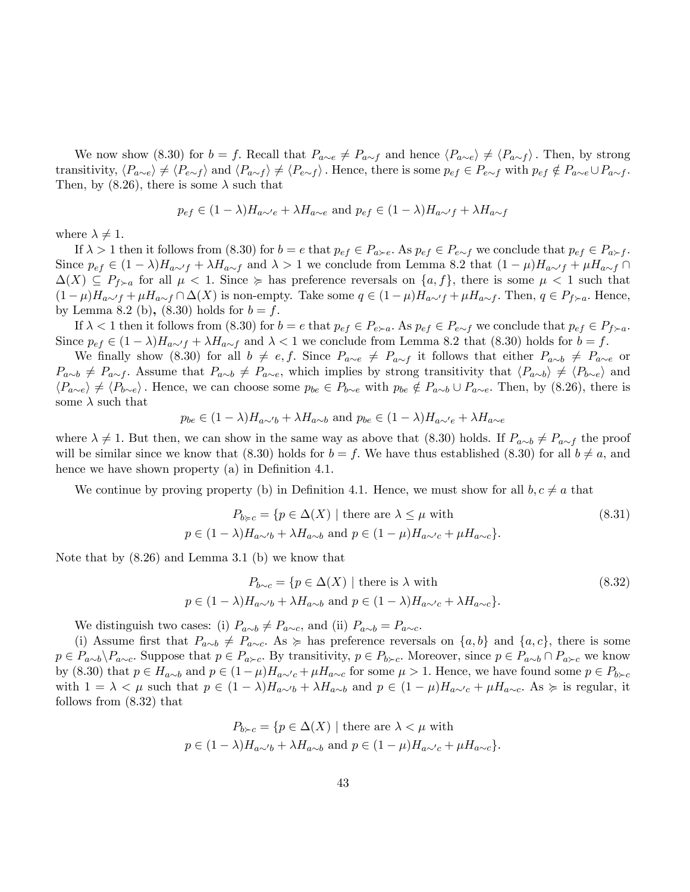We now show (8.30) for  $b = f$ . Recall that  $P_{a\sim e} \neq P_{a\sim f}$  and hence  $\langle P_{a\sim e} \rangle \neq \langle P_{a\sim f} \rangle$ . Then, by strong transitivity,  $\langle P_{a\sim e} \rangle \neq \langle P_{e\sim f} \rangle$  and  $\langle P_{a\sim f} \rangle \neq \langle P_{e\sim f} \rangle$ . Hence, there is some  $p_{ef} \in P_{e\sim f}$  with  $p_{ef} \notin P_{a\sim e} \cup P_{a\sim f}$ . Then, by (8.26), there is some  $\lambda$  such that

$$
p_{ef} \in (1 - \lambda)H_{a\sim e} + \lambda H_{a\sim e}
$$
 and  $p_{ef} \in (1 - \lambda)H_{a\sim f} + \lambda H_{a\sim f}$ 

where  $\lambda \neq 1$ .

If  $\lambda > 1$  then it follows from  $(8.30)$  for  $b = e$  that  $p_{ef} \in P_{a \succ e}$ . As  $p_{ef} \in P_{e \sim f}$  we conclude that  $p_{ef} \in P_{a \succ f}$ . Since  $p_{ef} \in (1 - \lambda)H_{a \sim f} + \lambda H_{a \sim f}$  and  $\lambda > 1$  we conclude from Lemma 8.2 that  $(1 - \mu)H_{a \sim f} + \mu H_{a \sim f}$  $\Delta(X) \subseteq P_{f\succ a}$  for all  $\mu < 1$ . Since  $\succcurlyeq$  has preference reversals on  $\{a, f\}$ , there is some  $\mu < 1$  such that  $(1 - \mu)H_{a \sim f} + \mu H_{a \sim f} \cap \Delta(X)$  is non-empty. Take some  $q \in (1 - \mu)H_{a \sim f} + \mu H_{a \sim f}$ . Then,  $q \in P_{f \succ a}$ . Hence, by Lemma 8.2 (b),  $(8.30)$  holds for  $b = f$ .

If  $\lambda < 1$  then it follows from (8.30) for  $b = e$  that  $p_{ef} \in P_{e \succ a}$ . As  $p_{ef} \in P_{e \sim f}$  we conclude that  $p_{ef} \in P_{f \succ a}$ . Since  $p_{ef} \in (1 - \lambda)H_{a \sim f} + \lambda H_{a \sim f}$  and  $\lambda < 1$  we conclude from Lemma 8.2 that (8.30) holds for  $b = f$ .

We finally show (8.30) for all  $b \neq e, f$ . Since  $P_{a\sim e} \neq P_{a\sim f}$  it follows that either  $P_{a\sim b} \neq P_{a\sim e}$  or  $P_{a\sim b} \neq P_{a\sim f}$ . Assume that  $P_{a\sim b} \neq P_{a\sim e}$ , which implies by strong transitivity that  $\langle P_{a\sim b} \rangle \neq \langle P_{b\sim e} \rangle$  and  $\langle P_{a\sim e} \rangle \neq \langle P_{b\sim e} \rangle$ . Hence, we can choose some  $p_{be} \in P_{b\sim e}$  with  $p_{be} \notin P_{a\sim b} \cup P_{a\sim e}$ . Then, by (8.26), there is some  $\lambda$  such that

$$
p_{be} \in (1 - \lambda)H_{a \sim b} + \lambda H_{a \sim b}
$$
 and  $p_{be} \in (1 - \lambda)H_{a \sim e} + \lambda H_{a \sim e}$ 

where  $\lambda \neq 1$ . But then, we can show in the same way as above that (8.30) holds. If  $P_{a\sim b} \neq P_{a\sim f}$  the proof will be similar since we know that (8.30) holds for  $b = f$ . We have thus established (8.30) for all  $b \neq a$ , and hence we have shown property  $(a)$  in Definition 4.1.

We continue by proving property (b) in Definition 4.1. Hence, we must show for all  $b, c \neq a$  that

$$
P_{b \succcurlyeq c} = \{ p \in \Delta(X) \mid \text{there are } \lambda \le \mu \text{ with}
$$
  
\n
$$
p \in (1 - \lambda)H_{a \sim b} + \lambda H_{a \sim b} \text{ and } p \in (1 - \mu)H_{a \sim c} + \mu H_{a \sim c} \}.
$$
\n(8.31)

Note that by (8.26) and Lemma 3.1 (b) we know that

$$
P_{b \sim c} = \{ p \in \Delta(X) \mid \text{there is } \lambda \text{ with}
$$
  
\n
$$
p \in (1 - \lambda)H_{a \sim b} + \lambda H_{a \sim b} \text{ and } p \in (1 - \lambda)H_{a \sim c} + \lambda H_{a \sim c} \}.
$$
\n(8.32)

We distinguish two cases: (i)  $P_{a\sim b} \neq P_{a\sim c}$ , and (ii)  $P_{a\sim b} = P_{a\sim c}$ .

(i) Assume first that  $P_{a\sim b} \neq P_{a\sim c}$ . As  $\succcurlyeq$  has preference reversals on  $\{a, b\}$  and  $\{a, c\}$ , there is some  $p \in P_{a\sim b}\setminus P_{a\sim c}$ . Suppose that  $p \in P_{a\succ c}$ . By transitivity,  $p \in P_{b\succ c}$ . Moreover, since  $p \in P_{a\sim b} \cap P_{a\succ c}$  we know by (8.30) that  $p \in H_{a\sim b}$  and  $p \in (1 - \mu)H_{a\sim c} + \mu H_{a\sim c}$  for some  $\mu > 1$ . Hence, we have found some  $p \in P_{b\sim c}$ with  $1 = \lambda < \mu$  such that  $p \in (1 - \lambda)H_{a\sim b} + \lambda H_{a\sim b}$  and  $p \in (1 - \mu)H_{a\sim c} + \mu H_{a\sim c}$ . As  $\succeq$  is regular, it follows from (8.32) that

$$
P_{b \succ c} = \{ p \in \Delta(X) \mid \text{there are } \lambda < \mu \text{ with}
$$
\n
$$
p \in (1 - \lambda)H_{a \sim b} + \lambda H_{a \sim b} \text{ and } p \in (1 - \mu)H_{a \sim c} + \mu H_{a \sim c} \}.
$$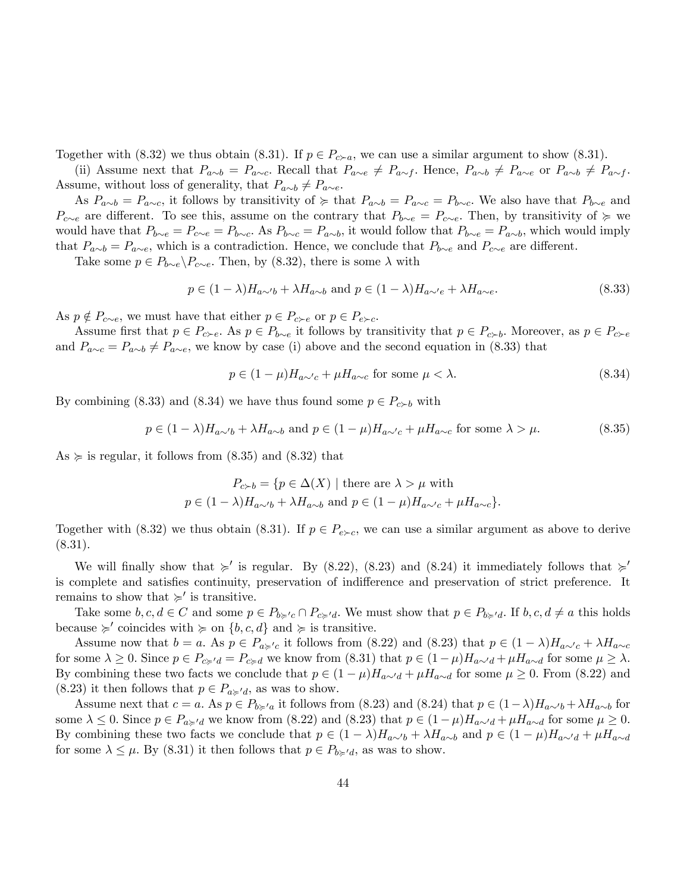Together with (8.32) we thus obtain (8.31). If  $p \in P_{c-a}$ , we can use a similar argument to show (8.31).

(ii) Assume next that  $P_{a\sim b} = P_{a\sim c}$ . Recall that  $P_{a\sim e} \neq P_{a\sim f}$ . Hence,  $P_{a\sim b} \neq P_{a\sim e}$  or  $P_{a\sim b} \neq P_{a\sim f}$ . Assume, without loss of generality, that  $P_{a\sim b} \neq P_{a\sim e}$ .

As  $P_{a\sim b} = P_{a\sim c}$ , it follows by transitivity of  $\succcurlyeq$  that  $P_{a\sim b} = P_{a\sim c} = P_{b\sim c}$ . We also have that  $P_{b\sim e}$  and  $P_{c\sim e}$  are different. To see this, assume on the contrary that  $P_{b\sim e} = P_{c\sim e}$ . Then, by transitivity of  $\succcurlyeq$  we would have that  $P_{b\sim e} = P_{c\sim e} = P_{b\sim c}$ . As  $P_{b\sim c} = P_{a\sim b}$ , it would follow that  $P_{b\sim e} = P_{a\sim b}$ , which would imply that  $P_{a\sim b} = P_{a\sim e}$ , which is a contradiction. Hence, we conclude that  $P_{b\sim e}$  and  $P_{c\sim e}$  are different.

Take some  $p \in P_{b \sim e} \backslash P_{c \sim e}$ . Then, by (8.32), there is some  $\lambda$  with

$$
p \in (1 - \lambda)H_{a \sim b} + \lambda H_{a \sim b} \text{ and } p \in (1 - \lambda)H_{a \sim e} + \lambda H_{a \sim e}.
$$
 (8.33)

As  $p \notin P_{c \sim e}$ , we must have that either  $p \in P_{c \succ e}$  or  $p \in P_{e \succ c}$ .

Assume first that  $p \in P_{c \succ e}$ . As  $p \in P_{b \sim e}$  it follows by transitivity that  $p \in P_{c \succ b}$ . Moreover, as  $p \in P_{c \succ e}$ and  $P_{a\sim c} = P_{a\sim b} \neq P_{a\sim e}$ , we know by case (i) above and the second equation in (8.33) that

$$
p \in (1 - \mu)H_{a \sim c} + \mu H_{a \sim c} \text{ for some } \mu < \lambda. \tag{8.34}
$$

By combining (8.33) and (8.34) we have thus found some  $p \in P_{c \succ b}$  with

$$
p \in (1 - \lambda)H_{a \sim b} + \lambda H_{a \sim b} \text{ and } p \in (1 - \mu)H_{a \sim c} + \mu H_{a \sim c} \text{ for some } \lambda > \mu.
$$
 (8.35)

As  $\succeq$  is regular, it follows from (8.35) and (8.32) that

$$
P_{c \succ b} = \{ p \in \Delta(X) \mid \text{there are } \lambda > \mu \text{ with}
$$
  

$$
p \in (1 - \lambda)H_{a \sim b} + \lambda H_{a \sim b} \text{ and } p \in (1 - \mu)H_{a \sim c} + \mu H_{a \sim c} \}.
$$

Together with (8.32) we thus obtain (8.31). If  $p \in P_{e \succ c}$ , we can use a similar argument as above to derive (8.31).

We will finally show that  $\succ$  is regular. By (8.22), (8.23) and (8.24) it immediately follows that  $\succ$ is complete and satisfies continuity, preservation of indifference and preservation of strict preference. It remains to show that  $\succcurlyeq'$  is transitive.

Take some  $b, c, d \in C$  and some  $p \in P_{b \succ c} \cap P_{c \succ d}$ . We must show that  $p \in P_{b \succ d}$ . If  $b, c, d \neq a$  this holds because  $\succ$  coincides with  $\succ$  on  $\{b, c, d\}$  and  $\succ$  is transitive.

Assume now that  $b = a$ . As  $p \in P_{a \geqslant c}$  it follows from (8.22) and (8.23) that  $p \in (1 - \lambda)H_{a \sim c} + \lambda H_{a \sim c}$ for some  $\lambda \geq 0$ . Since  $p \in P_{c \geq d} = P_{c \geq d}$  we know from  $(8.31)$  that  $p \in (1-\mu)H_{a \sim d} + \mu H_{a \sim d}$  for some  $\mu \geq \lambda$ . By combining these two facts we conclude that  $p \in (1 - \mu)H_{a \sim d} + \mu H_{a \sim d}$  for some  $\mu \ge 0$ . From (8.22) and (8.23) it then follows that  $p \in P_{a \succcurlyeq' a}$ , as was to show.

Assume next that  $c = a$ . As  $p \in P_{b \ge a}$  it follows from (8.23) and (8.24) that  $p \in (1-\lambda)H_{a \sim b} + \lambda H_{a \sim b}$  for some  $\lambda \leq 0$ . Since  $p \in P_{a \geq d}$  we know from (8.22) and (8.23) that  $p \in (1 - \mu)H_{a \sim d} + \mu H_{a \sim d}$  for some  $\mu \geq 0$ . By combining these two facts we conclude that  $p \in (1 - \lambda)H_{a\sim b} + \lambda H_{a\sim b}$  and  $p \in (1 - \mu)H_{a\sim d} + \mu H_{a\sim d}$ for some  $\lambda \leq \mu$ . By (8.31) it then follows that  $p \in P_{b \geq d}$ , as was to show.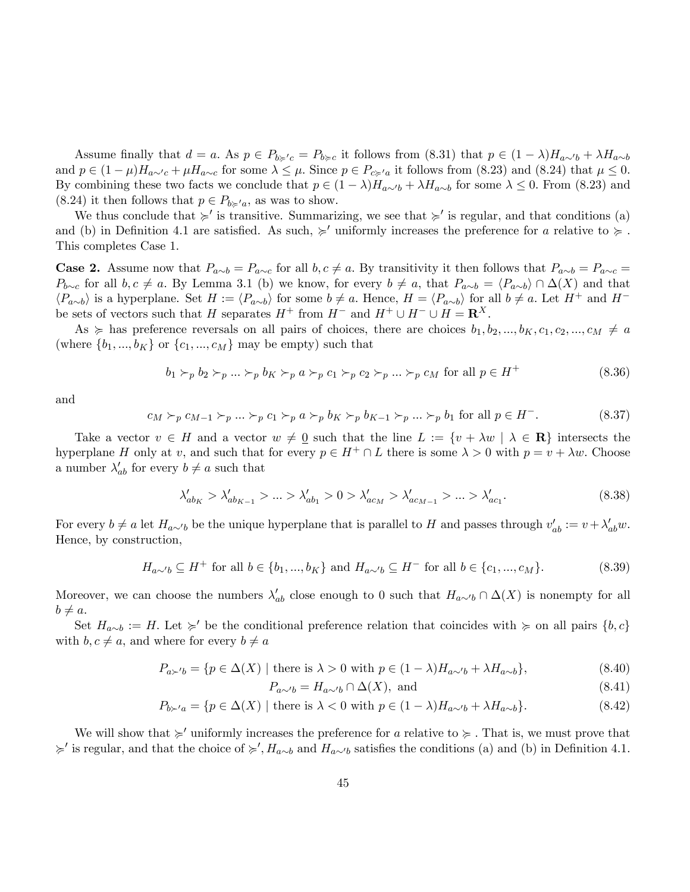Assume finally that  $d = a$ . As  $p \in P_{b \geqslant c} = P_{b \geqslant c}$  it follows from  $(8.31)$  that  $p \in (1 - \lambda)H_{a \sim b} + \lambda H_{a \sim b}$ and  $p \in (1 - \mu)H_{a \sim c} + \mu H_{a \sim c}$  for some  $\lambda \leq \mu$ . Since  $p \in P_{c \geq a}$  it follows from (8.23) and (8.24) that  $\mu \leq 0$ . By combining these two facts we conclude that  $p \in (1 - \lambda)H_{a\sim b} + \lambda H_{a\sim b}$  for some  $\lambda \leq 0$ . From (8.23) and  $(8.24)$  it then follows that  $p \in P_{b \geq a}$ , as was to show.

We thus conclude that  $\succ$  is transitive. Summarizing, we see that  $\succ$  is regular, and that conditions (a) and (b) in Definition 4.1 are satisfied. As such,  $\succ$  uniformly increases the preference for a relative to  $\succ$ . This completes Case 1.

**Case 2.** Assume now that  $P_{a\sim b} = P_{a\sim c}$  for all  $b, c \neq a$ . By transitivity it then follows that  $P_{a\sim b} = P_{a\sim c}$  $P_{b\sim c}$  for all  $b, c \neq a$ . By Lemma 3.1 (b) we know, for every  $b \neq a$ , that  $P_{a\sim b} = \langle P_{a\sim b} \rangle \cap \Delta(X)$  and that  $\langle P_{a\sim b} \rangle$  is a hyperplane. Set  $H := \langle P_{a\sim b} \rangle$  for some  $b \neq a$ . Hence,  $H = \langle P_{a\sim b} \rangle$  for all  $b \neq a$ . Let  $H^+$  and  $H^$ be sets of vectors such that H separates  $H^+$  from  $H^-$  and  $H^+ \cup H^- \cup H = \mathbb{R}^X$ .

As  $\succcurlyeq$  has preference reversals on all pairs of choices, there are choices  $b_1, b_2, ..., b_K, c_1, c_2, ..., c_M \neq a$ (where  $\{b_1, ..., b_K\}$  or  $\{c_1, ..., c_M\}$  may be empty) such that

$$
b_1 \succ_p b_2 \succ_p \dots \succ_p b_K \succ_p a \succ_p c_1 \succ_p c_2 \succ_p \dots \succ_p c_M \text{ for all } p \in H^+\tag{8.36}
$$

and

$$
c_M \succ_p c_{M-1} \succ_p \dots \succ_p c_1 \succ_p a \succ_p b_K \succ_p b_{K-1} \succ_p \dots \succ_p b_1 \text{ for all } p \in H^-.
$$
 (8.37)

Take a vector  $v \in H$  and a vector  $w \neq 0$  such that the line  $L := \{v + \lambda w \mid \lambda \in \mathbb{R}\}\$  intersects the hyperplane H only at v, and such that for every  $p \in H^+ \cap L$  there is some  $\lambda > 0$  with  $p = v + \lambda w$ . Choose a number  $\lambda'_{ab}$  for every  $b \neq a$  such that

$$
\lambda'_{ab_K} > \lambda'_{ab_{K-1}} > \dots > \lambda'_{ab_1} > 0 > \lambda'_{ac_M} > \lambda'_{ac_{M-1}} > \dots > \lambda'_{ac_1}.
$$
\n(8.38)

For every  $b \neq a$  let  $H_{a \sim b}$  be the unique hyperplane that is parallel to H and passes through  $v'_{ab} := v + \lambda'_{ab}w$ . Hence, by construction,

$$
H_{a \sim b} \subseteq H^+ \text{ for all } b \in \{b_1, ..., b_K\} \text{ and } H_{a \sim b} \subseteq H^- \text{ for all } b \in \{c_1, ..., c_M\}. \tag{8.39}
$$

Moreover, we can choose the numbers  $\lambda'_{ab}$  close enough to 0 such that  $H_{a\sim b} \cap \Delta(X)$  is nonempty for all  $b \neq a.$ 

Set  $H_{a\sim b} := H$ . Let  $\succcurlyeq'$  be the conditional preference relation that coincides with  $\succcurlyeq$  on all pairs  $\{b, c\}$ with  $b, c \neq a$ , and where for every  $b \neq a$ 

$$
P_{a \succ' b} = \{ p \in \Delta(X) \mid \text{there is } \lambda > 0 \text{ with } p \in (1 - \lambda) H_{a \sim' b} + \lambda H_{a \sim b} \},\tag{8.40}
$$

$$
P_{a \sim b} = H_{a \sim b} \cap \Delta(X), \text{ and} \tag{8.41}
$$

$$
P_{b \succ' a} = \{ p \in \Delta(X) \mid \text{there is } \lambda < 0 \text{ with } p \in (1 - \lambda) H_{a \sim' b} + \lambda H_{a \sim b} \}. \tag{8.42}
$$

We will show that  $\succcurlyeq'$  uniformly increases the preference for a relative to  $\succcurlyeq$ . That is, we must prove that  $\succ$  is regular, and that the choice of  $\succ$ ,  $H_{a\sim b}$  and  $H_{a\sim b}$  satisfies the conditions (a) and (b) in Definition 4.1.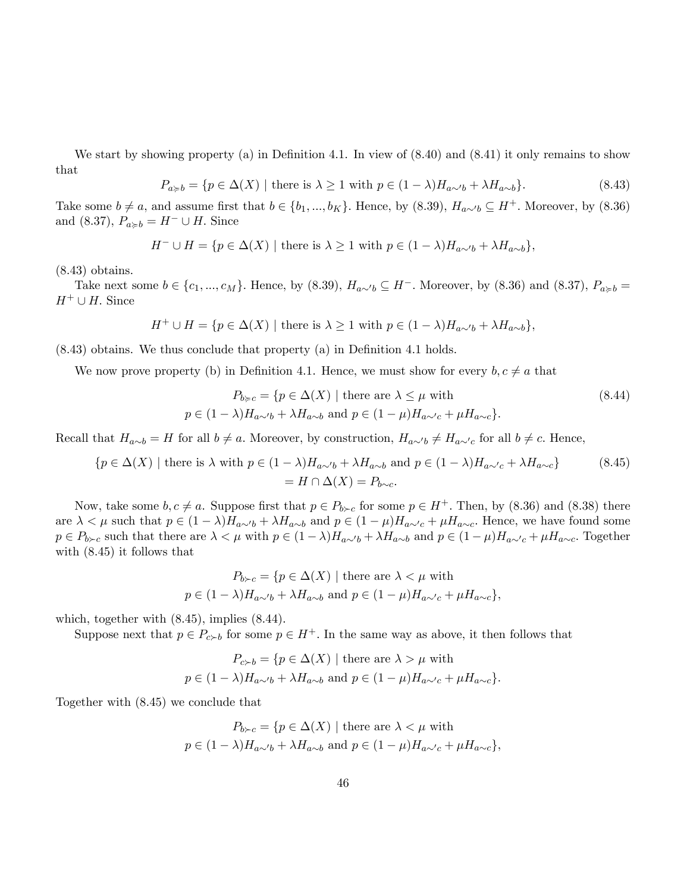We start by showing property (a) in Definition 4.1. In view of  $(8.40)$  and  $(8.41)$  it only remains to show that

$$
P_{a \ge b} = \{ p \in \Delta(X) \mid \text{there is } \lambda \ge 1 \text{ with } p \in (1 - \lambda)H_{a \sim b} + \lambda H_{a \sim b} \}. \tag{8.43}
$$

Take some  $b \neq a$ , and assume first that  $b \in \{b_1, ..., b_K\}$ . Hence, by (8.39),  $H_{a \sim b} \subseteq H^+$ . Moreover, by (8.36) and (8.37),  $P_{a \geqslant b} = H^- \cup H$ . Since

$$
H^- \cup H = \{ p \in \Delta(X) \mid \text{there is } \lambda \ge 1 \text{ with } p \in (1 - \lambda)H_{a \sim b} + \lambda H_{a \sim b} \},
$$

(8.43) obtains.

Take next some  $b \in \{c_1, ..., c_M\}$ . Hence, by  $(8.39), H_{a\sim b} \subseteq H^-$ . Moreover, by  $(8.36)$  and  $(8.37), P_{a\geq b} =$  $H^+ \cup H$ . Since

$$
H^{+} \cup H = \{ p \in \Delta(X) \mid \text{there is } \lambda \ge 1 \text{ with } p \in (1 - \lambda)H_{a \sim b} + \lambda H_{a \sim b} \},
$$

 $(8.43)$  obtains. We thus conclude that property  $(a)$  in Definition 4.1 holds.

We now prove property (b) in Definition 4.1. Hence, we must show for every  $b, c \neq a$  that

$$
P_{b \succ c} = \{ p \in \Delta(X) \mid \text{there are } \lambda \le \mu \text{ with}
$$
  
\n
$$
p \in (1 - \lambda)H_{a \sim b} + \lambda H_{a \sim b} \text{ and } p \in (1 - \mu)H_{a \sim c} + \mu H_{a \sim c} \}.
$$
\n(8.44)

Recall that  $H_{a\sim b} = H$  for all  $b \neq a$ . Moreover, by construction,  $H_{a\sim b} \neq H_{a\sim c}$  for all  $b \neq c$ . Hence,

$$
\{p \in \Delta(X) \mid \text{there is } \lambda \text{ with } p \in (1 - \lambda)H_{a \sim b} + \lambda H_{a \sim b} \text{ and } p \in (1 - \lambda)H_{a \sim c} + \lambda H_{a \sim c}\}\
$$
\n
$$
= H \cap \Delta(X) = P_{b \sim c}.
$$
\n(8.45)

Now, take some  $b, c \neq a$ . Suppose first that  $p \in P_{b \succ c}$  for some  $p \in H^+$ . Then, by (8.36) and (8.38) there are  $\lambda < \mu$  such that  $p \in (1 - \lambda)H_{a\sim b} + \lambda H_{a\sim b}$  and  $p \in (1 - \mu)H_{a\sim c} + \mu H_{a\sim c}$ . Hence, we have found some  $p \in P_{b \succ c}$  such that there are  $\lambda < \mu$  with  $p \in (1 - \lambda)H_{a \sim b} + \lambda H_{a \sim b}$  and  $p \in (1 - \mu)H_{a \sim c} + \mu H_{a \sim c}$ . Together with (8.45) it follows that

$$
P_{b \succ c} = \{ p \in \Delta(X) \mid \text{there are } \lambda < \mu \text{ with}
$$
\n
$$
p \in (1 - \lambda) H_{a \sim b} + \lambda H_{a \sim b} \text{ and } p \in (1 - \mu) H_{a \sim c} + \mu H_{a \sim c} \},
$$

which, together with  $(8.45)$ , implies  $(8.44)$ .

Suppose next that  $p \in P_{c \succ b}$  for some  $p \in H^+$ . In the same way as above, it then follows that

$$
P_{c \succ b} = \{ p \in \Delta(X) \mid \text{there are } \lambda > \mu \text{ with}
$$
  

$$
p \in (1 - \lambda)H_{a \sim b} + \lambda H_{a \sim b} \text{ and } p \in (1 - \mu)H_{a \sim c} + \mu H_{a \sim c} \}.
$$

Together with (8.45) we conclude that

$$
P_{b \succ c} = \{ p \in \Delta(X) \mid \text{there are } \lambda < \mu \text{ with}
$$
\n
$$
p \in (1 - \lambda) H_{a \sim b} + \lambda H_{a \sim b} \text{ and } p \in (1 - \mu) H_{a \sim c} + \mu H_{a \sim c} \},
$$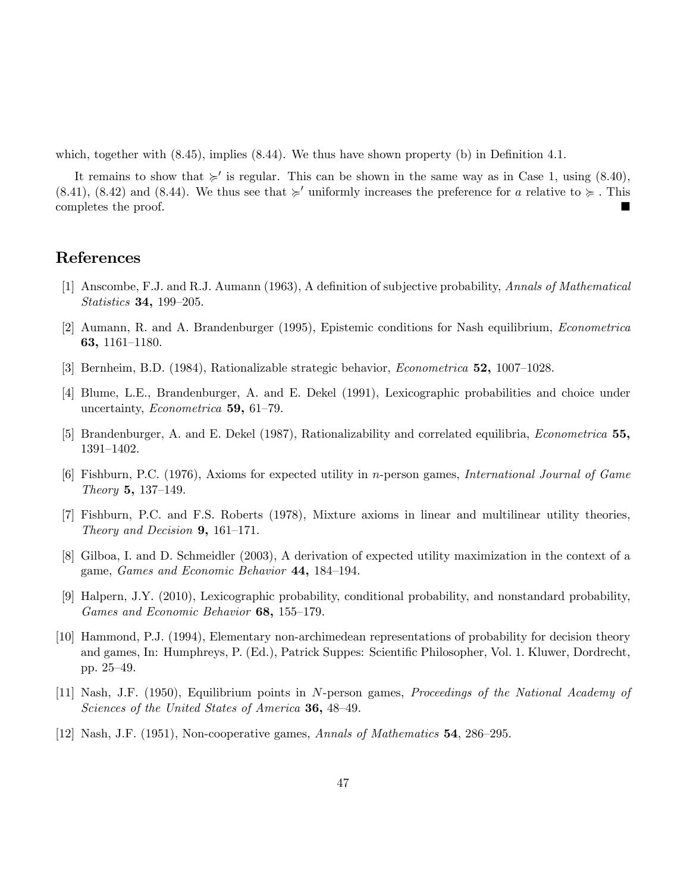which, together with  $(8.45)$ , implies  $(8.44)$ . We thus have shown property  $(b)$  in Definition 4.1.

It remains to show that  $\succ$  is regular. This can be shown in the same way as in Case 1, using (8.40), (8.41), (8.42) and (8.44). We thus see that  $\succcurlyeq'$  uniformly increases the preference for a relative to  $\succcurlyeq$ . This completes the proof.

# References

- [1] Anscombe, F.J. and R.J. Aumann (1963), A deÖnition of subjective probability, Annals of Mathematical Statistics 34, 199–205.
- [2] Aumann, R. and A. Brandenburger (1995), Epistemic conditions for Nash equilibrium, Econometrica 63, 1161–1180.
- [3] Bernheim, B.D.  $(1984)$ , Rationalizable strategic behavior, *Econometrica* **52**, 1007–1028.
- [4] Blume, L.E., Brandenburger, A. and E. Dekel (1991), Lexicographic probabilities and choice under uncertainty, *Econometrica* 59, 61-79.
- [5] Brandenburger, A. and E. Dekel (1987), Rationalizability and correlated equilibria, Econometrica 55, 1391-1402.
- [6] Fishburn, P.C. (1976), Axioms for expected utility in n-person games, International Journal of Game Theory 5, 137–149.
- [7] Fishburn, P.C. and F.S. Roberts (1978), Mixture axioms in linear and multilinear utility theories, Theory and Decision  $9, 161-171$ .
- [8] Gilboa, I. and D. Schmeidler (2003), A derivation of expected utility maximization in the context of a game, *Games and Economic Behavior*  $44$ ,  $184-194$ .
- [9] Halpern, J.Y. (2010), Lexicographic probability, conditional probability, and nonstandard probability, Games and Economic Behavior 68, 155-179.
- [10] Hammond, P.J. (1994), Elementary non-archimedean representations of probability for decision theory and games, In: Humphreys, P. (Ed.), Patrick Suppes: Scientific Philosopher, Vol. 1. Kluwer, Dordrecht, pp. 25-49.
- [11] Nash, J.F. (1950), Equilibrium points in N-person games, Proceedings of the National Academy of Sciences of the United States of America  $36, 48-49$ .
- [12] Nash, J.F. (1951), Non-cooperative games, Annals of Mathematics  $54$ , 286–295.